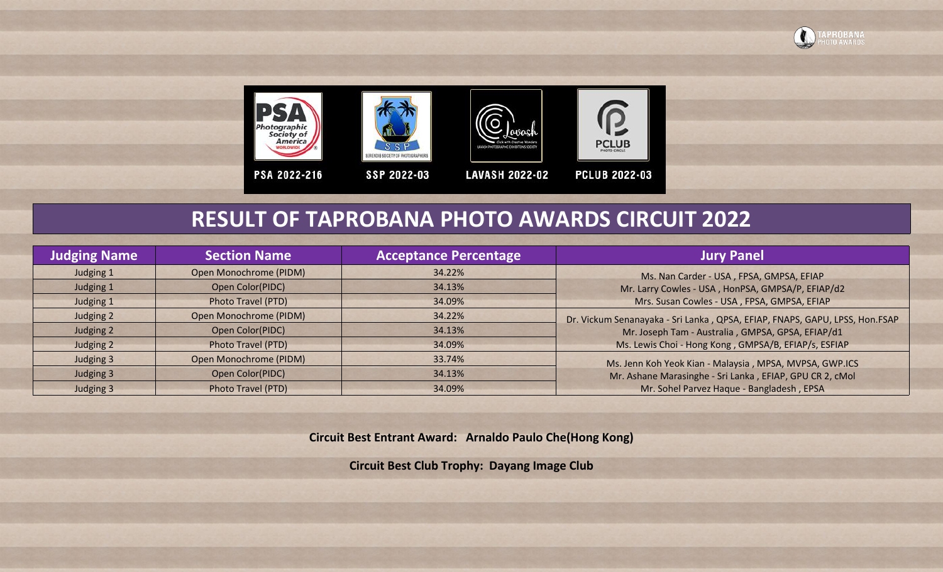





**LAVASH 2022-02** 



**PCLUB 2022-03** 

## **RESULT OF TAPROBANA PHOTO AWARDS CIRCUIT 2022**

| <b>Judging Name</b> | <b>Section Name</b>    | <b>Acceptance Percentage</b> | <b>Jury Panel</b>                                                           |
|---------------------|------------------------|------------------------------|-----------------------------------------------------------------------------|
| Judging 1           | Open Monochrome (PIDM) | 34.22%                       | Ms. Nan Carder - USA, FPSA, GMPSA, EFIAP                                    |
| Judging 1           | Open Color(PIDC)       | 34.13%                       | Mr. Larry Cowles - USA, HonPSA, GMPSA/P, EFIAP/d2                           |
| Judging 1           | Photo Travel (PTD)     | 34.09%                       | Mrs. Susan Cowles - USA, FPSA, GMPSA, EFIAP                                 |
| Judging 2           | Open Monochrome (PIDM) | 34.22%                       | Dr. Vickum Senanayaka - Sri Lanka, QPSA, EFIAP, FNAPS, GAPU, LPSS, Hon.FSAP |
| Judging 2           | Open Color(PIDC)       | 34.13%                       | Mr. Joseph Tam - Australia, GMPSA, GPSA, EFIAP/d1                           |
| Judging 2           | Photo Travel (PTD)     | 34.09%                       | Ms. Lewis Choi - Hong Kong, GMPSA/B, EFIAP/s, ESFIAP                        |
| Judging 3           | Open Monochrome (PIDM) | 33.74%                       | Ms. Jenn Koh Yeok Kian - Malaysia, MPSA, MVPSA, GWP.ICS                     |
| Judging 3           | Open Color(PIDC)       | 34.13%                       | Mr. Ashane Marasinghe - Sri Lanka, EFIAP, GPU CR 2, cMol                    |
| Judging 3           | Photo Travel (PTD)     | 34.09%                       | Mr. Sohel Parvez Haque - Bangladesh, EPSA                                   |

**Circuit Best Entrant Award: Arnaldo Paulo Che(Hong Kong)**

**Circuit Best Club Trophy: Dayang Image Club**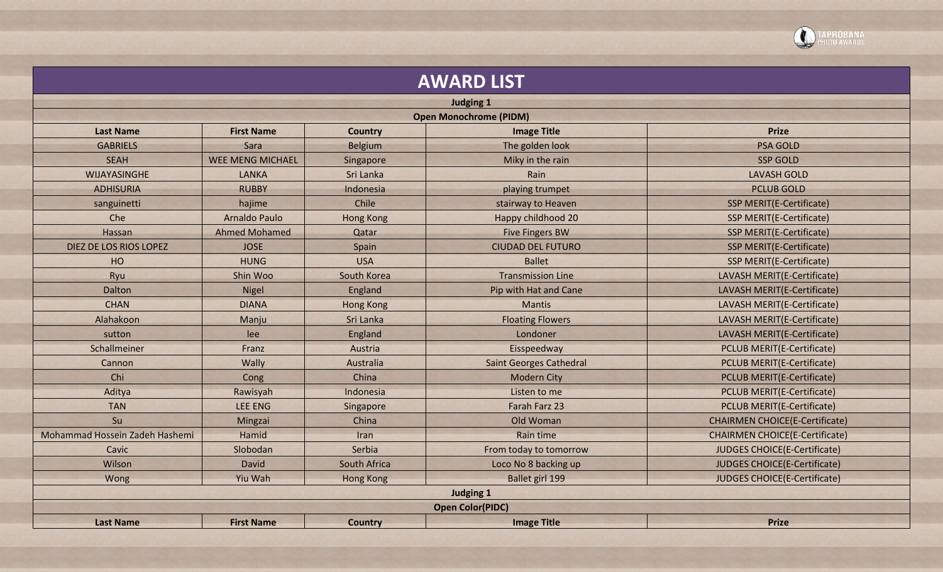

|                                                                                               |                         |                     | <b>AWARD LIST</b>              |                                       |  |  |  |  |  |  |
|-----------------------------------------------------------------------------------------------|-------------------------|---------------------|--------------------------------|---------------------------------------|--|--|--|--|--|--|
|                                                                                               |                         |                     | <b>Judging 1</b>               |                                       |  |  |  |  |  |  |
| <b>Open Monochrome (PIDM)</b>                                                                 |                         |                     |                                |                                       |  |  |  |  |  |  |
| <b>Last Name</b><br><b>First Name</b><br><b>Image Title</b><br><b>Prize</b><br><b>Country</b> |                         |                     |                                |                                       |  |  |  |  |  |  |
| <b>GABRIELS</b>                                                                               | Sara                    | Belgium             | The golden look                | <b>PSA GOLD</b>                       |  |  |  |  |  |  |
| <b>SEAH</b>                                                                                   | <b>WEE MENG MICHAEL</b> | Singapore           | Miky in the rain               | <b>SSP GOLD</b>                       |  |  |  |  |  |  |
| WIJAYASINGHE                                                                                  | <b>LANKA</b>            | Sri Lanka           | Rain                           | <b>LAVASH GOLD</b>                    |  |  |  |  |  |  |
| <b>ADHISURIA</b>                                                                              | <b>RUBBY</b>            | Indonesia           | playing trumpet                | <b>PCLUB GOLD</b>                     |  |  |  |  |  |  |
| sanguinetti                                                                                   | hajime                  | Chile               | stairway to Heaven             | <b>SSP MERIT(E-Certificate)</b>       |  |  |  |  |  |  |
| Che                                                                                           | Arnaldo Paulo           | <b>Hong Kong</b>    | Happy childhood 20             | SSP MERIT(E-Certificate)              |  |  |  |  |  |  |
| Hassan                                                                                        | <b>Ahmed Mohamed</b>    | Qatar               | <b>Five Fingers BW</b>         | <b>SSP MERIT(E-Certificate)</b>       |  |  |  |  |  |  |
| DIEZ DE LOS RIOS LOPEZ                                                                        | <b>JOSE</b>             | Spain               | <b>CIUDAD DEL FUTURO</b>       | <b>SSP MERIT(E-Certificate)</b>       |  |  |  |  |  |  |
| HO                                                                                            | <b>HUNG</b>             | <b>USA</b>          | <b>Ballet</b>                  | SSP MERIT(E-Certificate)              |  |  |  |  |  |  |
| Ryu                                                                                           | Shin Woo                | South Korea         | <b>Transmission Line</b>       | LAVASH MERIT(E-Certificate)           |  |  |  |  |  |  |
| Dalton                                                                                        | Nigel                   | England             | Pip with Hat and Cane          | LAVASH MERIT(E-Certificate)           |  |  |  |  |  |  |
| <b>CHAN</b>                                                                                   | <b>DIANA</b>            | <b>Hong Kong</b>    | <b>Mantis</b>                  | LAVASH MERIT(E-Certificate)           |  |  |  |  |  |  |
| Alahakoon                                                                                     | Manju                   | Sri Lanka           | <b>Floating Flowers</b>        | LAVASH MERIT(E-Certificate)           |  |  |  |  |  |  |
| sutton                                                                                        | lee                     | England             | Londoner                       | LAVASH MERIT(E-Certificate)           |  |  |  |  |  |  |
| Schallmeiner                                                                                  | Franz                   | Austria             | Eisspeedway                    | <b>PCLUB MERIT(E-Certificate)</b>     |  |  |  |  |  |  |
| Cannon                                                                                        | Wally                   | Australia           | <b>Saint Georges Cathedral</b> | <b>PCLUB MERIT(E-Certificate)</b>     |  |  |  |  |  |  |
| Chi                                                                                           | Cong                    | China               | <b>Modern City</b>             | <b>PCLUB MERIT(E-Certificate)</b>     |  |  |  |  |  |  |
| Aditya                                                                                        | Rawisyah                | Indonesia           | Listen to me                   | <b>PCLUB MERIT(E-Certificate)</b>     |  |  |  |  |  |  |
| <b>TAN</b>                                                                                    | <b>LEE ENG</b>          | Singapore           | Farah Farz 23                  | <b>PCLUB MERIT(E-Certificate)</b>     |  |  |  |  |  |  |
| Su                                                                                            | Mingzai                 | China               | Old Woman                      | <b>CHAIRMEN CHOICE(E-Certificate)</b> |  |  |  |  |  |  |
| Mohammad Hossein Zadeh Hashemi                                                                | Hamid                   | Iran                | Rain time                      | <b>CHAIRMEN CHOICE(E-Certificate)</b> |  |  |  |  |  |  |
| Cavic                                                                                         | Slobodan                | Serbia              | From today to tomorrow         | JUDGES CHOICE(E-Certificate)          |  |  |  |  |  |  |
| Wilson                                                                                        | <b>David</b>            | <b>South Africa</b> | Loco No 8 backing up           | <b>JUDGES CHOICE(E-Certificate)</b>   |  |  |  |  |  |  |
| Wong                                                                                          | Yiu Wah                 | <b>Hong Kong</b>    | Ballet girl 199                | JUDGES CHOICE(E-Certificate)          |  |  |  |  |  |  |
|                                                                                               |                         |                     | <b>Judging 1</b>               |                                       |  |  |  |  |  |  |
|                                                                                               |                         |                     | <b>Open Color(PIDC)</b>        |                                       |  |  |  |  |  |  |
| <b>Last Name</b>                                                                              | <b>First Name</b>       | <b>Country</b>      | <b>Image Title</b>             | <b>Prize</b>                          |  |  |  |  |  |  |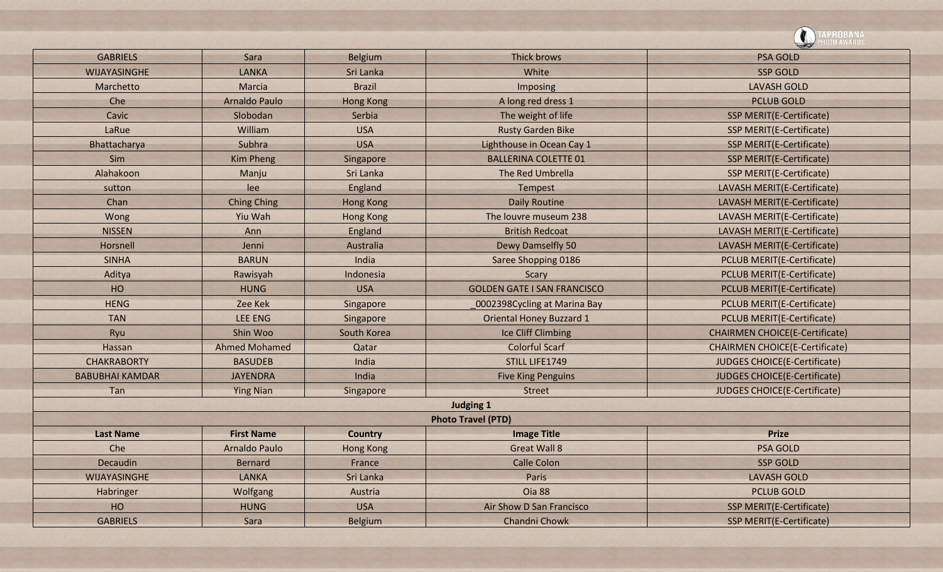|                        |                      |                  |                                    | {UBANA<br><b>TO AWARDS</b>            |
|------------------------|----------------------|------------------|------------------------------------|---------------------------------------|
| <b>GABRIELS</b>        | Sara                 | Belgium          | Thick brows                        | <b>PSA GOLD</b>                       |
| <b>WIJAYASINGHE</b>    | <b>LANKA</b>         | Sri Lanka        | White                              | <b>SSP GOLD</b>                       |
| Marchetto              | Marcia               | <b>Brazil</b>    | Imposing                           | <b>LAVASH GOLD</b>                    |
| Che                    | <b>Arnaldo Paulo</b> | <b>Hong Kong</b> | A long red dress 1                 | <b>PCLUB GOLD</b>                     |
| Cavic                  | Slobodan             | Serbia           | The weight of life                 | <b>SSP MERIT(E-Certificate)</b>       |
| LaRue                  | William              | <b>USA</b>       | <b>Rusty Garden Bike</b>           | <b>SSP MERIT(E-Certificate)</b>       |
| Bhattacharya           | Subhra               | <b>USA</b>       | Lighthouse in Ocean Cay 1          | <b>SSP MERIT(E-Certificate)</b>       |
| Sim                    | <b>Kim Pheng</b>     | Singapore        | <b>BALLERINA COLETTE 01</b>        | <b>SSP MERIT(E-Certificate)</b>       |
| Alahakoon              | Manju                | Sri Lanka        | The Red Umbrella                   | <b>SSP MERIT(E-Certificate)</b>       |
| sutton                 | lee                  | England          | Tempest                            | LAVASH MERIT(E-Certificate)           |
| Chan                   | <b>Ching Ching</b>   | <b>Hong Kong</b> | <b>Daily Routine</b>               | LAVASH MERIT(E-Certificate)           |
| Wong                   | Yiu Wah              | Hong Kong        | The louvre museum 238              | LAVASH MERIT(E-Certificate)           |
| <b>NISSEN</b>          | Ann                  | England          | <b>British Redcoat</b>             | <b>LAVASH MERIT(E-Certificate)</b>    |
| Horsnell               | Jenni                | Australia        | Dewy Damselfly 50                  | LAVASH MERIT(E-Certificate)           |
| <b>SINHA</b>           | <b>BARUN</b>         | India            | Saree Shopping 0186                | <b>PCLUB MERIT(E-Certificate)</b>     |
| Aditya                 | Rawisyah             | Indonesia        | Scary                              | <b>PCLUB MERIT(E-Certificate)</b>     |
| HO                     | <b>HUNG</b>          | <b>USA</b>       | <b>GOLDEN GATE I SAN FRANCISCO</b> | <b>PCLUB MERIT(E-Certificate)</b>     |
| <b>HENG</b>            | <b>Zee Kek</b>       | Singapore        | 0002398Cycling at Marina Bay       | <b>PCLUB MERIT(E-Certificate)</b>     |
| <b>TAN</b>             | <b>LEE ENG</b>       | Singapore        | <b>Oriental Honey Buzzard 1</b>    | <b>PCLUB MERIT(E-Certificate)</b>     |
| Ryu                    | Shin Woo             | South Korea      | Ice Cliff Climbing                 | <b>CHAIRMEN CHOICE(E-Certificate)</b> |
| Hassan                 | <b>Ahmed Mohamed</b> | Qatar            | <b>Colorful Scarf</b>              | <b>CHAIRMEN CHOICE(E-Certificate)</b> |
| <b>CHAKRABORTY</b>     | <b>BASUDEB</b>       | India            | STILL LIFE1749                     | JUDGES CHOICE(E-Certificate)          |
| <b>BABUBHAI KAMDAR</b> | <b>JAYENDRA</b>      | India            | <b>Five King Penguins</b>          | <b>JUDGES CHOICE(E-Certificate)</b>   |
| Tan                    | <b>Ying Nian</b>     | Singapore        | <b>Street</b>                      | JUDGES CHOICE(E-Certificate)          |
|                        |                      |                  | <b>Judging 1</b>                   |                                       |
|                        |                      |                  | <b>Photo Travel (PTD)</b>          |                                       |
| <b>Last Name</b>       | <b>First Name</b>    | <b>Country</b>   | <b>Image Title</b>                 | <b>Prize</b>                          |
| Che                    | <b>Arnaldo Paulo</b> | <b>Hong Kong</b> | <b>Great Wall 8</b>                | <b>PSA GOLD</b>                       |
| Decaudin               | Bernard              | France           | <b>Calle Colon</b>                 | <b>SSP GOLD</b>                       |
| WIJAYASINGHE           | LANKA                | Sri Lanka        | Paris                              | <b>LAVASH GOLD</b>                    |
| Habringer              | Wolfgang             | Austria          | Oia 88                             | <b>PCLUB GOLD</b>                     |
| HO                     | <b>HUNG</b>          | <b>USA</b>       | Air Show D San Francisco           | <b>SSP MERIT(E-Certificate)</b>       |
| <b>GABRIELS</b>        | Sara                 | <b>Belgium</b>   | Chandni Chowk                      | <b>SSP MERIT(E-Certificate)</b>       |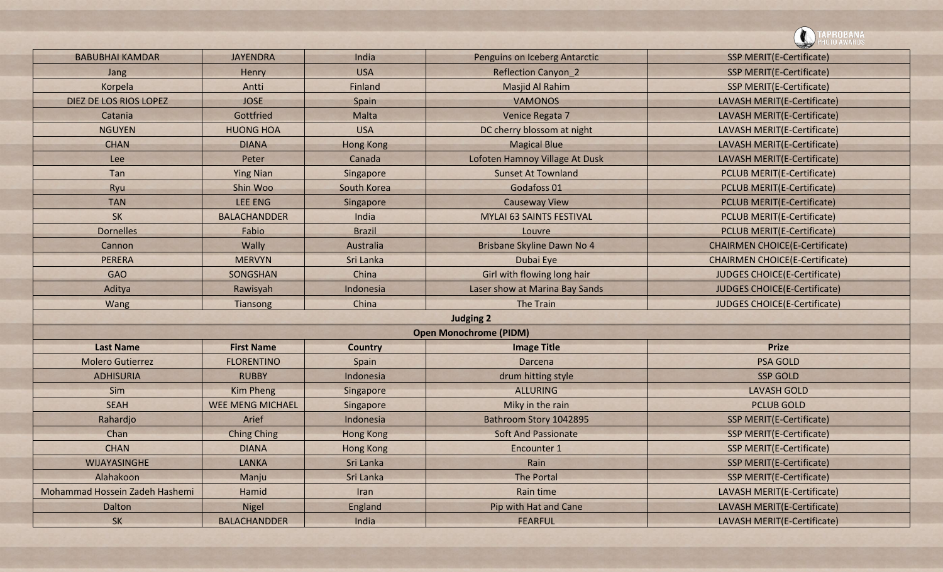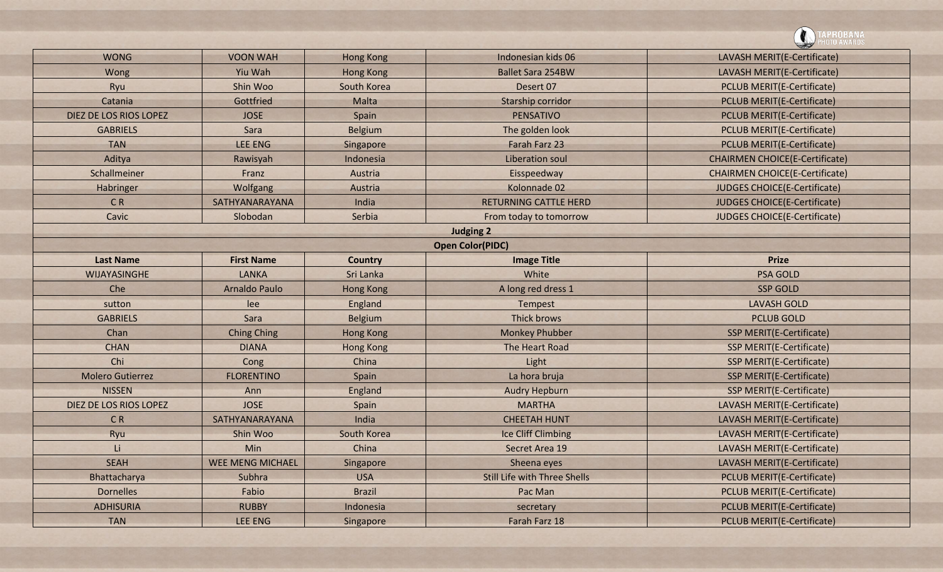![](_page_4_Picture_0.jpeg)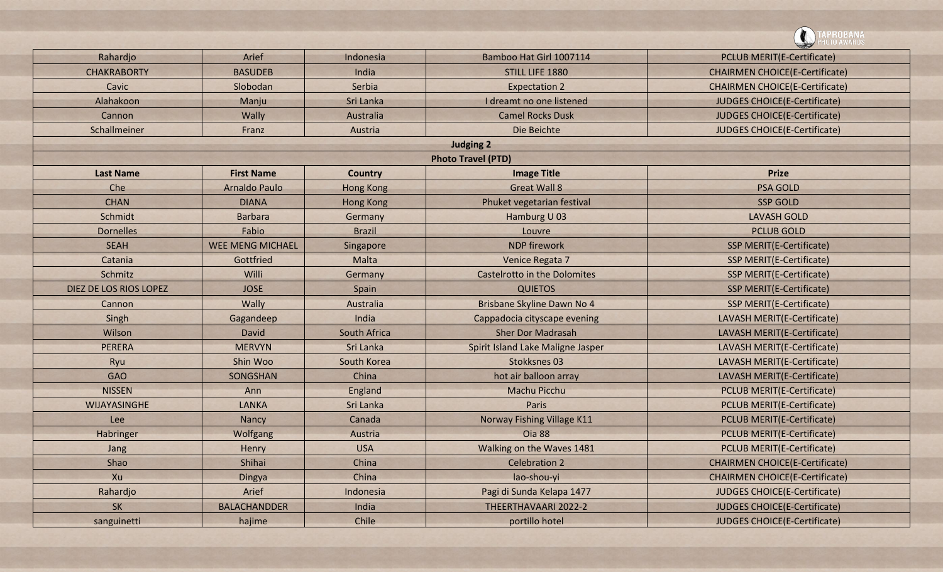![](_page_5_Picture_0.jpeg)

| Rahardjo               | Arief                   | Indonesia        | Bamboo Hat Girl 1007114           | <b>PCLUB MERIT(E-Certificate)</b>     |
|------------------------|-------------------------|------------------|-----------------------------------|---------------------------------------|
| <b>CHAKRABORTY</b>     | <b>BASUDEB</b>          | India            | STILL LIFE 1880                   | <b>CHAIRMEN CHOICE(E-Certificate)</b> |
| Cavic                  | Slobodan                | Serbia           | <b>Expectation 2</b>              | <b>CHAIRMEN CHOICE(E-Certificate)</b> |
| Alahakoon              | Manju                   | Sri Lanka        | I dreamt no one listened          | <b>JUDGES CHOICE(E-Certificate)</b>   |
| Cannon                 | Wally                   | Australia        | <b>Camel Rocks Dusk</b>           | JUDGES CHOICE(E-Certificate)          |
| Schallmeiner           | Franz                   | Austria          | Die Beichte                       | <b>JUDGES CHOICE(E-Certificate)</b>   |
|                        |                         |                  | <b>Judging 2</b>                  |                                       |
|                        |                         |                  | <b>Photo Travel (PTD)</b>         |                                       |
| <b>Last Name</b>       | <b>First Name</b>       | <b>Country</b>   | <b>Image Title</b>                | <b>Prize</b>                          |
| Che                    | <b>Arnaldo Paulo</b>    | <b>Hong Kong</b> | <b>Great Wall 8</b>               | <b>PSA GOLD</b>                       |
| <b>CHAN</b>            | <b>DIANA</b>            | <b>Hong Kong</b> | Phuket vegetarian festival        | <b>SSP GOLD</b>                       |
| Schmidt                | <b>Barbara</b>          | Germany          | Hamburg U 03                      | <b>LAVASH GOLD</b>                    |
| <b>Dornelles</b>       | Fabio                   | <b>Brazil</b>    | Louvre                            | <b>PCLUB GOLD</b>                     |
| <b>SEAH</b>            | <b>WEE MENG MICHAEL</b> | Singapore        | <b>NDP</b> firework               | <b>SSP MERIT(E-Certificate)</b>       |
| Catania                | Gottfried               | Malta            | Venice Regata 7                   | <b>SSP MERIT(E-Certificate)</b>       |
| Schmitz                | Willi                   | Germany          | Castelrotto in the Dolomites      | <b>SSP MERIT(E-Certificate)</b>       |
| DIEZ DE LOS RIOS LOPEZ | <b>JOSE</b>             | Spain            | <b>QUIETOS</b>                    | <b>SSP MERIT(E-Certificate)</b>       |
| Cannon                 | Wally                   | Australia        | Brisbane Skyline Dawn No 4        | <b>SSP MERIT(E-Certificate)</b>       |
| Singh                  | Gagandeep               | India            | Cappadocia cityscape evening      | LAVASH MERIT(E-Certificate)           |
| Wilson                 | David                   | South Africa     | <b>Sher Dor Madrasah</b>          | LAVASH MERIT(E-Certificate)           |
| <b>PERERA</b>          | <b>MERVYN</b>           | Sri Lanka        | Spirit Island Lake Maligne Jasper | LAVASH MERIT(E-Certificate)           |
| Ryu                    | Shin Woo                | South Korea      | Stokksnes 03                      | LAVASH MERIT(E-Certificate)           |
| <b>GAO</b>             | SONGSHAN                | China            | hot air balloon array             | LAVASH MERIT(E-Certificate)           |
| <b>NISSEN</b>          | Ann                     | England          | Machu Picchu                      | <b>PCLUB MERIT(E-Certificate)</b>     |
| <b>WIJAYASINGHE</b>    | <b>LANKA</b>            | Sri Lanka        | <b>Paris</b>                      | <b>PCLUB MERIT(E-Certificate)</b>     |
| Lee                    | Nancy                   | Canada           | Norway Fishing Village K11        | <b>PCLUB MERIT(E-Certificate)</b>     |
| Habringer              | <b>Wolfgang</b>         | Austria          | Oia 88                            | <b>PCLUB MERIT(E-Certificate)</b>     |
| Jang                   | Henry                   | <b>USA</b>       | Walking on the Waves 1481         | <b>PCLUB MERIT(E-Certificate)</b>     |
| Shao                   | Shihai                  | China            | <b>Celebration 2</b>              | <b>CHAIRMEN CHOICE(E-Certificate)</b> |
| Xu                     | Dingya                  | China            | lao-shou-yi                       | <b>CHAIRMEN CHOICE(E-Certificate)</b> |
| Rahardjo               | Arief                   | Indonesia        | Pagi di Sunda Kelapa 1477         | <b>JUDGES CHOICE(E-Certificate)</b>   |
| SK                     | <b>BALACHANDDER</b>     | India            | THEERTHAVAARI 2022-2              | <b>JUDGES CHOICE(E-Certificate)</b>   |
| sanguinetti            | hajime                  | Chile            | portillo hotel                    | JUDGES CHOICE(E-Certificate)          |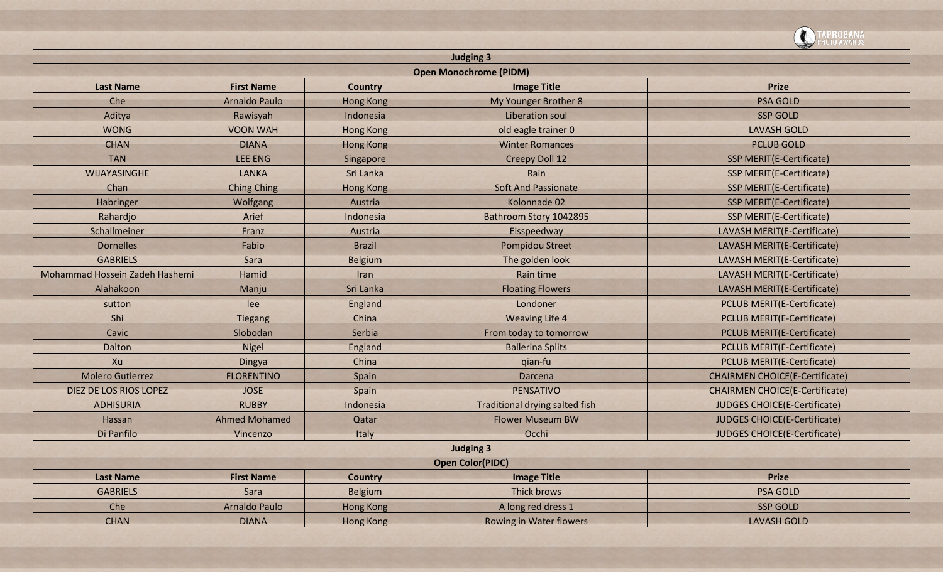|                                |                      |                  |                                                                                                                                                                                                                                                                                                                                                                                                                                                                                                                                                                                                                                                                                                                                                                                                                                                                                                                                                                                                                                                                                                                                                                                                                                                                                                                                                                                                                                                                                                                                                                           | PROBANA<br>0T0 AWARDS |
|--------------------------------|----------------------|------------------|---------------------------------------------------------------------------------------------------------------------------------------------------------------------------------------------------------------------------------------------------------------------------------------------------------------------------------------------------------------------------------------------------------------------------------------------------------------------------------------------------------------------------------------------------------------------------------------------------------------------------------------------------------------------------------------------------------------------------------------------------------------------------------------------------------------------------------------------------------------------------------------------------------------------------------------------------------------------------------------------------------------------------------------------------------------------------------------------------------------------------------------------------------------------------------------------------------------------------------------------------------------------------------------------------------------------------------------------------------------------------------------------------------------------------------------------------------------------------------------------------------------------------------------------------------------------------|-----------------------|
|                                |                      |                  | <b>Judging 3</b><br><b>Open Monochrome (PIDM)</b><br><b>Image Title</b><br><b>Prize</b><br>My Younger Brother 8<br><b>PSA GOLD</b><br><b>SSP GOLD</b><br>Liberation soul<br>old eagle trainer 0<br><b>LAVASH GOLD</b><br><b>Winter Romances</b><br><b>PCLUB GOLD</b><br><b>Creepy Doll 12</b><br><b>SSP MERIT(E-Certificate)</b><br>Rain<br><b>SSP MERIT(E-Certificate)</b><br><b>Soft And Passionate</b><br><b>SSP MERIT(E-Certificate)</b><br>Kolonnade 02<br>SSP MERIT(E-Certificate)<br>Bathroom Story 1042895<br><b>SSP MERIT(E-Certificate)</b><br>Eisspeedway<br>LAVASH MERIT(E-Certificate)<br>Pompidou Street<br>LAVASH MERIT(E-Certificate)<br>The golden look<br>LAVASH MERIT(E-Certificate)<br>Rain time<br>LAVASH MERIT(E-Certificate)<br><b>Floating Flowers</b><br>LAVASH MERIT(E-Certificate)<br>Londoner<br><b>PCLUB MERIT(E-Certificate)</b><br><b>Weaving Life 4</b><br><b>PCLUB MERIT(E-Certificate)</b><br>From today to tomorrow<br><b>PCLUB MERIT(E-Certificate)</b><br><b>PCLUB MERIT(E-Certificate)</b><br><b>Ballerina Splits</b><br><b>PCLUB MERIT(E-Certificate)</b><br>qian-fu<br><b>CHAIRMEN CHOICE(E-Certificate)</b><br>Darcena<br>PENSATIVO<br><b>CHAIRMEN CHOICE(E-Certificate)</b><br>Traditional drying salted fish<br>JUDGES CHOICE(E-Certificate)<br><b>Flower Museum BW</b><br><b>JUDGES CHOICE(E-Certificate)</b><br>Occhi<br><b>JUDGES CHOICE(E-Certificate)</b><br><b>Judging 3</b><br><b>Open Color(PIDC)</b><br><b>Image Title</b><br><b>Prize</b><br>Thick brows<br><b>PSA GOLD</b><br>A long red dress 1<br><b>SSP GOLD</b> |                       |
|                                |                      |                  |                                                                                                                                                                                                                                                                                                                                                                                                                                                                                                                                                                                                                                                                                                                                                                                                                                                                                                                                                                                                                                                                                                                                                                                                                                                                                                                                                                                                                                                                                                                                                                           |                       |
| <b>Last Name</b>               | <b>First Name</b>    | <b>Country</b>   |                                                                                                                                                                                                                                                                                                                                                                                                                                                                                                                                                                                                                                                                                                                                                                                                                                                                                                                                                                                                                                                                                                                                                                                                                                                                                                                                                                                                                                                                                                                                                                           |                       |
| Che                            | <b>Arnaldo Paulo</b> | <b>Hong Kong</b> |                                                                                                                                                                                                                                                                                                                                                                                                                                                                                                                                                                                                                                                                                                                                                                                                                                                                                                                                                                                                                                                                                                                                                                                                                                                                                                                                                                                                                                                                                                                                                                           |                       |
| Aditya                         | Rawisyah             | Indonesia        |                                                                                                                                                                                                                                                                                                                                                                                                                                                                                                                                                                                                                                                                                                                                                                                                                                                                                                                                                                                                                                                                                                                                                                                                                                                                                                                                                                                                                                                                                                                                                                           |                       |
| <b>WONG</b>                    | <b>VOON WAH</b>      | <b>Hong Kong</b> |                                                                                                                                                                                                                                                                                                                                                                                                                                                                                                                                                                                                                                                                                                                                                                                                                                                                                                                                                                                                                                                                                                                                                                                                                                                                                                                                                                                                                                                                                                                                                                           |                       |
| <b>CHAN</b>                    | <b>DIANA</b>         | <b>Hong Kong</b> |                                                                                                                                                                                                                                                                                                                                                                                                                                                                                                                                                                                                                                                                                                                                                                                                                                                                                                                                                                                                                                                                                                                                                                                                                                                                                                                                                                                                                                                                                                                                                                           |                       |
| <b>TAN</b>                     | <b>LEE ENG</b>       | Singapore        |                                                                                                                                                                                                                                                                                                                                                                                                                                                                                                                                                                                                                                                                                                                                                                                                                                                                                                                                                                                                                                                                                                                                                                                                                                                                                                                                                                                                                                                                                                                                                                           |                       |
| WIJAYASINGHE                   | <b>LANKA</b>         | Sri Lanka        |                                                                                                                                                                                                                                                                                                                                                                                                                                                                                                                                                                                                                                                                                                                                                                                                                                                                                                                                                                                                                                                                                                                                                                                                                                                                                                                                                                                                                                                                                                                                                                           |                       |
| Chan                           | <b>Ching Ching</b>   | <b>Hong Kong</b> |                                                                                                                                                                                                                                                                                                                                                                                                                                                                                                                                                                                                                                                                                                                                                                                                                                                                                                                                                                                                                                                                                                                                                                                                                                                                                                                                                                                                                                                                                                                                                                           |                       |
| Habringer                      | Wolfgang             | Austria          |                                                                                                                                                                                                                                                                                                                                                                                                                                                                                                                                                                                                                                                                                                                                                                                                                                                                                                                                                                                                                                                                                                                                                                                                                                                                                                                                                                                                                                                                                                                                                                           |                       |
| Rahardjo                       | Arief                | Indonesia        |                                                                                                                                                                                                                                                                                                                                                                                                                                                                                                                                                                                                                                                                                                                                                                                                                                                                                                                                                                                                                                                                                                                                                                                                                                                                                                                                                                                                                                                                                                                                                                           |                       |
| Schallmeiner                   | Franz                | Austria          |                                                                                                                                                                                                                                                                                                                                                                                                                                                                                                                                                                                                                                                                                                                                                                                                                                                                                                                                                                                                                                                                                                                                                                                                                                                                                                                                                                                                                                                                                                                                                                           |                       |
| <b>Dornelles</b>               | Fabio                | <b>Brazil</b>    |                                                                                                                                                                                                                                                                                                                                                                                                                                                                                                                                                                                                                                                                                                                                                                                                                                                                                                                                                                                                                                                                                                                                                                                                                                                                                                                                                                                                                                                                                                                                                                           |                       |
| <b>GABRIELS</b>                | Sara                 | <b>Belgium</b>   |                                                                                                                                                                                                                                                                                                                                                                                                                                                                                                                                                                                                                                                                                                                                                                                                                                                                                                                                                                                                                                                                                                                                                                                                                                                                                                                                                                                                                                                                                                                                                                           |                       |
| Mohammad Hossein Zadeh Hashemi | Hamid                | Iran             |                                                                                                                                                                                                                                                                                                                                                                                                                                                                                                                                                                                                                                                                                                                                                                                                                                                                                                                                                                                                                                                                                                                                                                                                                                                                                                                                                                                                                                                                                                                                                                           |                       |
| Alahakoon                      | Manju                | Sri Lanka        |                                                                                                                                                                                                                                                                                                                                                                                                                                                                                                                                                                                                                                                                                                                                                                                                                                                                                                                                                                                                                                                                                                                                                                                                                                                                                                                                                                                                                                                                                                                                                                           |                       |
| sutton                         | lee                  | England          |                                                                                                                                                                                                                                                                                                                                                                                                                                                                                                                                                                                                                                                                                                                                                                                                                                                                                                                                                                                                                                                                                                                                                                                                                                                                                                                                                                                                                                                                                                                                                                           |                       |
| Shi                            | <b>Tiegang</b>       | China            |                                                                                                                                                                                                                                                                                                                                                                                                                                                                                                                                                                                                                                                                                                                                                                                                                                                                                                                                                                                                                                                                                                                                                                                                                                                                                                                                                                                                                                                                                                                                                                           |                       |
| Cavic                          | Slobodan             | Serbia           |                                                                                                                                                                                                                                                                                                                                                                                                                                                                                                                                                                                                                                                                                                                                                                                                                                                                                                                                                                                                                                                                                                                                                                                                                                                                                                                                                                                                                                                                                                                                                                           |                       |
| Dalton                         | <b>Nigel</b>         | England          |                                                                                                                                                                                                                                                                                                                                                                                                                                                                                                                                                                                                                                                                                                                                                                                                                                                                                                                                                                                                                                                                                                                                                                                                                                                                                                                                                                                                                                                                                                                                                                           |                       |
| Xu                             | Dingya               | China            |                                                                                                                                                                                                                                                                                                                                                                                                                                                                                                                                                                                                                                                                                                                                                                                                                                                                                                                                                                                                                                                                                                                                                                                                                                                                                                                                                                                                                                                                                                                                                                           |                       |
| <b>Molero Gutierrez</b>        | <b>FLORENTINO</b>    | Spain            |                                                                                                                                                                                                                                                                                                                                                                                                                                                                                                                                                                                                                                                                                                                                                                                                                                                                                                                                                                                                                                                                                                                                                                                                                                                                                                                                                                                                                                                                                                                                                                           |                       |
| DIEZ DE LOS RIOS LOPEZ         | <b>JOSE</b>          | Spain            |                                                                                                                                                                                                                                                                                                                                                                                                                                                                                                                                                                                                                                                                                                                                                                                                                                                                                                                                                                                                                                                                                                                                                                                                                                                                                                                                                                                                                                                                                                                                                                           |                       |
| <b>ADHISURIA</b>               | <b>RUBBY</b>         | Indonesia        |                                                                                                                                                                                                                                                                                                                                                                                                                                                                                                                                                                                                                                                                                                                                                                                                                                                                                                                                                                                                                                                                                                                                                                                                                                                                                                                                                                                                                                                                                                                                                                           |                       |
| Hassan                         | <b>Ahmed Mohamed</b> | Qatar            |                                                                                                                                                                                                                                                                                                                                                                                                                                                                                                                                                                                                                                                                                                                                                                                                                                                                                                                                                                                                                                                                                                                                                                                                                                                                                                                                                                                                                                                                                                                                                                           |                       |
| Di Panfilo                     | Vincenzo             | Italy            |                                                                                                                                                                                                                                                                                                                                                                                                                                                                                                                                                                                                                                                                                                                                                                                                                                                                                                                                                                                                                                                                                                                                                                                                                                                                                                                                                                                                                                                                                                                                                                           |                       |
|                                |                      |                  |                                                                                                                                                                                                                                                                                                                                                                                                                                                                                                                                                                                                                                                                                                                                                                                                                                                                                                                                                                                                                                                                                                                                                                                                                                                                                                                                                                                                                                                                                                                                                                           |                       |
|                                |                      |                  |                                                                                                                                                                                                                                                                                                                                                                                                                                                                                                                                                                                                                                                                                                                                                                                                                                                                                                                                                                                                                                                                                                                                                                                                                                                                                                                                                                                                                                                                                                                                                                           |                       |
| <b>Last Name</b>               | <b>First Name</b>    | <b>Country</b>   |                                                                                                                                                                                                                                                                                                                                                                                                                                                                                                                                                                                                                                                                                                                                                                                                                                                                                                                                                                                                                                                                                                                                                                                                                                                                                                                                                                                                                                                                                                                                                                           |                       |
| <b>GABRIELS</b>                | Sara                 | Belgium          |                                                                                                                                                                                                                                                                                                                                                                                                                                                                                                                                                                                                                                                                                                                                                                                                                                                                                                                                                                                                                                                                                                                                                                                                                                                                                                                                                                                                                                                                                                                                                                           |                       |
| Che                            | Arnaldo Paulo        | <b>Hong Kong</b> |                                                                                                                                                                                                                                                                                                                                                                                                                                                                                                                                                                                                                                                                                                                                                                                                                                                                                                                                                                                                                                                                                                                                                                                                                                                                                                                                                                                                                                                                                                                                                                           |                       |
| <b>CHAN</b>                    | <b>DIANA</b>         | <b>Hong Kong</b> | <b>Rowing in Water flowers</b>                                                                                                                                                                                                                                                                                                                                                                                                                                                                                                                                                                                                                                                                                                                                                                                                                                                                                                                                                                                                                                                                                                                                                                                                                                                                                                                                                                                                                                                                                                                                            | <b>LAVASH GOLD</b>    |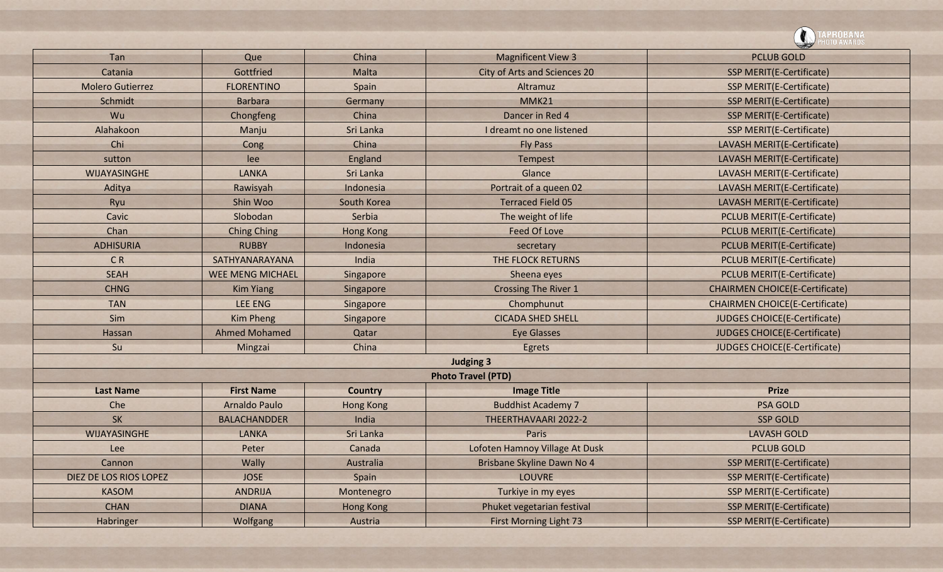|                         |                         |                  |                                | PROBANA<br><sup>Oto Awards</sup>      |
|-------------------------|-------------------------|------------------|--------------------------------|---------------------------------------|
| Tan                     | Que                     | China            | <b>Magnificent View 3</b>      | <b>PCLUB GOLD</b>                     |
| Catania                 | Gottfried               | Malta            | City of Arts and Sciences 20   | <b>SSP MERIT(E-Certificate)</b>       |
| <b>Molero Gutierrez</b> | <b>FLORENTINO</b>       | Spain            | Altramuz                       | <b>SSP MERIT(E-Certificate)</b>       |
| Schmidt                 | <b>Barbara</b>          | Germany          | <b>MMK21</b>                   | <b>SSP MERIT(E-Certificate)</b>       |
| Wu                      | Chongfeng               | China            | Dancer in Red 4                | <b>SSP MERIT(E-Certificate)</b>       |
| Alahakoon               | Manju                   | Sri Lanka        | I dreamt no one listened       | <b>SSP MERIT(E-Certificate)</b>       |
| Chi                     | Cong                    | China            | <b>Fly Pass</b>                | LAVASH MERIT(E-Certificate)           |
| sutton                  | lee                     | England          | Tempest                        | LAVASH MERIT(E-Certificate)           |
| <b>WIJAYASINGHE</b>     | <b>LANKA</b>            | Sri Lanka        | Glance                         | LAVASH MERIT(E-Certificate)           |
| Aditya                  | Rawisyah                | Indonesia        | Portrait of a queen 02         | LAVASH MERIT(E-Certificate)           |
| Ryu                     | Shin Woo                | South Korea      | <b>Terraced Field 05</b>       | LAVASH MERIT(E-Certificate)           |
| Cavic                   | Slobodan                | Serbia           | The weight of life             | <b>PCLUB MERIT(E-Certificate)</b>     |
| Chan                    | <b>Ching Ching</b>      | <b>Hong Kong</b> | <b>Feed Of Love</b>            | <b>PCLUB MERIT(E-Certificate)</b>     |
| <b>ADHISURIA</b>        | <b>RUBBY</b>            | Indonesia        | secretary                      | <b>PCLUB MERIT(E-Certificate)</b>     |
| <b>CR</b>               | SATHYANARAYANA          | India            | THE FLOCK RETURNS              | <b>PCLUB MERIT(E-Certificate)</b>     |
| <b>SEAH</b>             | <b>WEE MENG MICHAEL</b> | Singapore        | Sheena eyes                    | <b>PCLUB MERIT(E-Certificate)</b>     |
| <b>CHNG</b>             | <b>Kim Yiang</b>        | Singapore        | <b>Crossing The River 1</b>    | <b>CHAIRMEN CHOICE(E-Certificate)</b> |
| <b>TAN</b>              | <b>LEE ENG</b>          | Singapore        | Chomphunut                     | <b>CHAIRMEN CHOICE(E-Certificate)</b> |
| Sim                     | <b>Kim Pheng</b>        | Singapore        | <b>CICADA SHED SHELL</b>       | <b>JUDGES CHOICE(E-Certificate)</b>   |
| Hassan                  | <b>Ahmed Mohamed</b>    | Qatar            | <b>Eye Glasses</b>             | <b>JUDGES CHOICE(E-Certificate)</b>   |
| Su                      | Mingzai                 | China            | Egrets                         | JUDGES CHOICE(E-Certificate)          |
|                         |                         |                  | <b>Judging 3</b>               |                                       |
|                         |                         |                  | <b>Photo Travel (PTD)</b>      |                                       |
| <b>Last Name</b>        | <b>First Name</b>       | <b>Country</b>   | <b>Image Title</b>             | <b>Prize</b>                          |
| Che                     | <b>Arnaldo Paulo</b>    | <b>Hong Kong</b> | <b>Buddhist Academy 7</b>      | <b>PSA GOLD</b>                       |
| <b>SK</b>               | <b>BALACHANDDER</b>     | India            | THEERTHAVAARI 2022-2           | <b>SSP GOLD</b>                       |
| <b>WIJAYASINGHE</b>     | <b>LANKA</b>            | Sri Lanka        | Paris                          | <b>LAVASH GOLD</b>                    |
| Lee                     | Peter                   | Canada           | Lofoten Hamnoy Village At Dusk | <b>PCLUB GOLD</b>                     |
| Cannon                  | Wally                   | Australia        | Brisbane Skyline Dawn No 4     | <b>SSP MERIT(E-Certificate)</b>       |
| DIEZ DE LOS RIOS LOPEZ  | <b>JOSE</b>             | Spain            | <b>LOUVRE</b>                  | <b>SSP MERIT(E-Certificate)</b>       |
| <b>KASOM</b>            | <b>ANDRIJA</b>          | Montenegro       | Turkiye in my eyes             | SSP MERIT(E-Certificate)              |
| <b>CHAN</b>             | <b>DIANA</b>            | <b>Hong Kong</b> | Phuket vegetarian festival     | <b>SSP MERIT(E-Certificate)</b>       |
| Habringer               | Wolfgang                | Austria          | <b>First Morning Light 73</b>  | <b>SSP MERIT(E-Certificate)</b>       |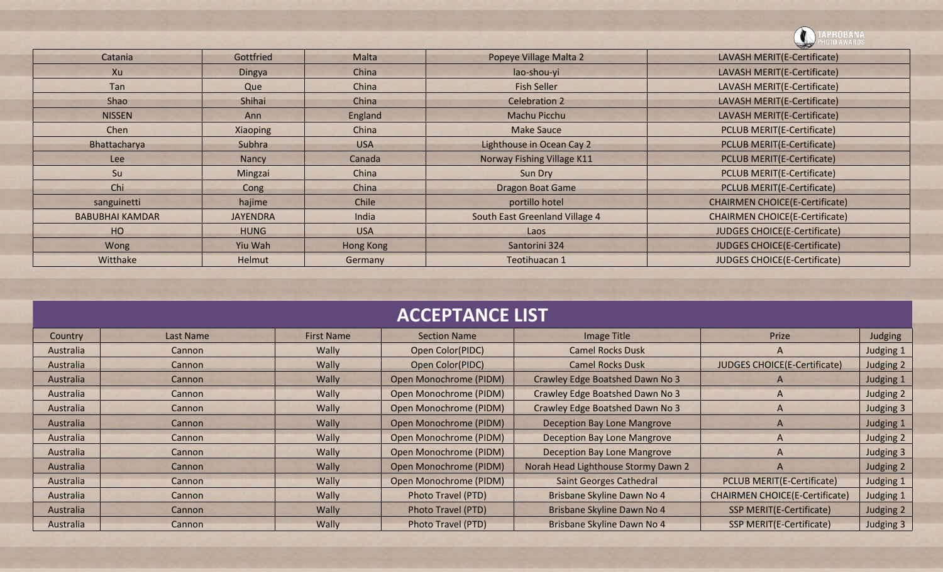![](_page_8_Picture_0.jpeg)

|                        |                 |            |                                | <b>Contract of the Contract of the Contract of The Contract of The Contract of The Contract of The Contract of The Contract of The Contract of The Contract of The Contract of The Contract of The Contract of The Contract of T</b> |
|------------------------|-----------------|------------|--------------------------------|--------------------------------------------------------------------------------------------------------------------------------------------------------------------------------------------------------------------------------------|
| Catania                | Gottfried       | Malta      | Popeye Village Malta 2         | LAVASH MERIT(E-Certificate)                                                                                                                                                                                                          |
| Xu                     | Dingya          | China      | lao-shou-yi                    | LAVASH MERIT(E-Certificate)                                                                                                                                                                                                          |
| Tan                    | Que             | China      | <b>Fish Seller</b>             | LAVASH MERIT(E-Certificate)                                                                                                                                                                                                          |
| Shao                   | Shihai          | China      | <b>Celebration 2</b>           | LAVASH MERIT(E-Certificate)                                                                                                                                                                                                          |
| <b>NISSEN</b>          | Ann             | England    | Machu Picchu                   | LAVASH MERIT(E-Certificate)                                                                                                                                                                                                          |
| Chen                   | Xiaoping        | China      | <b>Make Sauce</b>              | PCLUB MERIT(E-Certificate)                                                                                                                                                                                                           |
| Bhattacharya           | Subhra          | <b>USA</b> | Lighthouse in Ocean Cay 2      | <b>PCLUB MERIT(E-Certificate)</b>                                                                                                                                                                                                    |
| Lee                    | Nancy           | Canada     | Norway Fishing Village K11     | PCLUB MERIT(E-Certificate)                                                                                                                                                                                                           |
| Su                     | Mingzai         | China      | Sun Dry                        | PCLUB MERIT(E-Certificate)                                                                                                                                                                                                           |
| Chi                    | Cong            | China      | <b>Dragon Boat Game</b>        | PCLUB MERIT(E-Certificate)                                                                                                                                                                                                           |
| sanguinetti            | hajime          | Chile      | portillo hotel                 | <b>CHAIRMEN CHOICE(E-Certificate)</b>                                                                                                                                                                                                |
| <b>BABUBHAI KAMDAR</b> | <b>JAYENDRA</b> | India      | South East Greenland Village 4 | <b>CHAIRMEN CHOICE(E-Certificate)</b>                                                                                                                                                                                                |
| H <sub>O</sub>         | <b>HUNG</b>     | <b>USA</b> | Laos                           | <b>JUDGES CHOICE(E-Certificate)</b>                                                                                                                                                                                                  |
| Wong                   | Yiu Wah         | Hong Kong  | Santorini 324                  | <b>JUDGES CHOICE(E-Certificate)</b>                                                                                                                                                                                                  |
| Witthake               | Helmut          | Germany    | Teotihuacan 1                  | <b>JUDGES CHOICE(E-Certificate)</b>                                                                                                                                                                                                  |

| <b>ACCEPTANCE LIST</b>                                                                              |               |       |                           |                                     |                                       |           |  |
|-----------------------------------------------------------------------------------------------------|---------------|-------|---------------------------|-------------------------------------|---------------------------------------|-----------|--|
| Prize<br>Image Title<br>Judging<br><b>First Name</b><br>Last Name<br><b>Section Name</b><br>Country |               |       |                           |                                     |                                       |           |  |
| Australia                                                                                           | Cannon        | Wally | Open Color(PIDC)          | <b>Camel Rocks Dusk</b>             | A                                     | Judging 1 |  |
| Australia                                                                                           | Cannon        | Wally | Open Color(PIDC)          | <b>Camel Rocks Dusk</b>             | <b>JUDGES CHOICE(E-Certificate)</b>   | Judging 2 |  |
| Australia                                                                                           | Cannon        | Wally | Open Monochrome (PIDM)    | Crawley Edge Boatshed Dawn No 3     | A                                     | Judging 1 |  |
| Australia                                                                                           | Cannon        | Wally | Open Monochrome (PIDM)    | Crawley Edge Boatshed Dawn No 3     | A                                     | Judging 2 |  |
| Australia                                                                                           | Cannon        | Wally | Open Monochrome (PIDM)    | Crawley Edge Boatshed Dawn No 3     | A                                     | Judging 3 |  |
| Australia                                                                                           | Cannon        | Wally | Open Monochrome (PIDM)    | <b>Deception Bay Lone Mangrove</b>  | A                                     | Judging 1 |  |
| Australia                                                                                           | Cannon        | Wally | Open Monochrome (PIDM)    | <b>Deception Bay Lone Mangrove</b>  | A                                     | Judging 2 |  |
| Australia                                                                                           | Cannon        | Wally | Open Monochrome (PIDM)    | <b>Deception Bay Lone Mangrove</b>  | A                                     | Judging 3 |  |
| Australia                                                                                           | Cannon        | Wally | Open Monochrome (PIDM)    | Norah Head Lighthouse Stormy Dawn 2 | A                                     | Judging 2 |  |
| Australia                                                                                           | Cannon        | Wally | Open Monochrome (PIDM)    | <b>Saint Georges Cathedral</b>      | <b>PCLUB MERIT(E-Certificate)</b>     | Judging 1 |  |
| Australia                                                                                           | Cannon        | Wally | Photo Travel (PTD)        | Brisbane Skyline Dawn No 4          | <b>CHAIRMEN CHOICE(E-Certificate)</b> | Judging 1 |  |
| Australia                                                                                           | Cannon        | Wally | Photo Travel (PTD)        | Brisbane Skyline Dawn No 4          | SSP MERIT(E-Certificate)              | Judging 2 |  |
| Australia                                                                                           | <b>Cannon</b> | Wally | <b>Photo Travel (PTD)</b> | Brisbane Skyline Dawn No 4          | SSP MERIT(E-Certificate)              | Judging 3 |  |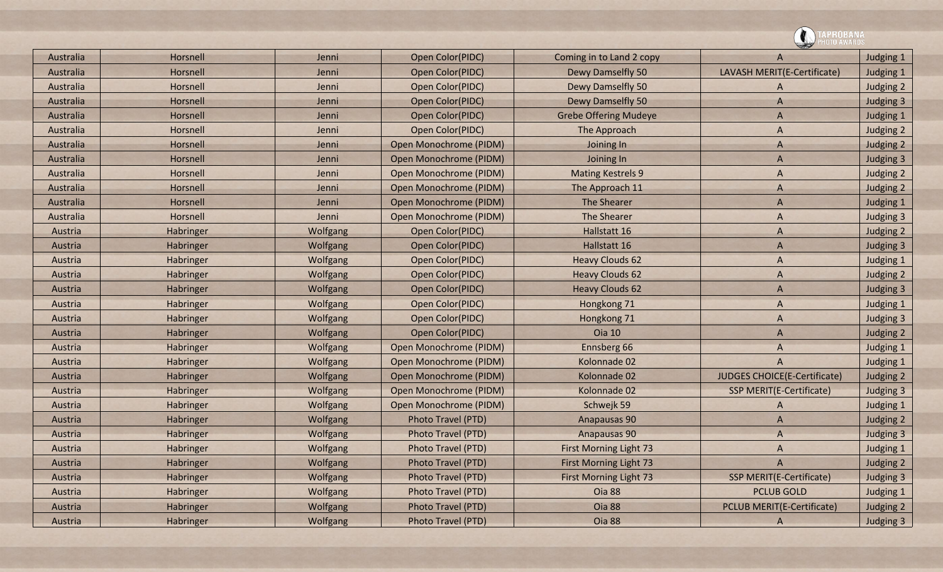|           |                  |          |                        |                               | $\rightarrow$                     |           |  |
|-----------|------------------|----------|------------------------|-------------------------------|-----------------------------------|-----------|--|
| Australia | Horsnell         | Jenni    | Open Color(PIDC)       | Coming in to Land 2 copy      | A                                 | Judging 1 |  |
| Australia | Horsnell         | Jenni    | Open Color(PIDC)       | Dewy Damselfly 50             | LAVASH MERIT(E-Certificate)       | Judging 1 |  |
| Australia | Horsnell         | Jenni    | Open Color(PIDC)       | Dewy Damselfly 50             | A                                 | Judging 2 |  |
| Australia | Horsnell         | Jenni    | Open Color(PIDC)       | <b>Dewy Damselfly 50</b>      | $\mathsf{A}$                      | Judging 3 |  |
| Australia | Horsnell         | Jenni    | Open Color(PIDC)       | <b>Grebe Offering Mudeye</b>  | $\overline{A}$                    | Judging 1 |  |
| Australia | Horsnell         | Jenni    | Open Color(PIDC)       | The Approach                  | A                                 | Judging 2 |  |
| Australia | Horsnell         | Jenni    | Open Monochrome (PIDM) | Joining In                    | A                                 | Judging 2 |  |
| Australia | Horsnell         | Jenni    | Open Monochrome (PIDM) | Joining In                    | $\overline{A}$                    | Judging 3 |  |
| Australia | Horsnell         | Jenni    | Open Monochrome (PIDM) | <b>Mating Kestrels 9</b>      | A                                 | Judging 2 |  |
| Australia | Horsnell         | Jenni    | Open Monochrome (PIDM) | The Approach 11               | A                                 | Judging 2 |  |
| Australia | Horsnell         | Jenni    | Open Monochrome (PIDM) | <b>The Shearer</b>            | A                                 | Judging 1 |  |
| Australia | Horsnell         | Jenni    | Open Monochrome (PIDM) | <b>The Shearer</b>            | A                                 | Judging 3 |  |
| Austria   | <b>Habringer</b> | Wolfgang | Open Color(PIDC)       | Hallstatt 16                  | A                                 | Judging 2 |  |
| Austria   | Habringer        | Wolfgang | Open Color(PIDC)       | Hallstatt 16                  | A                                 | Judging 3 |  |
| Austria   | Habringer        | Wolfgang | Open Color(PIDC)       | <b>Heavy Clouds 62</b>        | A                                 | Judging 1 |  |
| Austria   | Habringer        | Wolfgang | Open Color(PIDC)       | <b>Heavy Clouds 62</b>        | A                                 | Judging 2 |  |
| Austria   | Habringer        | Wolfgang | Open Color(PIDC)       | <b>Heavy Clouds 62</b>        | A                                 | Judging 3 |  |
| Austria   | Habringer        | Wolfgang | Open Color(PIDC)       | Hongkong 71                   | A                                 | Judging 1 |  |
| Austria   | Habringer        | Wolfgang | Open Color(PIDC)       | Hongkong 71                   | $\overline{A}$                    | Judging 3 |  |
| Austria   | Habringer        | Wolfgang | Open Color(PIDC)       | <b>Oia 10</b>                 | A                                 | Judging 2 |  |
| Austria   | Habringer        | Wolfgang | Open Monochrome (PIDM) | Ennsberg 66                   | A                                 | Judging 1 |  |
| Austria   | Habringer        | Wolfgang | Open Monochrome (PIDM) | Kolonnade 02                  | $\overline{A}$                    | Judging 1 |  |
| Austria   | Habringer        | Wolfgang | Open Monochrome (PIDM) | Kolonnade 02                  | JUDGES CHOICE(E-Certificate)      | Judging 2 |  |
| Austria   | Habringer        | Wolfgang | Open Monochrome (PIDM) | Kolonnade 02                  | <b>SSP MERIT(E-Certificate)</b>   | Judging 3 |  |
| Austria   | Habringer        | Wolfgang | Open Monochrome (PIDM) | Schwejk 59                    | A                                 | Judging 1 |  |
| Austria   | Habringer        | Wolfgang | Photo Travel (PTD)     | Anapausas 90                  | A                                 | Judging 2 |  |
| Austria   | Habringer        | Wolfgang | Photo Travel (PTD)     | Anapausas 90                  | A                                 | Judging 3 |  |
| Austria   | Habringer        | Wolfgang | Photo Travel (PTD)     | First Morning Light 73        | A                                 | Judging 1 |  |
| Austria   | Habringer        | Wolfgang | Photo Travel (PTD)     | First Morning Light 73        | $\mathsf{A}$                      | Judging 2 |  |
| Austria   | Habringer        | Wolfgang | Photo Travel (PTD)     | <b>First Morning Light 73</b> | <b>SSP MERIT(E-Certificate)</b>   | Judging 3 |  |
| Austria   | Habringer        | Wolfgang | Photo Travel (PTD)     | Oia 88                        | <b>PCLUB GOLD</b>                 | Judging 1 |  |
| Austria   | Habringer        | Wolfgang | Photo Travel (PTD)     | Oia 88                        | <b>PCLUB MERIT(E-Certificate)</b> | Judging 2 |  |
| Austria   | Habringer        | Wolfgang | Photo Travel (PTD)     | Oia 88                        | $\mathsf{A}$                      | Judging 3 |  |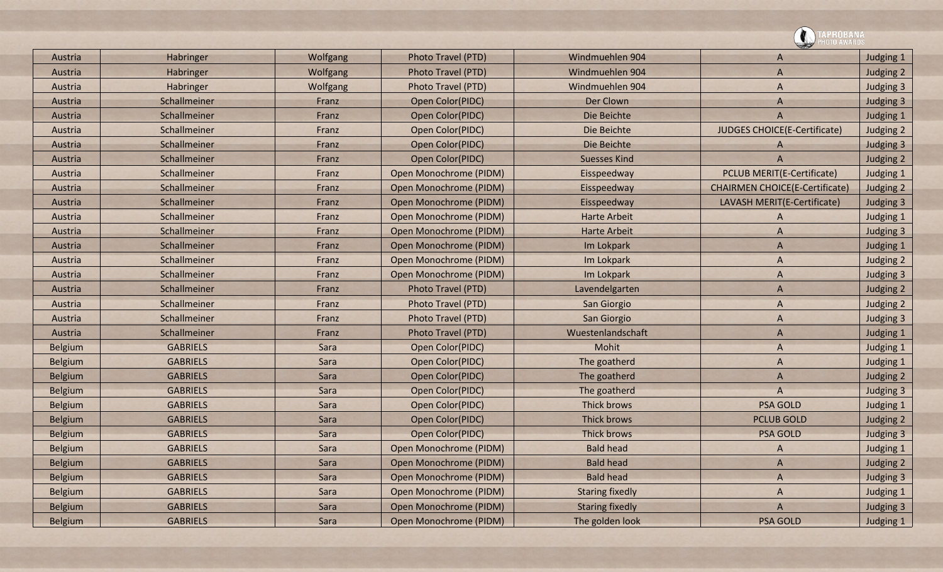|                |                 |          |                               |                        | <b>\PROBANA</b>                       |           |
|----------------|-----------------|----------|-------------------------------|------------------------|---------------------------------------|-----------|
| Austria        | Habringer       | Wolfgang | Photo Travel (PTD)            | Windmuehlen 904        | A                                     | Judging 1 |
| Austria        | Habringer       | Wolfgang | Photo Travel (PTD)            | Windmuehlen 904        | $\overline{A}$                        | Judging 2 |
| Austria        | Habringer       | Wolfgang | Photo Travel (PTD)            | Windmuehlen 904        | A                                     | Judging 3 |
| Austria        | Schallmeiner    | Franz    | Open Color(PIDC)              | Der Clown              | $\mathsf{A}$                          | Judging 3 |
| Austria        | Schallmeiner    | Franz    | Open Color(PIDC)              | Die Beichte            | A                                     | Judging 1 |
| Austria        | Schallmeiner    | Franz    | Open Color(PIDC)              | Die Beichte            | JUDGES CHOICE(E-Certificate)          | Judging 2 |
| Austria        | Schallmeiner    | Franz    | Open Color(PIDC)              | Die Beichte            | A                                     | Judging 3 |
| Austria        | Schallmeiner    | Franz    | Open Color(PIDC)              | <b>Suesses Kind</b>    | $\overline{A}$                        | Judging 2 |
| Austria        | Schallmeiner    | Franz    | Open Monochrome (PIDM)        | Eisspeedway            | PCLUB MERIT(E-Certificate)            | Judging 1 |
| Austria        | Schallmeiner    | Franz    | Open Monochrome (PIDM)        | Eisspeedway            | <b>CHAIRMEN CHOICE(E-Certificate)</b> | Judging 2 |
| Austria        | Schallmeiner    | Franz    | Open Monochrome (PIDM)        | Eisspeedway            | LAVASH MERIT(E-Certificate)           | Judging 3 |
| Austria        | Schallmeiner    | Franz    | Open Monochrome (PIDM)        | <b>Harte Arbeit</b>    | A                                     | Judging 1 |
| Austria        | Schallmeiner    | Franz    | Open Monochrome (PIDM)        | <b>Harte Arbeit</b>    | A                                     | Judging 3 |
| Austria        | Schallmeiner    | Franz    | Open Monochrome (PIDM)        | Im Lokpark             | $\overline{A}$                        | Judging 1 |
| Austria        | Schallmeiner    | Franz    | Open Monochrome (PIDM)        | Im Lokpark             | A                                     | Judging 2 |
| Austria        | Schallmeiner    | Franz    | Open Monochrome (PIDM)        | Im Lokpark             | A                                     | Judging 3 |
| Austria        | Schallmeiner    | Franz    | Photo Travel (PTD)            | Lavendelgarten         | $\overline{A}$                        | Judging 2 |
| Austria        | Schallmeiner    | Franz    | Photo Travel (PTD)            | San Giorgio            | A                                     | Judging 2 |
| Austria        | Schallmeiner    | Franz    | Photo Travel (PTD)            | San Giorgio            | A                                     | Judging 3 |
| Austria        | Schallmeiner    | Franz    | Photo Travel (PTD)            | Wuestenlandschaft      | $\overline{A}$                        | Judging 1 |
| <b>Belgium</b> | <b>GABRIELS</b> | Sara     | Open Color(PIDC)              | Mohit                  | A                                     | Judging 1 |
| <b>Belgium</b> | <b>GABRIELS</b> | Sara     | Open Color(PIDC)              | The goatherd           | A                                     | Judging 1 |
| <b>Belgium</b> | <b>GABRIELS</b> | Sara     | Open Color(PIDC)              | The goatherd           | $\overline{A}$                        | Judging 2 |
| <b>Belgium</b> | <b>GABRIELS</b> | Sara     | Open Color(PIDC)              | The goatherd           | $\overline{A}$                        | Judging 3 |
| <b>Belgium</b> | <b>GABRIELS</b> | Sara     | Open Color(PIDC)              | Thick brows            | <b>PSA GOLD</b>                       | Judging 1 |
| <b>Belgium</b> | <b>GABRIELS</b> | Sara     | <b>Open Color(PIDC)</b>       | Thick brows            | <b>PCLUB GOLD</b>                     | Judging 2 |
| <b>Belgium</b> | <b>GABRIELS</b> | Sara     | Open Color(PIDC)              | Thick brows            | <b>PSA GOLD</b>                       | Judging 3 |
| <b>Belgium</b> | <b>GABRIELS</b> | Sara     | <b>Open Monochrome (PIDM)</b> | <b>Bald head</b>       | A                                     | Judging 1 |
| <b>Belgium</b> | <b>GABRIELS</b> | Sara     | Open Monochrome (PIDM)        | <b>Bald head</b>       | A                                     | Judging 2 |
| <b>Belgium</b> | <b>GABRIELS</b> | Sara     | Open Monochrome (PIDM)        | <b>Bald head</b>       | A                                     | Judging 3 |
| <b>Belgium</b> | <b>GABRIELS</b> | Sara     | Open Monochrome (PIDM)        | <b>Staring fixedly</b> | A                                     | Judging 1 |
| <b>Belgium</b> | <b>GABRIELS</b> | Sara     | Open Monochrome (PIDM)        | <b>Staring fixedly</b> | $\bigwedge$                           | Judging 3 |
| <b>Belgium</b> | <b>GABRIELS</b> | Sara     | Open Monochrome (PIDM)        | The golden look        | <b>PSA GOLD</b>                       | Judging 1 |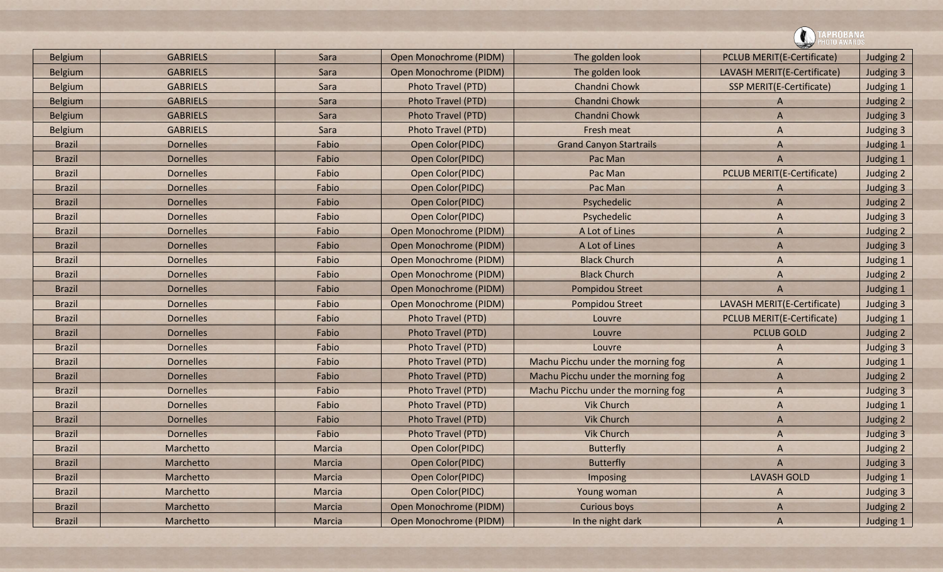| <b>Belgium</b> | <b>GABRIELS</b>  | Sara   | Open Monochrome (PIDM) | The golden look                    | <b>PCLUB MERIT(E-Certificate)</b> | Judging 2 |  |
|----------------|------------------|--------|------------------------|------------------------------------|-----------------------------------|-----------|--|
| <b>Belgium</b> | <b>GABRIELS</b>  | Sara   | Open Monochrome (PIDM) | The golden look                    | LAVASH MERIT(E-Certificate)       | Judging 3 |  |
| <b>Belgium</b> | <b>GABRIELS</b>  | Sara   | Photo Travel (PTD)     | Chandni Chowk                      | <b>SSP MERIT(E-Certificate)</b>   | Judging 1 |  |
| <b>Belgium</b> | <b>GABRIELS</b>  | Sara   | Photo Travel (PTD)     | Chandni Chowk                      | A                                 | Judging 2 |  |
| <b>Belgium</b> | <b>GABRIELS</b>  | Sara   | Photo Travel (PTD)     | Chandni Chowk                      | A                                 | Judging 3 |  |
| <b>Belgium</b> | <b>GABRIELS</b>  | Sara   | Photo Travel (PTD)     | Fresh meat                         | A                                 | Judging 3 |  |
| <b>Brazil</b>  | <b>Dornelles</b> | Fabio  | Open Color(PIDC)       | <b>Grand Canyon Startrails</b>     | A                                 | Judging 1 |  |
| <b>Brazil</b>  | <b>Dornelles</b> | Fabio  | Open Color(PIDC)       | Pac Man                            | A                                 | Judging 1 |  |
| <b>Brazil</b>  | <b>Dornelles</b> | Fabio  | Open Color(PIDC)       | Pac Man                            | <b>PCLUB MERIT(E-Certificate)</b> | Judging 2 |  |
| <b>Brazil</b>  | <b>Dornelles</b> | Fabio  | Open Color(PIDC)       | Pac Man                            | A                                 | Judging 3 |  |
| <b>Brazil</b>  | <b>Dornelles</b> | Fabio  | Open Color(PIDC)       | Psychedelic                        | A                                 | Judging 2 |  |
| <b>Brazil</b>  | <b>Dornelles</b> | Fabio  | Open Color(PIDC)       | Psychedelic                        | A                                 | Judging 3 |  |
| <b>Brazil</b>  | <b>Dornelles</b> | Fabio  | Open Monochrome (PIDM) | A Lot of Lines                     | A                                 | Judging 2 |  |
| <b>Brazil</b>  | <b>Dornelles</b> | Fabio  | Open Monochrome (PIDM) | A Lot of Lines                     | A                                 | Judging 3 |  |
| <b>Brazil</b>  | <b>Dornelles</b> | Fabio  | Open Monochrome (PIDM) | <b>Black Church</b>                | A                                 | Judging 1 |  |
| <b>Brazil</b>  | <b>Dornelles</b> | Fabio  | Open Monochrome (PIDM) | <b>Black Church</b>                | A                                 | Judging 2 |  |
| <b>Brazil</b>  | <b>Dornelles</b> | Fabio  | Open Monochrome (PIDM) | Pompidou Street                    | $\overline{A}$                    | Judging 1 |  |
| <b>Brazil</b>  | <b>Dornelles</b> | Fabio  | Open Monochrome (PIDM) | Pompidou Street                    | LAVASH MERIT(E-Certificate)       | Judging 3 |  |
| <b>Brazil</b>  | <b>Dornelles</b> | Fabio  | Photo Travel (PTD)     | Louvre                             | <b>PCLUB MERIT(E-Certificate)</b> | Judging 1 |  |
| <b>Brazil</b>  | <b>Dornelles</b> | Fabio  | Photo Travel (PTD)     | Louvre                             | <b>PCLUB GOLD</b>                 | Judging 2 |  |
| <b>Brazil</b>  | <b>Dornelles</b> | Fabio  | Photo Travel (PTD)     | Louvre                             | A                                 | Judging 3 |  |
| <b>Brazil</b>  | <b>Dornelles</b> | Fabio  | Photo Travel (PTD)     | Machu Picchu under the morning fog | A                                 | Judging 1 |  |
| <b>Brazil</b>  | <b>Dornelles</b> | Fabio  | Photo Travel (PTD)     | Machu Picchu under the morning fog | A                                 | Judging 2 |  |
| <b>Brazil</b>  | <b>Dornelles</b> | Fabio  | Photo Travel (PTD)     | Machu Picchu under the morning fog | A                                 | Judging 3 |  |
| <b>Brazil</b>  | <b>Dornelles</b> | Fabio  | Photo Travel (PTD)     | <b>Vik Church</b>                  | A                                 | Judging 1 |  |
| <b>Brazil</b>  | <b>Dornelles</b> | Fabio  | Photo Travel (PTD)     | <b>Vik Church</b>                  | A                                 | Judging 2 |  |
| <b>Brazil</b>  | <b>Dornelles</b> | Fabio  | Photo Travel (PTD)     | <b>Vik Church</b>                  | A                                 | Judging 3 |  |
| <b>Brazil</b>  | Marchetto        | Marcia | Open Color(PIDC)       | <b>Butterfly</b>                   | A                                 | Judging 2 |  |
| <b>Brazil</b>  | Marchetto        | Marcia | Open Color(PIDC)       | <b>Butterfly</b>                   | A                                 | Judging 3 |  |
| <b>Brazil</b>  | Marchetto        | Marcia | Open Color(PIDC)       | <b>Imposing</b>                    | <b>LAVASH GOLD</b>                | Judging 1 |  |
| <b>Brazil</b>  | Marchetto        | Marcia | Open Color(PIDC)       | Young woman                        | A                                 | Judging 3 |  |
| <b>Brazil</b>  | Marchetto        | Marcia | Open Monochrome (PIDM) | Curious boys                       | A                                 | Judging 2 |  |
| <b>Brazil</b>  | Marchetto        | Marcia | Open Monochrome (PIDM) | In the night dark                  | $\overline{A}$                    | Judging 1 |  |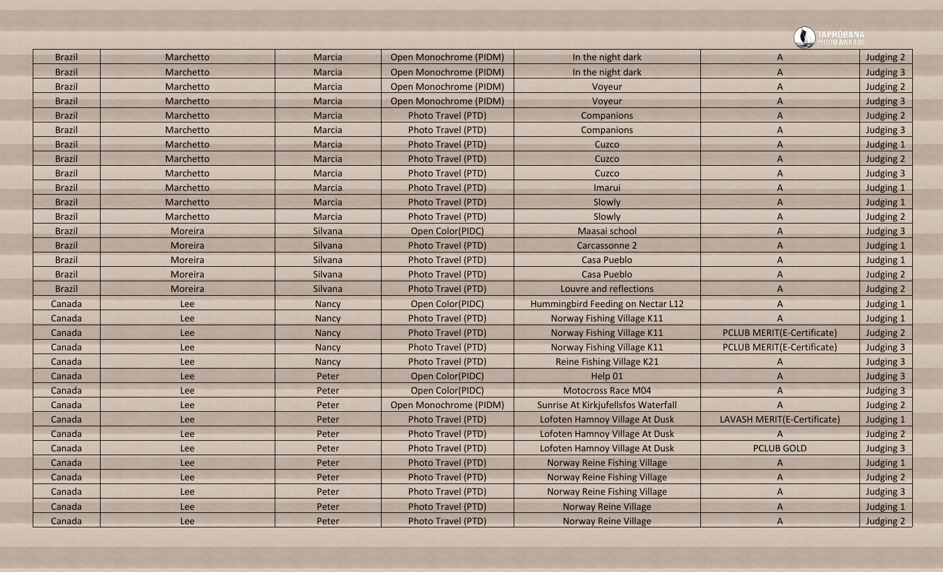|               |            |              |                        |                                     | PROBANA                           |           |
|---------------|------------|--------------|------------------------|-------------------------------------|-----------------------------------|-----------|
| <b>Brazil</b> | Marchetto  | Marcia       | Open Monochrome (PIDM) | In the night dark                   | A                                 | Judging 2 |
| <b>Brazil</b> | Marchetto  | Marcia       | Open Monochrome (PIDM) | In the night dark                   | $\overline{A}$                    | Judging 3 |
| <b>Brazil</b> | Marchetto  | Marcia       | Open Monochrome (PIDM) | Voyeur                              | $\overline{A}$                    | Judging 2 |
| <b>Brazil</b> | Marchetto  | Marcia       | Open Monochrome (PIDM) | Voyeur                              | $\mathsf{A}$                      | Judging 3 |
| <b>Brazil</b> | Marchetto  | Marcia       | Photo Travel (PTD)     | Companions                          | A                                 | Judging 2 |
| <b>Brazil</b> | Marchetto  | Marcia       | Photo Travel (PTD)     | Companions                          | $\overline{A}$                    | Judging 3 |
| <b>Brazil</b> | Marchetto  | Marcia       | Photo Travel (PTD)     | Cuzco                               | $\mathsf{A}$                      | Judging 1 |
| <b>Brazil</b> | Marchetto  | Marcia       | Photo Travel (PTD)     | Cuzco                               | $\overline{A}$                    | Judging 2 |
| <b>Brazil</b> | Marchetto  | Marcia       | Photo Travel (PTD)     | Cuzco                               | A                                 | Judging 3 |
| <b>Brazil</b> | Marchetto  | Marcia       | Photo Travel (PTD)     | Imarui                              | A                                 | Judging 1 |
| <b>Brazil</b> | Marchetto  | Marcia       | Photo Travel (PTD)     | Slowly                              | $\overline{A}$                    | Judging 1 |
| <b>Brazil</b> | Marchetto  | Marcia       | Photo Travel (PTD)     | Slowly                              | $\overline{A}$                    | Judging 2 |
| <b>Brazil</b> | Moreira    | Silvana      | Open Color(PIDC)       | Maasai school                       | A                                 | Judging 3 |
| <b>Brazil</b> | Moreira    | Silvana      | Photo Travel (PTD)     | Carcassonne 2                       | $\overline{A}$                    | Judging 1 |
| <b>Brazil</b> | Moreira    | Silvana      | Photo Travel (PTD)     | Casa Pueblo                         | A                                 | Judging 1 |
| <b>Brazil</b> | Moreira    | Silvana      | Photo Travel (PTD)     | Casa Pueblo                         | A                                 | Judging 2 |
| <b>Brazil</b> | Moreira    | Silvana      | Photo Travel (PTD)     | Louvre and reflections              | $\overline{A}$                    | Judging 2 |
| Canada        | Lee        | <b>Nancy</b> | Open Color(PIDC)       | Hummingbird Feeding on Nectar L12   | A                                 | Judging 1 |
| Canada        | Lee        | <b>Nancy</b> | Photo Travel (PTD)     | Norway Fishing Village K11          | A                                 | Judging 1 |
| Canada        | <b>Lee</b> | Nancy        | Photo Travel (PTD)     | Norway Fishing Village K11          | PCLUB MERIT(E-Certificate)        | Judging 2 |
| Canada        | Lee        | Nancy        | Photo Travel (PTD)     | Norway Fishing Village K11          | <b>PCLUB MERIT(E-Certificate)</b> | Judging 3 |
| Canada        | Lee        | Nancy        | Photo Travel (PTD)     | Reine Fishing Village K21           | A                                 | Judging 3 |
| Canada        | Lee        | Peter        | Open Color(PIDC)       | Help 01                             | $\overline{A}$                    | Judging 3 |
| Canada        | Lee        | Peter        | Open Color(PIDC)       | <b>Motocross Race M04</b>           | $\overline{A}$                    | Judging 3 |
| Canada        | Lee        | Peter        | Open Monochrome (PIDM) | Sunrise At Kirkjufellsfos Waterfall | $\overline{A}$                    | Judging 2 |
| Canada        | Lee        | Peter        | Photo Travel (PTD)     | Lofoten Hamnoy Village At Dusk      | LAVASH MERIT(E-Certificate)       | Judging 1 |
| Canada        | Lee        | Peter        | Photo Travel (PTD)     | Lofoten Hamnoy Village At Dusk      | A                                 | Judging 2 |
| Canada        | Lee        | Peter        | Photo Travel (PTD)     | Lofoten Hamnoy Village At Dusk      | <b>PCLUB GOLD</b>                 | Judging 3 |
| Canada        | Lee        | Peter        | Photo Travel (PTD)     | Norway Reine Fishing Village        | A                                 | Judging 1 |
| Canada        | Lee        | Peter        | Photo Travel (PTD)     | Norway Reine Fishing Village        | $\overline{A}$                    | Judging 2 |
| Canada        | Lee        | Peter        | Photo Travel (PTD)     | Norway Reine Fishing Village        | A                                 | Judging 3 |
| Canada        | Lee        | Peter        | Photo Travel (PTD)     | Norway Reine Village                | $\bigwedge$                       | Judging 1 |
| Canada        | Lee        | Peter        | Photo Travel (PTD)     | <b>Norway Reine Village</b>         | $\overline{A}$                    | Judging 2 |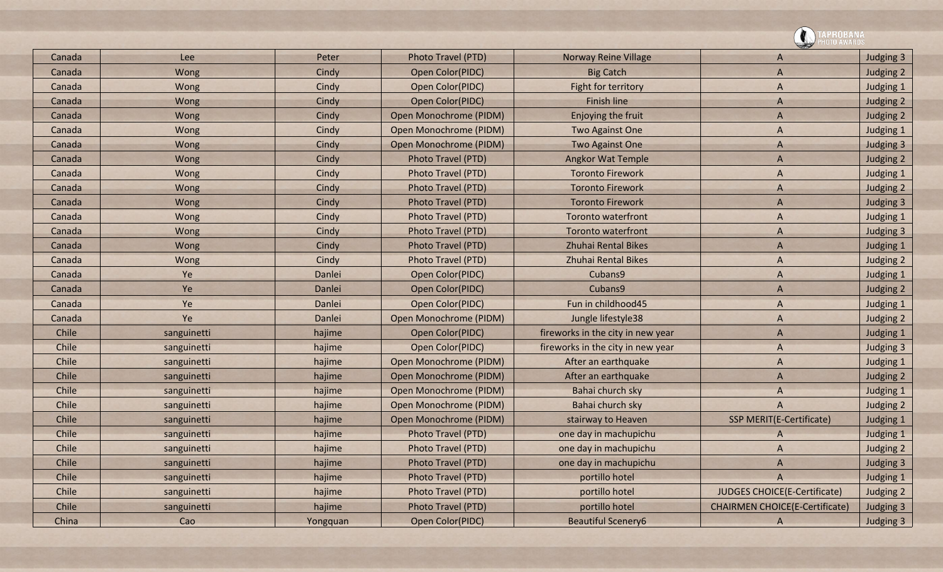|        |             |          |                           |                                   | <b>\PROBANA</b>                       |           |
|--------|-------------|----------|---------------------------|-----------------------------------|---------------------------------------|-----------|
| Canada | Lee         | Peter    | Photo Travel (PTD)        | <b>Norway Reine Village</b>       | A                                     | Judging 3 |
| Canada | Wong        | Cindy    | Open Color(PIDC)          | <b>Big Catch</b>                  | A                                     | Judging 2 |
| Canada | Wong        | Cindy    | Open Color(PIDC)          | Fight for territory               | A                                     | Judging 1 |
| Canada | Wong        | Cindy    | Open Color(PIDC)          | <b>Finish line</b>                | A                                     | Judging 2 |
| Canada | Wong        | Cindy    | Open Monochrome (PIDM)    | Enjoying the fruit                | A                                     | Judging 2 |
| Canada | Wong        | Cindy    | Open Monochrome (PIDM)    | Two Against One                   | A                                     | Judging 1 |
| Canada | Wong        | Cindy    | Open Monochrome (PIDM)    | <b>Two Against One</b>            | A                                     | Judging 3 |
| Canada | Wong        | Cindy    | <b>Photo Travel (PTD)</b> | <b>Angkor Wat Temple</b>          | A                                     | Judging 2 |
| Canada | Wong        | Cindy    | Photo Travel (PTD)        | <b>Toronto Firework</b>           | A                                     | Judging 1 |
| Canada | Wong        | Cindy    | Photo Travel (PTD)        | <b>Toronto Firework</b>           | A                                     | Judging 2 |
| Canada | Wong        | Cindy    | Photo Travel (PTD)        | <b>Toronto Firework</b>           | A                                     | Judging 3 |
| Canada | Wong        | Cindy    | Photo Travel (PTD)        | <b>Toronto waterfront</b>         | A                                     | Judging 1 |
| Canada | Wong        | Cindy    | Photo Travel (PTD)        | <b>Toronto waterfront</b>         | A                                     | Judging 3 |
| Canada | Wong        | Cindy    | Photo Travel (PTD)        | <b>Zhuhai Rental Bikes</b>        | A                                     | Judging 1 |
| Canada | Wong        | Cindy    | Photo Travel (PTD)        | <b>Zhuhai Rental Bikes</b>        | A                                     | Judging 2 |
| Canada | Ye          | Danlei   | Open Color(PIDC)          | Cubans9                           | A                                     | Judging 1 |
| Canada | Ye          | Danlei   | Open Color(PIDC)          | Cubans9                           | A                                     | Judging 2 |
| Canada | Ye          | Danlei   | Open Color(PIDC)          | Fun in childhood45                | A                                     | Judging 1 |
| Canada | Ye          | Danlei   | Open Monochrome (PIDM)    | Jungle lifestyle38                | A                                     | Judging 2 |
| Chile  | sanguinetti | hajime   | Open Color(PIDC)          | fireworks in the city in new year | A                                     | Judging 1 |
| Chile  | sanguinetti | hajime   | Open Color(PIDC)          | fireworks in the city in new year | A                                     | Judging 3 |
| Chile  | sanguinetti | hajime   | Open Monochrome (PIDM)    | After an earthquake               | A                                     | Judging 1 |
| Chile  | sanguinetti | hajime   | Open Monochrome (PIDM)    | After an earthquake               | A                                     | Judging 2 |
| Chile  | sanguinetti | hajime   | Open Monochrome (PIDM)    | Bahai church sky                  | A                                     | Judging 1 |
| Chile  | sanguinetti | hajime   | Open Monochrome (PIDM)    | Bahai church sky                  | A                                     | Judging 2 |
| Chile  | sanguinetti | hajime   | Open Monochrome (PIDM)    | stairway to Heaven                | <b>SSP MERIT(E-Certificate)</b>       | Judging 1 |
| Chile  | sanguinetti | hajime   | Photo Travel (PTD)        | one day in machupichu             | A                                     | Judging 1 |
| Chile  | sanguinetti | hajime   | Photo Travel (PTD)        | one day in machupichu             | A                                     | Judging 2 |
| Chile  | sanguinetti | hajime   | Photo Travel (PTD)        | one day in machupichu             | A                                     | Judging 3 |
| Chile  | sanguinetti | hajime   | Photo Travel (PTD)        | portillo hotel                    | A                                     | Judging 1 |
| Chile  | sanguinetti | hajime   | Photo Travel (PTD)        | portillo hotel                    | <b>JUDGES CHOICE(E-Certificate)</b>   | Judging 2 |
| Chile  | sanguinetti | hajime   | Photo Travel (PTD)        | portillo hotel                    | <b>CHAIRMEN CHOICE(E-Certificate)</b> | Judging 3 |
| China  | Cao         | Yongquan | Open Color(PIDC)          | <b>Beautiful Scenery6</b>         | $\mathsf{A}$                          | Judging 3 |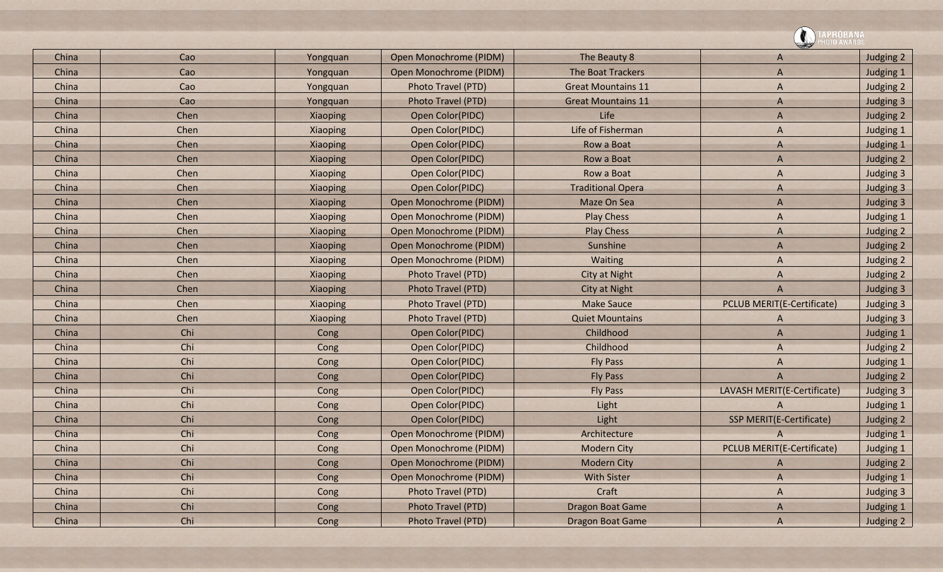![](_page_14_Picture_0.jpeg)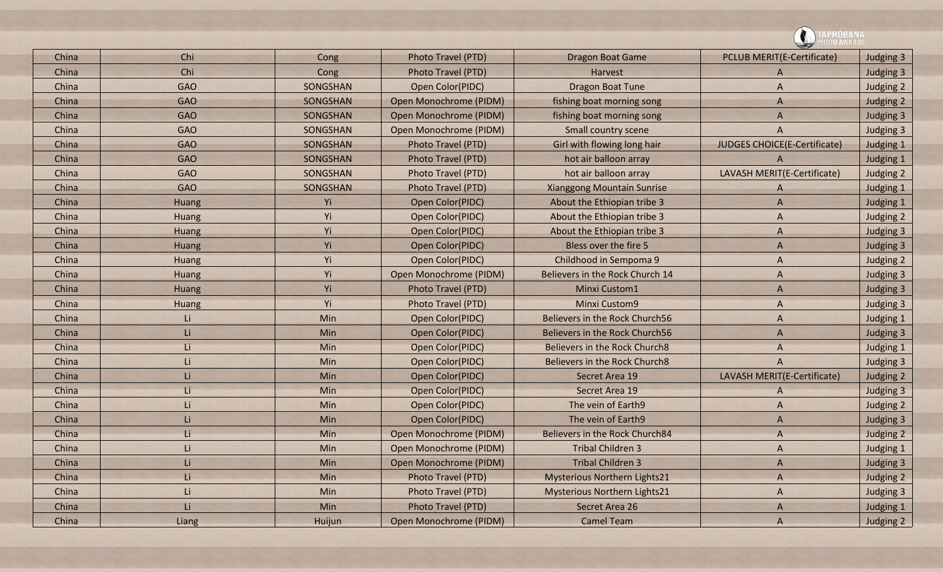| China | Chi          | Cong     | Photo Travel (PTD)        | <b>Dragon Boat Game</b>             | <b>PCLUB MERIT(E-Certificate)</b>   | Judging 3 |
|-------|--------------|----------|---------------------------|-------------------------------------|-------------------------------------|-----------|
| China | Chi          | Cong     | Photo Travel (PTD)        | Harvest                             | A                                   | Judging 3 |
| China | <b>GAO</b>   | SONGSHAN | Open Color(PIDC)          | Dragon Boat Tune                    | $\overline{A}$                      | Judging 2 |
| China | <b>GAO</b>   | SONGSHAN | Open Monochrome (PIDM)    | fishing boat morning song           | $\mathsf{A}$                        | Judging 2 |
| China | <b>GAO</b>   | SONGSHAN | Open Monochrome (PIDM)    | fishing boat morning song           | A                                   | Judging 3 |
| China | <b>GAO</b>   | SONGSHAN | Open Monochrome (PIDM)    | Small country scene                 | A                                   | Judging 3 |
| China | <b>GAO</b>   | SONGSHAN | Photo Travel (PTD)        | Girl with flowing long hair         | <b>JUDGES CHOICE(E-Certificate)</b> | Judging 1 |
| China | <b>GAO</b>   | SONGSHAN | <b>Photo Travel (PTD)</b> | hot air balloon array               | A                                   | Judging 1 |
| China | <b>GAO</b>   | SONGSHAN | Photo Travel (PTD)        | hot air balloon array               | LAVASH MERIT(E-Certificate)         | Judging 2 |
| China | <b>GAO</b>   | SONGSHAN | Photo Travel (PTD)        | <b>Xianggong Mountain Sunrise</b>   | A                                   | Judging 1 |
| China | Huang        | Yi       | Open Color(PIDC)          | About the Ethiopian tribe 3         | $\overline{A}$                      | Judging 1 |
| China | Huang        | Yi       | Open Color(PIDC)          | About the Ethiopian tribe 3         | A                                   | Judging 2 |
| China | Huang        | Yi       | Open Color(PIDC)          | About the Ethiopian tribe 3         | A                                   | Judging 3 |
| China | Huang        | Yi       | Open Color(PIDC)          | Bless over the fire 5               | A                                   | Judging 3 |
| China | Huang        | Yi       | Open Color(PIDC)          | Childhood in Sempoma 9              | A                                   | Judging 2 |
| China | <b>Huang</b> | Yi       | Open Monochrome (PIDM)    | Believers in the Rock Church 14     | A                                   | Judging 3 |
| China | Huang        | Yi       | Photo Travel (PTD)        | <b>Minxi Custom1</b>                | A                                   | Judging 3 |
| China | Huang        | Yi       | Photo Travel (PTD)        | <b>Minxi Custom9</b>                | A                                   | Judging 3 |
| China | Li           | Min      | Open Color(PIDC)          | Believers in the Rock Church56      | A                                   | Judging 1 |
| China | Li           | Min      | Open Color(PIDC)          | Believers in the Rock Church56      | $\overline{A}$                      | Judging 3 |
| China | Li           | Min      | Open Color(PIDC)          | Believers in the Rock Church8       | A                                   | Judging 1 |
| China | Li           | Min      | Open Color(PIDC)          | Believers in the Rock Church8       | $\overline{A}$                      | Judging 3 |
| China | Li           | Min      | Open Color(PIDC)          | Secret Area 19                      | LAVASH MERIT(E-Certificate)         | Judging 2 |
| China | Li           | Min      | Open Color(PIDC)          | Secret Area 19                      | A                                   | Judging 3 |
| China | Li           | Min      | Open Color(PIDC)          | The vein of Earth9                  | A                                   | Judging 2 |
| China | Li           | Min      | Open Color(PIDC)          | The vein of Earth9                  | $\overline{A}$                      | Judging 3 |
| China | Li           | Min      | Open Monochrome (PIDM)    | Believers in the Rock Church84      | $\overline{A}$                      | Judging 2 |
| China | Li           | Min      | Open Monochrome (PIDM)    | <b>Tribal Children 3</b>            | A                                   | Judging 1 |
| China | Li           | Min      | Open Monochrome (PIDM)    | <b>Tribal Children 3</b>            | $\Lambda$                           | Judging 3 |
| China | Li           | Min      | Photo Travel (PTD)        | <b>Mysterious Northern Lights21</b> | A                                   | Judging 2 |
| China | Li           | Min      | Photo Travel (PTD)        | <b>Mysterious Northern Lights21</b> | A                                   | Judging 3 |
| China | Li           | Min      | Photo Travel (PTD)        | Secret Area 26                      | A                                   | Judging 1 |
| China | Liang        | Huijun   | Open Monochrome (PIDM)    | <b>Camel Team</b>                   | A                                   | Judging 2 |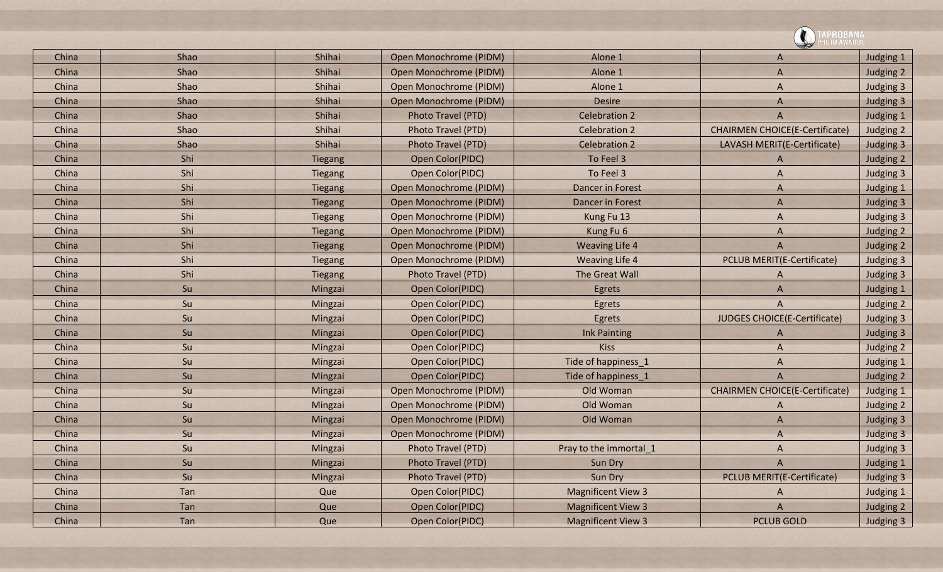|       |      |                |                        |                           | PROBANA                               |           |
|-------|------|----------------|------------------------|---------------------------|---------------------------------------|-----------|
| China | Shao | Shihai         | Open Monochrome (PIDM) | Alone 1                   | A                                     | Judging 1 |
| China | Shao | Shihai         | Open Monochrome (PIDM) | Alone 1                   | $\overline{A}$                        | Judging 2 |
| China | Shao | Shihai         | Open Monochrome (PIDM) | Alone 1                   | A                                     | Judging 3 |
| China | Shao | Shihai         | Open Monochrome (PIDM) | <b>Desire</b>             | $\mathsf{A}$                          | Judging 3 |
| China | Shao | Shihai         | Photo Travel (PTD)     | <b>Celebration 2</b>      | $\overline{A}$                        | Judging 1 |
| China | Shao | Shihai         | Photo Travel (PTD)     | <b>Celebration 2</b>      | <b>CHAIRMEN CHOICE(E-Certificate)</b> | Judging 2 |
| China | Shao | Shihai         | Photo Travel (PTD)     | <b>Celebration 2</b>      | LAVASH MERIT(E-Certificate)           | Judging 3 |
| China | Shi  | <b>Tiegang</b> | Open Color(PIDC)       | To Feel 3                 | $\overline{A}$                        | Judging 2 |
| China | Shi  | Tiegang        | Open Color(PIDC)       | To Feel 3                 | $\overline{A}$                        | Judging 3 |
| China | Shi  | <b>Tiegang</b> | Open Monochrome (PIDM) | <b>Dancer in Forest</b>   | A                                     | Judging 1 |
| China | Shi  | <b>Tiegang</b> | Open Monochrome (PIDM) | <b>Dancer in Forest</b>   | $\overline{A}$                        | Judging 3 |
| China | Shi  | <b>Tiegang</b> | Open Monochrome (PIDM) | Kung Fu 13                | $\overline{A}$                        | Judging 3 |
| China | Shi  | <b>Tiegang</b> | Open Monochrome (PIDM) | Kung Fu 6                 | A                                     | Judging 2 |
| China | Shi  | Tiegang        | Open Monochrome (PIDM) | <b>Weaving Life 4</b>     | $\overline{A}$                        | Judging 2 |
| China | Shi  | <b>Tiegang</b> | Open Monochrome (PIDM) | <b>Weaving Life 4</b>     | <b>PCLUB MERIT(E-Certificate)</b>     | Judging 3 |
| China | Shi  | <b>Tiegang</b> | Photo Travel (PTD)     | The Great Wall            | A                                     | Judging 3 |
| China | Su   | Mingzai        | Open Color(PIDC)       | Egrets                    | $\overline{A}$                        | Judging 1 |
| China | Su   | Mingzai        | Open Color(PIDC)       | Egrets                    | $\overline{A}$                        | Judging 2 |
| China | Su   | Mingzai        | Open Color(PIDC)       | Egrets                    | <b>JUDGES CHOICE(E-Certificate)</b>   | Judging 3 |
| China | Su   | Mingzai        | Open Color(PIDC)       | <b>Ink Painting</b>       | A                                     | Judging 3 |
| China | Su   | Mingzai        | Open Color(PIDC)       | <b>Kiss</b>               | $\overline{A}$                        | Judging 2 |
| China | Su   | Mingzai        | Open Color(PIDC)       | Tide of happiness 1       | A                                     | Judging 1 |
| China | Su   | Mingzai        | Open Color(PIDC)       | Tide of happiness_1       | $\overline{A}$                        | Judging 2 |
| China | Su   | Mingzai        | Open Monochrome (PIDM) | Old Woman                 | <b>CHAIRMEN CHOICE(E-Certificate)</b> | Judging 1 |
| China | Su   | Mingzai        | Open Monochrome (PIDM) | Old Woman                 | A                                     | Judging 2 |
| China | Su   | Mingzai        | Open Monochrome (PIDM) | Old Woman                 | $\overline{A}$                        | Judging 3 |
| China | Su   | Mingzai        | Open Monochrome (PIDM) |                           | $\Lambda$                             | Judging 3 |
| China | Su   | Mingzai        | Photo Travel (PTD)     | Pray to the immortal_1    | A                                     | Judging 3 |
| China | Su   | Mingzai        | Photo Travel (PTD)     | Sun Dry                   | $\overline{A}$                        | Judging 1 |
| China | Su   | Mingzai        | Photo Travel (PTD)     | Sun Dry                   | <b>PCLUB MERIT(E-Certificate)</b>     | Judging 3 |
| China | Tan  | Que            | Open Color(PIDC)       | <b>Magnificent View 3</b> | A                                     | Judging 1 |
| China | Tan  | Que            | Open Color(PIDC)       | <b>Magnificent View 3</b> | $\overline{A}$                        | Judging 2 |
| China | Tan  | Que            | Open Color(PIDC)       | <b>Magnificent View 3</b> | <b>PCLUB GOLD</b>                     | Judging 3 |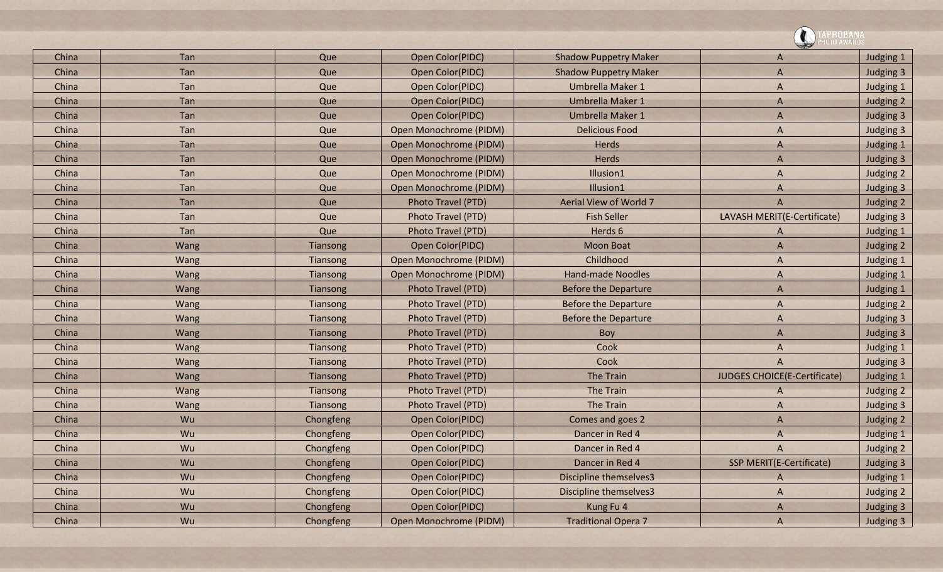|       |      |           |                           |                              | PROBANA                             |           |
|-------|------|-----------|---------------------------|------------------------------|-------------------------------------|-----------|
| China | Tan  | Que       | Open Color(PIDC)          | <b>Shadow Puppetry Maker</b> | A                                   | Judging 1 |
| China | Tan  | Que       | Open Color(PIDC)          | <b>Shadow Puppetry Maker</b> | $\overline{A}$                      | Judging 3 |
| China | Tan  | Que       | Open Color(PIDC)          | Umbrella Maker 1             | A                                   | Judging 1 |
| China | Tan  | Que       | Open Color(PIDC)          | Umbrella Maker 1             | A                                   | Judging 2 |
| China | Tan  | Que       | Open Color(PIDC)          | Umbrella Maker 1             | $\overline{A}$                      | Judging 3 |
| China | Tan  | Que       | Open Monochrome (PIDM)    | <b>Delicious Food</b>        | A                                   | Judging 3 |
| China | Tan  | Que       | Open Monochrome (PIDM)    | Herds                        | A                                   | Judging 1 |
| China | Tan  | Que       | Open Monochrome (PIDM)    | Herds                        | $\overline{A}$                      | Judging 3 |
| China | Tan  | Que       | Open Monochrome (PIDM)    | Illusion1                    | A                                   | Judging 2 |
| China | Tan  | Que       | Open Monochrome (PIDM)    | Illusion1                    | A                                   | Judging 3 |
| China | Tan  | Que       | <b>Photo Travel (PTD)</b> | Aerial View of World 7       | $\overline{A}$                      | Judging 2 |
| China | Tan  | Que       | Photo Travel (PTD)        | <b>Fish Seller</b>           | LAVASH MERIT(E-Certificate)         | Judging 3 |
| China | Tan  | Que       | Photo Travel (PTD)        | Herds 6                      | A                                   | Judging 1 |
| China | Wang | Tiansong  | Open Color(PIDC)          | <b>Moon Boat</b>             | $\mathsf{A}$                        | Judging 2 |
| China | Wang | Tiansong  | Open Monochrome (PIDM)    | Childhood                    | A                                   | Judging 1 |
| China | Wang | Tiansong  | Open Monochrome (PIDM)    | <b>Hand-made Noodles</b>     | A                                   | Judging 1 |
| China | Wang | Tiansong  | Photo Travel (PTD)        | <b>Before the Departure</b>  | $\overline{A}$                      | Judging 1 |
| China | Wang | Tiansong  | Photo Travel (PTD)        | <b>Before the Departure</b>  | A                                   | Judging 2 |
| China | Wang | Tiansong  | Photo Travel (PTD)        | <b>Before the Departure</b>  | A                                   | Judging 3 |
| China | Wang | Tiansong  | Photo Travel (PTD)        | Boy                          | $\overline{A}$                      | Judging 3 |
| China | Wang | Tiansong  | Photo Travel (PTD)        | Cook                         | A                                   | Judging 1 |
| China | Wang | Tiansong  | Photo Travel (PTD)        | Cook                         | A                                   | Judging 3 |
| China | Wang | Tiansong  | Photo Travel (PTD)        | <b>The Train</b>             | <b>JUDGES CHOICE(E-Certificate)</b> | Judging 1 |
| China | Wang | Tiansong  | Photo Travel (PTD)        | <b>The Train</b>             | A                                   | Judging 2 |
| China | Wang | Tiansong  | Photo Travel (PTD)        | <b>The Train</b>             | A                                   | Judging 3 |
| China | Wu   | Chongfeng | Open Color(PIDC)          | Comes and goes 2             | A                                   | Judging 2 |
| China | Wu   | Chongfeng | <b>Open Color(PIDC)</b>   | Dancer in Red 4              | A                                   | Judging 1 |
| China | Wu   | Chongfeng | Open Color(PIDC)          | Dancer in Red 4              | A                                   | Judging 2 |
| China | Wu   | Chongfeng | Open Color(PIDC)          | Dancer in Red 4              | SSP MERIT(E-Certificate)            | Judging 3 |
| China | Wu   | Chongfeng | Open Color(PIDC)          | Discipline themselves3       | A                                   | Judging 1 |
| China | Wu   | Chongfeng | Open Color(PIDC)          | Discipline themselves3       | $\mathsf{A}$                        | Judging 2 |
| China | Wu   | Chongfeng | Open Color(PIDC)          | Kung Fu 4                    | A                                   | Judging 3 |
| China | Wu   | Chongfeng | Open Monochrome (PIDM)    | <b>Traditional Opera 7</b>   | $\overline{A}$                      | Judging 3 |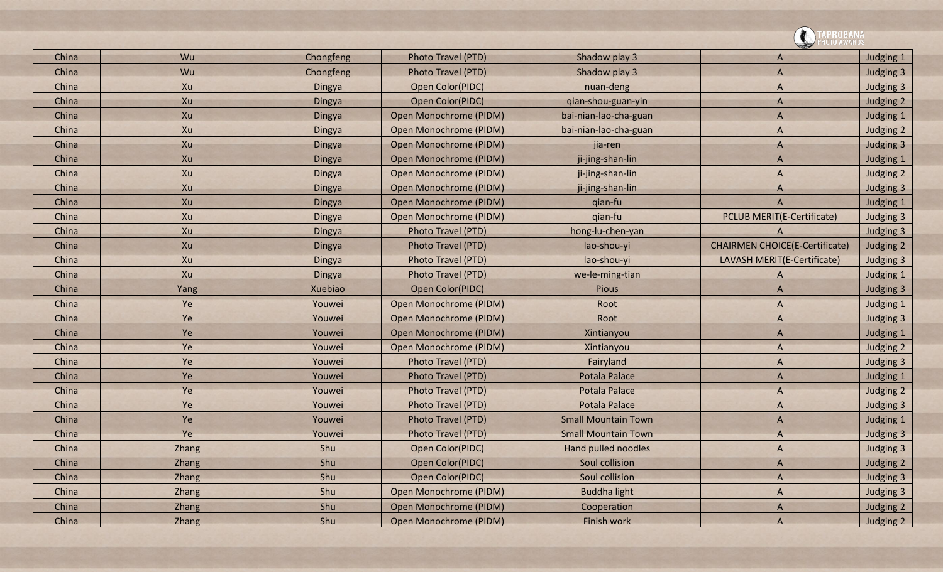|       |       |           |                        |                            | <b>PROBANA</b>                        |           |
|-------|-------|-----------|------------------------|----------------------------|---------------------------------------|-----------|
| China | Wu    | Chongfeng | Photo Travel (PTD)     | Shadow play 3              | A                                     | Judging 1 |
| China | Wu    | Chongfeng | Photo Travel (PTD)     | Shadow play 3              | $\overline{A}$                        | Judging 3 |
| China | Xu    | Dingya    | Open Color(PIDC)       | nuan-deng                  | A                                     | Judging 3 |
| China | Xu    | Dingya    | Open Color(PIDC)       | qian-shou-guan-yin         | A                                     | Judging 2 |
| China | Xu    | Dingya    | Open Monochrome (PIDM) | bai-nian-lao-cha-guan      | A                                     | Judging 1 |
| China | Xu    | Dingya    | Open Monochrome (PIDM) | bai-nian-lao-cha-guan      | A                                     | Judging 2 |
| China | Xu    | Dingya    | Open Monochrome (PIDM) | jia-ren                    | $\mathsf{A}$                          | Judging 3 |
| China | Xu    | Dingya    | Open Monochrome (PIDM) | ji-jing-shan-lin           | $\overline{A}$                        | Judging 1 |
| China | Xu    | Dingya    | Open Monochrome (PIDM) | ji-jing-shan-lin           | A                                     | Judging 2 |
| China | Xu    | Dingya    | Open Monochrome (PIDM) | ji-jing-shan-lin           | A                                     | Judging 3 |
| China | Xu    | Dingya    | Open Monochrome (PIDM) | qian-fu                    | $\overline{A}$                        | Judging 1 |
| China | Xu    | Dingya    | Open Monochrome (PIDM) | qian-fu                    | <b>PCLUB MERIT(E-Certificate)</b>     | Judging 3 |
| China | Xu    | Dingya    | Photo Travel (PTD)     | hong-lu-chen-yan           | A                                     | Judging 3 |
| China | Xu    | Dingya    | Photo Travel (PTD)     | lao-shou-yi                | <b>CHAIRMEN CHOICE(E-Certificate)</b> | Judging 2 |
| China | Xu    | Dingya    | Photo Travel (PTD)     | lao-shou-yi                | LAVASH MERIT(E-Certificate)           | Judging 3 |
| China | Xu    | Dingya    | Photo Travel (PTD)     | we-le-ming-tian            | A                                     | Judging 1 |
| China | Yang  | Xuebiao   | Open Color(PIDC)       | Pious                      | A                                     | Judging 3 |
| China | Ye    | Youwei    | Open Monochrome (PIDM) | Root                       | A                                     | Judging 1 |
| China | Ye    | Youwei    | Open Monochrome (PIDM) | Root                       | A                                     | Judging 3 |
| China | Ye    | Youwei    | Open Monochrome (PIDM) | Xintianyou                 | A                                     | Judging 1 |
| China | Ye    | Youwei    | Open Monochrome (PIDM) | Xintianyou                 | A                                     | Judging 2 |
| China | Ye    | Youwei    | Photo Travel (PTD)     | Fairyland                  | $\mathsf{A}$                          | Judging 3 |
| China | Ye    | Youwei    | Photo Travel (PTD)     | <b>Potala Palace</b>       | A                                     | Judging 1 |
| China | Ye    | Youwei    | Photo Travel (PTD)     | <b>Potala Palace</b>       | $\overline{A}$                        | Judging 2 |
| China | Ye    | Youwei    | Photo Travel (PTD)     | <b>Potala Palace</b>       | A                                     | Judging 3 |
| China | Ye    | Youwei    | Photo Travel (PTD)     | <b>Small Mountain Town</b> | A                                     | Judging 1 |
| China | Ye    | Youwei    | Photo Travel (PTD)     | <b>Small Mountain Town</b> | $\overline{A}$                        | Judging 3 |
| China | Zhang | Shu       | Open Color(PIDC)       | Hand pulled noodles        | $\mathsf{A}$                          | Judging 3 |
| China | Zhang | Shu       | Open Color(PIDC)       | Soul collision             | $\mathsf{A}$                          | Judging 2 |
| China | Zhang | Shu       | Open Color(PIDC)       | Soul collision             | $\mathsf{A}$                          | Judging 3 |
| China | Zhang | Shu       | Open Monochrome (PIDM) | <b>Buddha light</b>        | $\mathsf{A}$                          | Judging 3 |
| China | Zhang | Shu       | Open Monochrome (PIDM) | Cooperation                | $\mathsf{A}$                          | Judging 2 |
| China | Zhang | Shu       | Open Monochrome (PIDM) | Finish work                | $\overline{A}$                        | Judging 2 |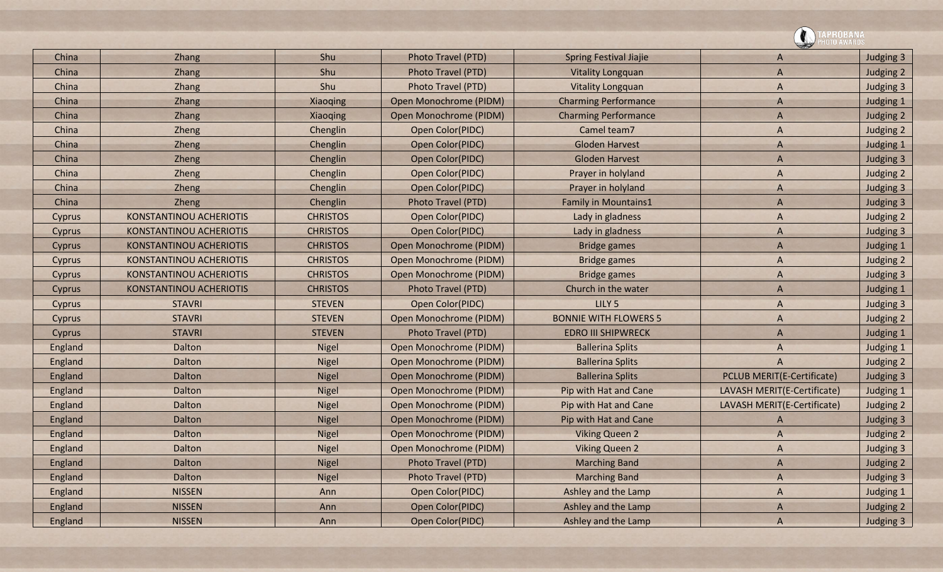|               |                                |                 |                        |                               | <b>PROBANA</b>                    |           |
|---------------|--------------------------------|-----------------|------------------------|-------------------------------|-----------------------------------|-----------|
| China         | Zhang                          | Shu             | Photo Travel (PTD)     | <b>Spring Festival Jiajie</b> | A                                 | Judging 3 |
| China         | <b>Zhang</b>                   | Shu             | Photo Travel (PTD)     | <b>Vitality Longquan</b>      | A                                 | Judging 2 |
| China         | Zhang                          | Shu             | Photo Travel (PTD)     | <b>Vitality Longquan</b>      | A                                 | Judging 3 |
| China         | <b>Zhang</b>                   | Xiaoqing        | Open Monochrome (PIDM) | <b>Charming Performance</b>   | A                                 | Judging 1 |
| China         | Zhang                          | Xiaoqing        | Open Monochrome (PIDM) | <b>Charming Performance</b>   | A                                 | Judging 2 |
| China         | Zheng                          | Chenglin        | Open Color(PIDC)       | Camel team7                   | A                                 | Judging 2 |
| China         | Zheng                          | Chenglin        | Open Color(PIDC)       | <b>Gloden Harvest</b>         | A                                 | Judging 1 |
| China         | Zheng                          | Chenglin        | Open Color(PIDC)       | <b>Gloden Harvest</b>         | A                                 | Judging 3 |
| China         | Zheng                          | Chenglin        | Open Color(PIDC)       | Prayer in holyland            | A                                 | Judging 2 |
| China         | Zheng                          | Chenglin        | Open Color(PIDC)       | Prayer in holyland            | A                                 | Judging 3 |
| China         | Zheng                          | Chenglin        | Photo Travel (PTD)     | <b>Family in Mountains1</b>   | A                                 | Judging 3 |
| Cyprus        | KONSTANTINOU ACHERIOTIS        | <b>CHRISTOS</b> | Open Color(PIDC)       | Lady in gladness              | A                                 | Judging 2 |
| Cyprus        | <b>KONSTANTINOU ACHERIOTIS</b> | <b>CHRISTOS</b> | Open Color(PIDC)       | Lady in gladness              | A                                 | Judging 3 |
| Cyprus        | KONSTANTINOU ACHERIOTIS        | <b>CHRISTOS</b> | Open Monochrome (PIDM) | <b>Bridge games</b>           | A                                 | Judging 1 |
| Cyprus        | KONSTANTINOU ACHERIOTIS        | <b>CHRISTOS</b> | Open Monochrome (PIDM) | <b>Bridge games</b>           | A                                 | Judging 2 |
| <b>Cyprus</b> | KONSTANTINOU ACHERIOTIS        | <b>CHRISTOS</b> | Open Monochrome (PIDM) | <b>Bridge games</b>           | A                                 | Judging 3 |
| Cyprus        | KONSTANTINOU ACHERIOTIS        | <b>CHRISTOS</b> | Photo Travel (PTD)     | Church in the water           | A                                 | Judging 1 |
| Cyprus        | <b>STAVRI</b>                  | <b>STEVEN</b>   | Open Color(PIDC)       | LILY <sub>5</sub>             | A                                 | Judging 3 |
| Cyprus        | <b>STAVRI</b>                  | <b>STEVEN</b>   | Open Monochrome (PIDM) | <b>BONNIE WITH FLOWERS 5</b>  | A                                 | Judging 2 |
| Cyprus        | <b>STAVRI</b>                  | <b>STEVEN</b>   | Photo Travel (PTD)     | <b>EDRO III SHIPWRECK</b>     | A                                 | Judging 1 |
| England       | Dalton                         | <b>Nigel</b>    | Open Monochrome (PIDM) | <b>Ballerina Splits</b>       | A                                 | Judging 1 |
| England       | Dalton                         | Nigel           | Open Monochrome (PIDM) | <b>Ballerina Splits</b>       | A                                 | Judging 2 |
| England       | Dalton                         | <b>Nigel</b>    | Open Monochrome (PIDM) | <b>Ballerina Splits</b>       | <b>PCLUB MERIT(E-Certificate)</b> | Judging 3 |
| England       | Dalton                         | Nigel           | Open Monochrome (PIDM) | Pip with Hat and Cane         | LAVASH MERIT(E-Certificate)       | Judging 1 |
| England       | Dalton                         | Nigel           | Open Monochrome (PIDM) | Pip with Hat and Cane         | LAVASH MERIT(E-Certificate)       | Judging 2 |
| England       | Dalton                         | <b>Nigel</b>    | Open Monochrome (PIDM) | Pip with Hat and Cane         | A                                 | Judging 3 |
| England       | Dalton                         | <b>Nigel</b>    | Open Monochrome (PIDM) | <b>Viking Queen 2</b>         | A                                 | Judging 2 |
| England       | Dalton                         | Nigel           | Open Monochrome (PIDM) | <b>Viking Queen 2</b>         | A                                 | Judging 3 |
| England       | Dalton                         | Nigel           | Photo Travel (PTD)     | <b>Marching Band</b>          | $\mathsf{A}$                      | Judging 2 |
| England       | Dalton                         | Nigel           | Photo Travel (PTD)     | <b>Marching Band</b>          | A                                 | Judging 3 |
| England       | <b>NISSEN</b>                  | Ann             | Open Color(PIDC)       | Ashley and the Lamp           | A                                 | Judging 1 |
| England       | <b>NISSEN</b>                  | Ann             | Open Color(PIDC)       | Ashley and the Lamp           | $\mathsf{A}$                      | Judging 2 |
| England       | <b>NISSEN</b>                  | Ann             | Open Color(PIDC)       | Ashley and the Lamp           | A                                 | Judging 3 |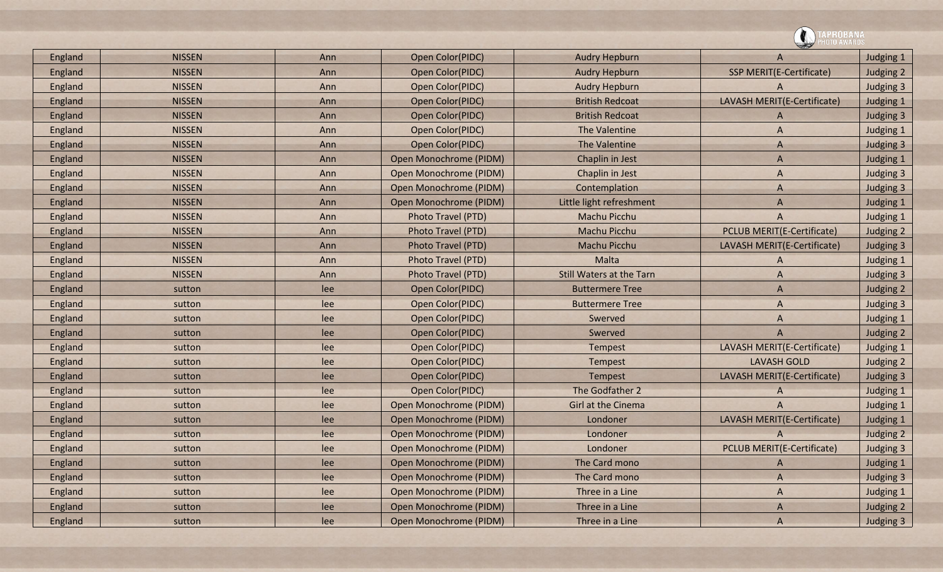|         |               |     |                        |                                 | <b>PRUBANA</b><br>DTO AWARDS      |                  |  |
|---------|---------------|-----|------------------------|---------------------------------|-----------------------------------|------------------|--|
| England | <b>NISSEN</b> | Ann | Open Color(PIDC)       | <b>Audry Hepburn</b>            | A                                 | Judging 1        |  |
| England | <b>NISSEN</b> | Ann | Open Color(PIDC)       | <b>Audry Hepburn</b>            | SSP MERIT(E-Certificate)          | Judging 2        |  |
| England | <b>NISSEN</b> | Ann | Open Color(PIDC)       | <b>Audry Hepburn</b>            | A                                 | Judging 3        |  |
| England | <b>NISSEN</b> | Ann | Open Color(PIDC)       | <b>British Redcoat</b>          | LAVASH MERIT(E-Certificate)       | Judging 1        |  |
| England | <b>NISSEN</b> | Ann | Open Color(PIDC)       | <b>British Redcoat</b>          | A                                 | Judging 3        |  |
| England | <b>NISSEN</b> | Ann | Open Color(PIDC)       | The Valentine                   | A                                 | Judging 1        |  |
| England | <b>NISSEN</b> | Ann | Open Color(PIDC)       | The Valentine                   | A                                 | Judging 3        |  |
| England | <b>NISSEN</b> | Ann | Open Monochrome (PIDM) | Chaplin in Jest                 | A                                 | Judging 1        |  |
| England | <b>NISSEN</b> | Ann | Open Monochrome (PIDM) | Chaplin in Jest                 | A                                 | Judging 3        |  |
| England | <b>NISSEN</b> | Ann | Open Monochrome (PIDM) | Contemplation                   | A                                 | Judging 3        |  |
| England | <b>NISSEN</b> | Ann | Open Monochrome (PIDM) | Little light refreshment        | A                                 | Judging 1        |  |
| England | <b>NISSEN</b> | Ann | Photo Travel (PTD)     | Machu Picchu                    | A                                 | Judging 1        |  |
| England | <b>NISSEN</b> | Ann | Photo Travel (PTD)     | Machu Picchu                    | <b>PCLUB MERIT(E-Certificate)</b> | Judging 2        |  |
| England | <b>NISSEN</b> | Ann | Photo Travel (PTD)     | Machu Picchu                    | LAVASH MERIT(E-Certificate)       | Judging 3        |  |
| England | <b>NISSEN</b> | Ann | Photo Travel (PTD)     | Malta                           | A                                 | Judging 1        |  |
| England | <b>NISSEN</b> | Ann | Photo Travel (PTD)     | <b>Still Waters at the Tarn</b> | A                                 | Judging 3        |  |
| England | sutton        | lee | Open Color(PIDC)       | <b>Buttermere Tree</b>          | A                                 | Judging 2        |  |
| England | sutton        | lee | Open Color(PIDC)       | <b>Buttermere Tree</b>          | A                                 | <b>Judging 3</b> |  |
| England | sutton        | lee | Open Color(PIDC)       | Swerved                         | A                                 | Judging 1        |  |
| England | sutton        | lee | Open Color(PIDC)       | Swerved                         | A                                 | Judging 2        |  |
| England | sutton        | lee | Open Color(PIDC)       | Tempest                         | LAVASH MERIT(E-Certificate)       | Judging 1        |  |
| England | sutton        | lee | Open Color(PIDC)       | Tempest                         | <b>LAVASH GOLD</b>                | Judging 2        |  |
| England | sutton        | lee | Open Color(PIDC)       | Tempest                         | LAVASH MERIT(E-Certificate)       | Judging 3        |  |
| England | sutton        | lee | Open Color(PIDC)       | The Godfather 2                 | A                                 | Judging 1        |  |
| England | sutton        | lee | Open Monochrome (PIDM) | Girl at the Cinema              | A                                 | Judging 1        |  |
| England | sutton        | lee | Open Monochrome (PIDM) | Londoner                        | LAVASH MERIT(E-Certificate)       | Judging 1        |  |
| England | sutton        | lee | Open Monochrome (PIDM) | Londoner                        |                                   | Judging 2        |  |
| England | sutton        | lee | Open Monochrome (PIDM) | Londoner                        | <b>PCLUB MERIT(E-Certificate)</b> | Judging 3        |  |
| England | sutton        | lee | Open Monochrome (PIDM) | The Card mono                   | A                                 | Judging 1        |  |
| England | sutton        | lee | Open Monochrome (PIDM) | The Card mono                   | $\overline{A}$                    | Judging 3        |  |
| England | sutton        | lee | Open Monochrome (PIDM) | Three in a Line                 | A                                 | Judging 1        |  |
| England | sutton        | lee | Open Monochrome (PIDM) | Three in a Line                 | A                                 | Judging 2        |  |
| England | sutton        | lee | Open Monochrome (PIDM) | Three in a Line                 | $\boldsymbol{A}$                  | Judging 3        |  |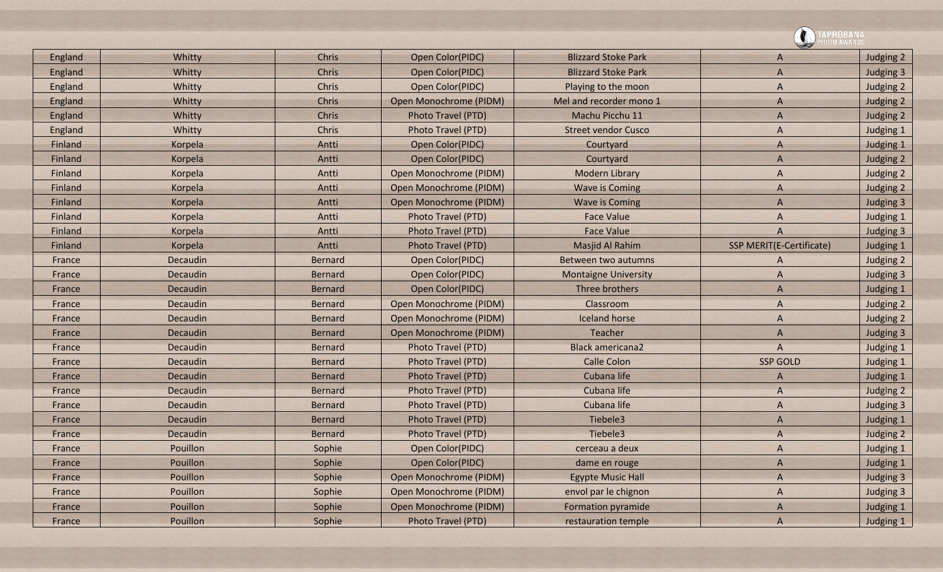|         |                 |                |                        |                             | <b>\PROBANA</b>          |           |
|---------|-----------------|----------------|------------------------|-----------------------------|--------------------------|-----------|
| England | Whitty          | Chris          | Open Color(PIDC)       | <b>Blizzard Stoke Park</b>  | A                        | Judging 2 |
| England | Whitty          | <b>Chris</b>   | Open Color(PIDC)       | <b>Blizzard Stoke Park</b>  | A                        | Judging 3 |
| England | Whitty          | Chris          | Open Color(PIDC)       | Playing to the moon         | A                        | Judging 2 |
| England | Whitty          | Chris          | Open Monochrome (PIDM) | Mel and recorder mono 1     | A                        | Judging 2 |
| England | Whitty          | Chris          | Photo Travel (PTD)     | Machu Picchu 11             | A                        | Judging 2 |
| England | Whitty          | <b>Chris</b>   | Photo Travel (PTD)     | <b>Street vendor Cusco</b>  | A                        | Judging 1 |
| Finland | Korpela         | Antti          | Open Color(PIDC)       | Courtyard                   | A                        | Judging 1 |
| Finland | Korpela         | Antti          | Open Color(PIDC)       | Courtyard                   | A                        | Judging 2 |
| Finland | Korpela         | Antti          | Open Monochrome (PIDM) | <b>Modern Library</b>       | A                        | Judging 2 |
| Finland | Korpela         | Antti          | Open Monochrome (PIDM) | <b>Wave is Coming</b>       | A                        | Judging 2 |
| Finland | Korpela         | Antti          | Open Monochrome (PIDM) | <b>Wave is Coming</b>       | A                        | Judging 3 |
| Finland | Korpela         | Antti          | Photo Travel (PTD)     | <b>Face Value</b>           | A                        | Judging 1 |
| Finland | Korpela         | Antti          | Photo Travel (PTD)     | <b>Face Value</b>           | A                        | Judging 3 |
| Finland | Korpela         | Antti          | Photo Travel (PTD)     | Masjid Al Rahim             | SSP MERIT(E-Certificate) | Judging 1 |
| France  | Decaudin        | <b>Bernard</b> | Open Color(PIDC)       | Between two autumns         | A                        | Judging 2 |
| France  | <b>Decaudin</b> | <b>Bernard</b> | Open Color(PIDC)       | <b>Montaigne University</b> | A                        | Judging 3 |
| France  | Decaudin        | <b>Bernard</b> | Open Color(PIDC)       | Three brothers              | A                        | Judging 1 |
| France  | Decaudin        | <b>Bernard</b> | Open Monochrome (PIDM) | Classroom                   | A                        | Judging 2 |
| France  | Decaudin        | <b>Bernard</b> | Open Monochrome (PIDM) | <b>Iceland horse</b>        | A                        | Judging 2 |
| France  | Decaudin        | <b>Bernard</b> | Open Monochrome (PIDM) | Teacher                     | A                        | Judging 3 |
| France  | Decaudin        | <b>Bernard</b> | Photo Travel (PTD)     | <b>Black americana2</b>     | A                        | Judging 1 |
| France  | Decaudin        | <b>Bernard</b> | Photo Travel (PTD)     | <b>Calle Colon</b>          | <b>SSP GOLD</b>          | Judging 1 |
| France  | Decaudin        | <b>Bernard</b> | Photo Travel (PTD)     | Cubana life                 | A                        | Judging 1 |
| France  | Decaudin        | <b>Bernard</b> | Photo Travel (PTD)     | Cubana life                 | A                        | Judging 2 |
| France  | Decaudin        | <b>Bernard</b> | Photo Travel (PTD)     | Cubana life                 | A                        | Judging 3 |
| France  | Decaudin        | <b>Bernard</b> | Photo Travel (PTD)     | Tiebele3                    | A                        | Judging 1 |
| France  | Decaudin        | <b>Bernard</b> | Photo Travel (PTD)     | Tiebele3                    | $\overline{A}$           | Judging 2 |
| France  | Pouillon        | Sophie         | Open Color(PIDC)       | cerceau a deux              | $\mathsf{A}$             | Judging 1 |
| France  | Pouillon        | Sophie         | Open Color(PIDC)       | dame en rouge               | $\mathsf{A}$             | Judging 1 |
| France  | Pouillon        | Sophie         | Open Monochrome (PIDM) | <b>Egypte Music Hall</b>    | $\mathsf{A}$             | Judging 3 |
| France  | Pouillon        | Sophie         | Open Monochrome (PIDM) | envol par le chignon        | $\mathsf{A}$             | Judging 3 |
| France  | Pouillon        | Sophie         | Open Monochrome (PIDM) | <b>Formation pyramide</b>   | $\overline{A}$           | Judging 1 |
| France  | Pouillon        | Sophie         | Photo Travel (PTD)     | restauration temple         | $\overline{A}$           | Judging 1 |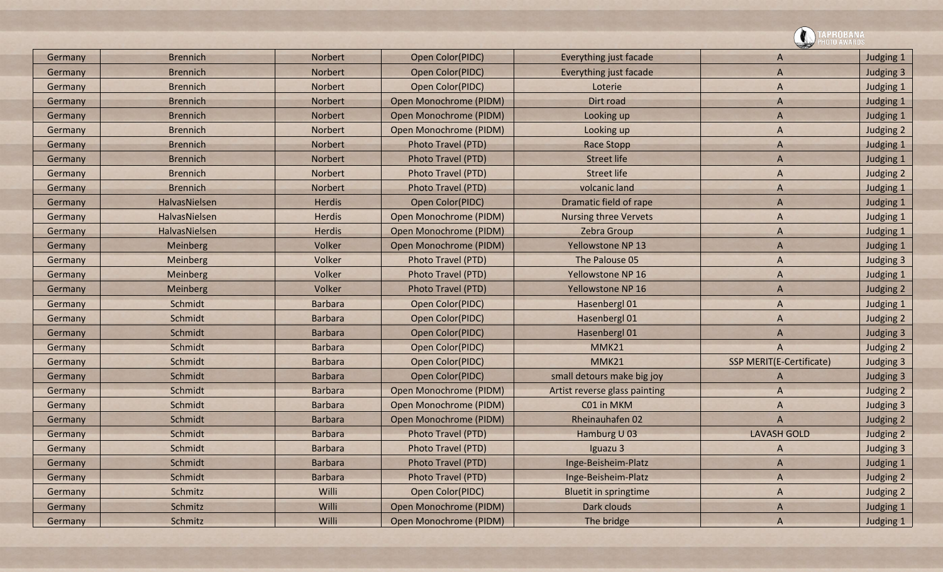|         |                 |                |                           |                               | <b>\PROBANA</b><br>DTO AWARD:   |           |
|---------|-----------------|----------------|---------------------------|-------------------------------|---------------------------------|-----------|
| Germany | <b>Brennich</b> | <b>Norbert</b> | Open Color(PIDC)          | Everything just facade        | A                               | Judging 1 |
| Germany | <b>Brennich</b> | <b>Norbert</b> | Open Color(PIDC)          | Everything just facade        | A                               | Judging 3 |
| Germany | <b>Brennich</b> | Norbert        | Open Color(PIDC)          | Loterie                       | A                               | Judging 1 |
| Germany | <b>Brennich</b> | Norbert        | Open Monochrome (PIDM)    | Dirt road                     | A                               | Judging 1 |
| Germany | <b>Brennich</b> | <b>Norbert</b> | Open Monochrome (PIDM)    | Looking up                    | A                               | Judging 1 |
| Germany | <b>Brennich</b> | Norbert        | Open Monochrome (PIDM)    | Looking up                    | A                               | Judging 2 |
| Germany | <b>Brennich</b> | <b>Norbert</b> | Photo Travel (PTD)        | <b>Race Stopp</b>             | A                               | Judging 1 |
| Germany | <b>Brennich</b> | Norbert        | Photo Travel (PTD)        | <b>Street life</b>            | $\overline{A}$                  | Judging 1 |
| Germany | <b>Brennich</b> | Norbert        | Photo Travel (PTD)        | <b>Street life</b>            | A                               | Judging 2 |
| Germany | <b>Brennich</b> | <b>Norbert</b> | Photo Travel (PTD)        | volcanic land                 | A                               | Judging 1 |
| Germany | HalvasNielsen   | <b>Herdis</b>  | Open Color(PIDC)          | Dramatic field of rape        | A                               | Judging 1 |
| Germany | HalvasNielsen   | <b>Herdis</b>  | Open Monochrome (PIDM)    | <b>Nursing three Vervets</b>  | A                               | Judging 1 |
| Germany | HalvasNielsen   | <b>Herdis</b>  | Open Monochrome (PIDM)    | Zebra Group                   | A                               | Judging 1 |
| Germany | Meinberg        | Volker         | Open Monochrome (PIDM)    | <b>Yellowstone NP 13</b>      | A                               | Judging 1 |
| Germany | Meinberg        | Volker         | Photo Travel (PTD)        | The Palouse 05                | A                               | Judging 3 |
| Germany | Meinberg        | Volker         | <b>Photo Travel (PTD)</b> | Yellowstone NP 16             | A                               | Judging 1 |
| Germany | Meinberg        | Volker         | Photo Travel (PTD)        | <b>Yellowstone NP 16</b>      | A                               | Judging 2 |
| Germany | Schmidt         | <b>Barbara</b> | Open Color(PIDC)          | Hasenbergl 01                 | A                               | Judging 1 |
| Germany | Schmidt         | <b>Barbara</b> | Open Color(PIDC)          | Hasenbergl 01                 | A                               | Judging 2 |
| Germany | Schmidt         | <b>Barbara</b> | Open Color(PIDC)          | Hasenbergl 01                 | A                               | Judging 3 |
| Germany | Schmidt         | <b>Barbara</b> | Open Color(PIDC)          | MMK21                         | $\overline{A}$                  | Judging 2 |
| Germany | Schmidt         | <b>Barbara</b> | Open Color(PIDC)          | MMK21                         | <b>SSP MERIT(E-Certificate)</b> | Judging 3 |
| Germany | Schmidt         | <b>Barbara</b> | Open Color(PIDC)          | small detours make big joy    | A                               | Judging 3 |
| Germany | Schmidt         | <b>Barbara</b> | Open Monochrome (PIDM)    | Artist reverse glass painting | A                               | Judging 2 |
| Germany | Schmidt         | <b>Barbara</b> | Open Monochrome (PIDM)    | C01 in MKM                    | A                               | Judging 3 |
| Germany | Schmidt         | <b>Barbara</b> | Open Monochrome (PIDM)    | Rheinauhafen 02               | $\overline{A}$                  | Judging 2 |
| Germany | Schmidt         | <b>Barbara</b> | Photo Travel (PTD)        | Hamburg U 03                  | <b>LAVASH GOLD</b>              | Judging 2 |
| Germany | Schmidt         | <b>Barbara</b> | Photo Travel (PTD)        | Iguazu <sub>3</sub>           | A                               | Judging 3 |
| Germany | Schmidt         | <b>Barbara</b> | Photo Travel (PTD)        | Inge-Beisheim-Platz           | A                               | Judging 1 |
| Germany | Schmidt         | <b>Barbara</b> | Photo Travel (PTD)        | Inge-Beisheim-Platz           | A                               | Judging 2 |
| Germany | Schmitz         | Willi          | Open Color(PIDC)          | <b>Bluetit in springtime</b>  | A                               | Judging 2 |
| Germany | Schmitz         | Willi          | Open Monochrome (PIDM)    | Dark clouds                   | A                               | Judging 1 |
| Germany | Schmitz         | Willi          | Open Monochrome (PIDM)    | The bridge                    | $\overline{A}$                  | Judging 1 |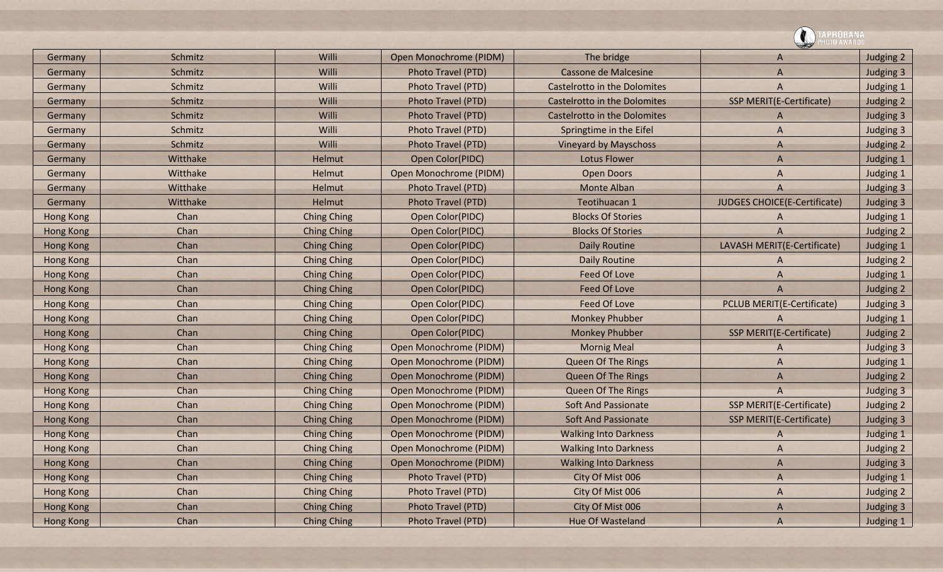![](_page_23_Picture_0.jpeg)

| Germany          | Schmitz  | Willi              | Open Monochrome (PIDM) | The bridge                          | A                                 | Judging 2 |
|------------------|----------|--------------------|------------------------|-------------------------------------|-----------------------------------|-----------|
| Germany          | Schmitz  | Willi              | Photo Travel (PTD)     | Cassone de Malcesine                | A                                 | Judging 3 |
| Germany          | Schmitz  | Willi              | Photo Travel (PTD)     | <b>Castelrotto in the Dolomites</b> | A                                 | Judging 1 |
| Germany          | Schmitz  | Willi              | Photo Travel (PTD)     | Castelrotto in the Dolomites        | <b>SSP MERIT(E-Certificate)</b>   | Judging 2 |
| Germany          | Schmitz  | Willi              | Photo Travel (PTD)     | <b>Castelrotto in the Dolomites</b> | A                                 | Judging 3 |
| Germany          | Schmitz  | Willi              | Photo Travel (PTD)     | Springtime in the Eifel             | A                                 | Judging 3 |
| Germany          | Schmitz  | Willi              | Photo Travel (PTD)     | <b>Vineyard by Mayschoss</b>        | A                                 | Judging 2 |
| Germany          | Witthake | Helmut             | Open Color(PIDC)       | <b>Lotus Flower</b>                 | A                                 | Judging 1 |
| Germany          | Witthake | Helmut             | Open Monochrome (PIDM) | <b>Open Doors</b>                   | A                                 | Judging 1 |
| Germany          | Witthake | Helmut             | Photo Travel (PTD)     | <b>Monte Alban</b>                  | A                                 | Judging 3 |
| Germany          | Witthake | Helmut             | Photo Travel (PTD)     | Teotihuacan 1                       | JUDGES CHOICE(E-Certificate)      | Judging 3 |
| Hong Kong        | Chan     | <b>Ching Ching</b> | Open Color(PIDC)       | <b>Blocks Of Stories</b>            | A                                 | Judging 1 |
| <b>Hong Kong</b> | Chan     | <b>Ching Ching</b> | Open Color(PIDC)       | <b>Blocks Of Stories</b>            | A                                 | Judging 2 |
| <b>Hong Kong</b> | Chan     | <b>Ching Ching</b> | Open Color(PIDC)       | <b>Daily Routine</b>                | LAVASH MERIT(E-Certificate)       | Judging 1 |
| <b>Hong Kong</b> | Chan     | <b>Ching Ching</b> | Open Color(PIDC)       | <b>Daily Routine</b>                | A                                 | Judging 2 |
| <b>Hong Kong</b> | Chan     | <b>Ching Ching</b> | Open Color(PIDC)       | <b>Feed Of Love</b>                 | A                                 | Judging 1 |
| <b>Hong Kong</b> | Chan     | <b>Ching Ching</b> | Open Color(PIDC)       | <b>Feed Of Love</b>                 | $\overline{A}$                    | Judging 2 |
| <b>Hong Kong</b> | Chan     | <b>Ching Ching</b> | Open Color(PIDC)       | <b>Feed Of Love</b>                 | <b>PCLUB MERIT(E-Certificate)</b> | Judging 3 |
| <b>Hong Kong</b> | Chan     | <b>Ching Ching</b> | Open Color(PIDC)       | <b>Monkey Phubber</b>               | A                                 | Judging 1 |
| <b>Hong Kong</b> | Chan     | <b>Ching Ching</b> | Open Color(PIDC)       | <b>Monkey Phubber</b>               | <b>SSP MERIT(E-Certificate)</b>   | Judging 2 |
| <b>Hong Kong</b> | Chan     | <b>Ching Ching</b> | Open Monochrome (PIDM) | <b>Mornig Meal</b>                  | A                                 | Judging 3 |
| <b>Hong Kong</b> | Chan     | <b>Ching Ching</b> | Open Monochrome (PIDM) | <b>Queen Of The Rings</b>           | A                                 | Judging 1 |
| <b>Hong Kong</b> | Chan     | <b>Ching Ching</b> | Open Monochrome (PIDM) | Queen Of The Rings                  | A                                 | Judging 2 |
| <b>Hong Kong</b> | Chan     | <b>Ching Ching</b> | Open Monochrome (PIDM) | <b>Queen Of The Rings</b>           | A                                 | Judging 3 |
| <b>Hong Kong</b> | Chan     | <b>Ching Ching</b> | Open Monochrome (PIDM) | <b>Soft And Passionate</b>          | <b>SSP MERIT(E-Certificate)</b>   | Judging 2 |
| <b>Hong Kong</b> | Chan     | <b>Ching Ching</b> | Open Monochrome (PIDM) | <b>Soft And Passionate</b>          | SSP MERIT(E-Certificate)          | Judging 3 |
| Hong Kong        | Chan     | <b>Ching Ching</b> | Open Monochrome (PIDM) | <b>Walking Into Darkness</b>        | A                                 | Judging 1 |
| <b>Hong Kong</b> | Chan     | <b>Ching Ching</b> | Open Monochrome (PIDM) | <b>Walking Into Darkness</b>        | A                                 | Judging 2 |
| <b>Hong Kong</b> | Chan     | <b>Ching Ching</b> | Open Monochrome (PIDM) | <b>Walking Into Darkness</b>        | A                                 | Judging 3 |
| <b>Hong Kong</b> | Chan     | <b>Ching Ching</b> | Photo Travel (PTD)     | City Of Mist 006                    | $\overline{A}$                    | Judging 1 |
| <b>Hong Kong</b> | Chan     | <b>Ching Ching</b> | Photo Travel (PTD)     | City Of Mist 006                    | A                                 | Judging 2 |
| <b>Hong Kong</b> | Chan     | <b>Ching Ching</b> | Photo Travel (PTD)     | City Of Mist 006                    | A                                 | Judging 3 |
| <b>Hong Kong</b> | Chan     | <b>Ching Ching</b> | Photo Travel (PTD)     | <b>Hue Of Wasteland</b>             | $\overline{A}$                    | Judging 1 |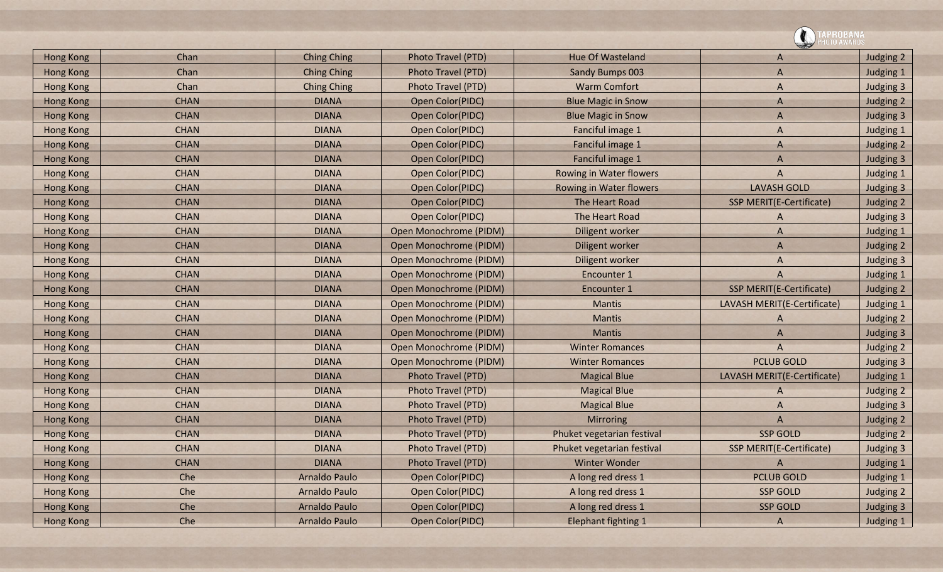|                  |             |                    |                        |                            | APROBANA                        |           |
|------------------|-------------|--------------------|------------------------|----------------------------|---------------------------------|-----------|
| <b>Hong Kong</b> | Chan        | <b>Ching Ching</b> | Photo Travel (PTD)     | Hue Of Wasteland           | A                               | Judging 2 |
| <b>Hong Kong</b> | Chan        | <b>Ching Ching</b> | Photo Travel (PTD)     | Sandy Bumps 003            | A                               | Judging 1 |
| <b>Hong Kong</b> | Chan        | <b>Ching Ching</b> | Photo Travel (PTD)     | <b>Warm Comfort</b>        | A                               | Judging 3 |
| <b>Hong Kong</b> | <b>CHAN</b> | <b>DIANA</b>       | Open Color(PIDC)       | <b>Blue Magic in Snow</b>  | A                               | Judging 2 |
| <b>Hong Kong</b> | <b>CHAN</b> | <b>DIANA</b>       | Open Color(PIDC)       | <b>Blue Magic in Snow</b>  | A                               | Judging 3 |
| <b>Hong Kong</b> | <b>CHAN</b> | <b>DIANA</b>       | Open Color(PIDC)       | Fanciful image 1           | A                               | Judging 1 |
| <b>Hong Kong</b> | <b>CHAN</b> | <b>DIANA</b>       | Open Color(PIDC)       | Fanciful image 1           | A                               | Judging 2 |
| <b>Hong Kong</b> | <b>CHAN</b> | <b>DIANA</b>       | Open Color(PIDC)       | Fanciful image 1           | A                               | Judging 3 |
| <b>Hong Kong</b> | <b>CHAN</b> | <b>DIANA</b>       | Open Color(PIDC)       | Rowing in Water flowers    | A                               | Judging 1 |
| <b>Hong Kong</b> | <b>CHAN</b> | <b>DIANA</b>       | Open Color(PIDC)       | Rowing in Water flowers    | <b>LAVASH GOLD</b>              | Judging 3 |
| <b>Hong Kong</b> | <b>CHAN</b> | <b>DIANA</b>       | Open Color(PIDC)       | The Heart Road             | SSP MERIT(E-Certificate)        | Judging 2 |
| <b>Hong Kong</b> | <b>CHAN</b> | <b>DIANA</b>       | Open Color(PIDC)       | The Heart Road             | A                               | Judging 3 |
| <b>Hong Kong</b> | <b>CHAN</b> | <b>DIANA</b>       | Open Monochrome (PIDM) | Diligent worker            | A                               | Judging 1 |
| <b>Hong Kong</b> | <b>CHAN</b> | <b>DIANA</b>       | Open Monochrome (PIDM) | Diligent worker            | A                               | Judging 2 |
| <b>Hong Kong</b> | <b>CHAN</b> | <b>DIANA</b>       | Open Monochrome (PIDM) | Diligent worker            | A                               | Judging 3 |
| <b>Hong Kong</b> | <b>CHAN</b> | <b>DIANA</b>       | Open Monochrome (PIDM) | Encounter 1                | A                               | Judging 1 |
| <b>Hong Kong</b> | <b>CHAN</b> | <b>DIANA</b>       | Open Monochrome (PIDM) | Encounter 1                | <b>SSP MERIT(E-Certificate)</b> | Judging 2 |
| <b>Hong Kong</b> | <b>CHAN</b> | <b>DIANA</b>       | Open Monochrome (PIDM) | <b>Mantis</b>              | LAVASH MERIT(E-Certificate)     | Judging 1 |
| <b>Hong Kong</b> | <b>CHAN</b> | <b>DIANA</b>       | Open Monochrome (PIDM) | <b>Mantis</b>              | A                               | Judging 2 |
| <b>Hong Kong</b> | <b>CHAN</b> | <b>DIANA</b>       | Open Monochrome (PIDM) | <b>Mantis</b>              | A                               | Judging 3 |
| <b>Hong Kong</b> | <b>CHAN</b> | <b>DIANA</b>       | Open Monochrome (PIDM) | <b>Winter Romances</b>     | A                               | Judging 2 |
| <b>Hong Kong</b> | <b>CHAN</b> | <b>DIANA</b>       | Open Monochrome (PIDM) | <b>Winter Romances</b>     | <b>PCLUB GOLD</b>               | Judging 3 |
| <b>Hong Kong</b> | <b>CHAN</b> | <b>DIANA</b>       | Photo Travel (PTD)     | <b>Magical Blue</b>        | LAVASH MERIT(E-Certificate)     | Judging 1 |
| <b>Hong Kong</b> | <b>CHAN</b> | <b>DIANA</b>       | Photo Travel (PTD)     | <b>Magical Blue</b>        | A                               | Judging 2 |
| <b>Hong Kong</b> | <b>CHAN</b> | <b>DIANA</b>       | Photo Travel (PTD)     | <b>Magical Blue</b>        | A                               | Judging 3 |
| <b>Hong Kong</b> | <b>CHAN</b> | <b>DIANA</b>       | Photo Travel (PTD)     | Mirroring                  | A                               | Judging 2 |
| <b>Hong Kong</b> | <b>CHAN</b> | <b>DIANA</b>       | Photo Travel (PTD)     | Phuket vegetarian festival | <b>SSP GOLD</b>                 | Judging 2 |
| Hong Kong        | <b>CHAN</b> | <b>DIANA</b>       | Photo Travel (PTD)     | Phuket vegetarian festival | SSP MERIT(E-Certificate)        | Judging 3 |
| <b>Hong Kong</b> | <b>CHAN</b> | <b>DIANA</b>       | Photo Travel (PTD)     | <b>Winter Wonder</b>       | A                               | Judging 1 |
| Hong Kong        | Che         | Arnaldo Paulo      | Open Color(PIDC)       | A long red dress 1         | <b>PCLUB GOLD</b>               | Judging 1 |
| Hong Kong        | Che         | Arnaldo Paulo      | Open Color(PIDC)       | A long red dress 1         | <b>SSP GOLD</b>                 | Judging 2 |
| Hong Kong        | Che         | Arnaldo Paulo      | Open Color(PIDC)       | A long red dress 1         | <b>SSP GOLD</b>                 | Judging 3 |
| <b>Hong Kong</b> | Che         | Arnaldo Paulo      | Open Color(PIDC)       | <b>Elephant fighting 1</b> | $\mathsf{A}$                    | Judging 1 |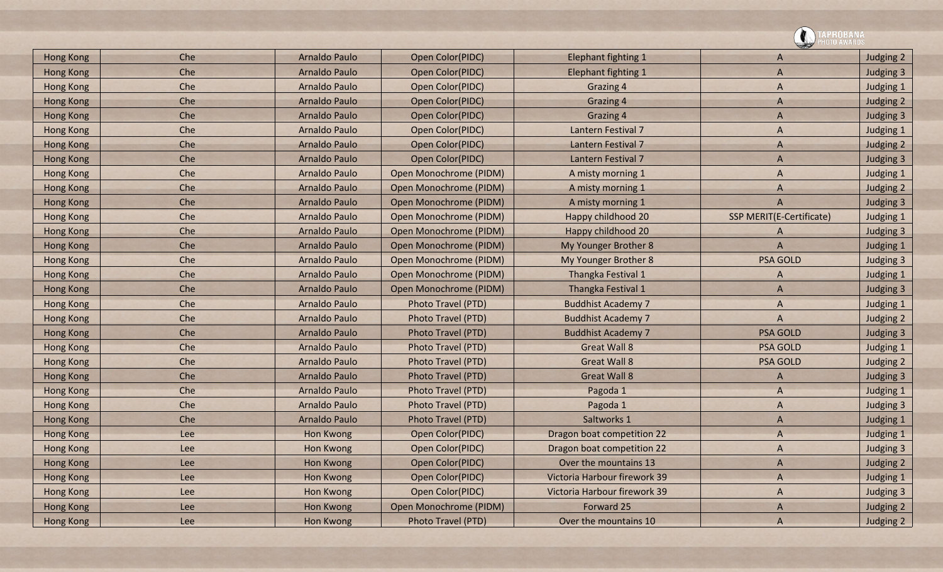|                  |     |                      |                        |                              | APROBANA<br>OTO AWARDS   |           |
|------------------|-----|----------------------|------------------------|------------------------------|--------------------------|-----------|
| <b>Hong Kong</b> | Che | <b>Arnaldo Paulo</b> | Open Color(PIDC)       | <b>Elephant fighting 1</b>   | A                        | Judging 2 |
| <b>Hong Kong</b> | Che | <b>Arnaldo Paulo</b> | Open Color(PIDC)       | <b>Elephant fighting 1</b>   | A                        | Judging 3 |
| <b>Hong Kong</b> | Che | <b>Arnaldo Paulo</b> | Open Color(PIDC)       | <b>Grazing 4</b>             | A                        | Judging 1 |
| <b>Hong Kong</b> | Che | <b>Arnaldo Paulo</b> | Open Color(PIDC)       | <b>Grazing 4</b>             | A                        | Judging 2 |
| <b>Hong Kong</b> | Che | <b>Arnaldo Paulo</b> | Open Color(PIDC)       | <b>Grazing 4</b>             | A                        | Judging 3 |
| <b>Hong Kong</b> | Che | <b>Arnaldo Paulo</b> | Open Color(PIDC)       | Lantern Festival 7           | A                        | Judging 1 |
| <b>Hong Kong</b> | Che | <b>Arnaldo Paulo</b> | Open Color(PIDC)       | Lantern Festival 7           | A                        | Judging 2 |
| <b>Hong Kong</b> | Che | <b>Arnaldo Paulo</b> | Open Color(PIDC)       | Lantern Festival 7           | A                        | Judging 3 |
| <b>Hong Kong</b> | Che | <b>Arnaldo Paulo</b> | Open Monochrome (PIDM) | A misty morning 1            | A                        | Judging 1 |
| <b>Hong Kong</b> | Che | <b>Arnaldo Paulo</b> | Open Monochrome (PIDM) | A misty morning 1            | A                        | Judging 2 |
| <b>Hong Kong</b> | Che | <b>Arnaldo Paulo</b> | Open Monochrome (PIDM) | A misty morning 1            | A                        | Judging 3 |
| <b>Hong Kong</b> | Che | <b>Arnaldo Paulo</b> | Open Monochrome (PIDM) | Happy childhood 20           | SSP MERIT(E-Certificate) | Judging 1 |
| <b>Hong Kong</b> | Che | <b>Arnaldo Paulo</b> | Open Monochrome (PIDM) | Happy childhood 20           | A                        | Judging 3 |
| <b>Hong Kong</b> | Che | <b>Arnaldo Paulo</b> | Open Monochrome (PIDM) | My Younger Brother 8         | A                        | Judging 1 |
| <b>Hong Kong</b> | Che | <b>Arnaldo Paulo</b> | Open Monochrome (PIDM) | My Younger Brother 8         | <b>PSA GOLD</b>          | Judging 3 |
| <b>Hong Kong</b> | Che | <b>Arnaldo Paulo</b> | Open Monochrome (PIDM) | Thangka Festival 1           | A                        | Judging 1 |
| <b>Hong Kong</b> | Che | <b>Arnaldo Paulo</b> | Open Monochrome (PIDM) | Thangka Festival 1           | A                        | Judging 3 |
| <b>Hong Kong</b> | Che | <b>Arnaldo Paulo</b> | Photo Travel (PTD)     | <b>Buddhist Academy 7</b>    | A                        | Judging 1 |
| <b>Hong Kong</b> | Che | <b>Arnaldo Paulo</b> | Photo Travel (PTD)     | <b>Buddhist Academy 7</b>    | A                        | Judging 2 |
| <b>Hong Kong</b> | Che | <b>Arnaldo Paulo</b> | Photo Travel (PTD)     | <b>Buddhist Academy 7</b>    | <b>PSA GOLD</b>          | Judging 3 |
| <b>Hong Kong</b> | Che | <b>Arnaldo Paulo</b> | Photo Travel (PTD)     | <b>Great Wall 8</b>          | <b>PSA GOLD</b>          | Judging 1 |
| <b>Hong Kong</b> | Che | <b>Arnaldo Paulo</b> | Photo Travel (PTD)     | <b>Great Wall 8</b>          | <b>PSA GOLD</b>          | Judging 2 |
| <b>Hong Kong</b> | Che | <b>Arnaldo Paulo</b> | Photo Travel (PTD)     | <b>Great Wall 8</b>          | A                        | Judging 3 |
| <b>Hong Kong</b> | Che | <b>Arnaldo Paulo</b> | Photo Travel (PTD)     | Pagoda 1                     | A                        | Judging 1 |
| <b>Hong Kong</b> | Che | <b>Arnaldo Paulo</b> | Photo Travel (PTD)     | Pagoda 1                     | A                        | Judging 3 |
| <b>Hong Kong</b> | Che | <b>Arnaldo Paulo</b> | Photo Travel (PTD)     | Saltworks 1                  | A                        | Judging 1 |
| <b>Hong Kong</b> | Lee | Hon Kwong            | Open Color(PIDC)       | Dragon boat competition 22   | A                        | Judging 1 |
| Hong Kong        | Lee | Hon Kwong            | Open Color(PIDC)       | Dragon boat competition 22   | A                        | Judging 3 |
| Hong Kong        | Lee | Hon Kwong            | Open Color(PIDC)       | Over the mountains 13        | A                        | Judging 2 |
| Hong Kong        | Lee | Hon Kwong            | Open Color(PIDC)       | Victoria Harbour firework 39 | A                        | Judging 1 |
| Hong Kong        | Lee | Hon Kwong            | Open Color(PIDC)       | Victoria Harbour firework 39 | $\mathsf{A}$             | Judging 3 |
| Hong Kong        | Lee | Hon Kwong            | Open Monochrome (PIDM) | Forward 25                   | A                        | Judging 2 |
| <b>Hong Kong</b> | Lee | Hon Kwong            | Photo Travel (PTD)     | Over the mountains 10        | A                        | Judging 2 |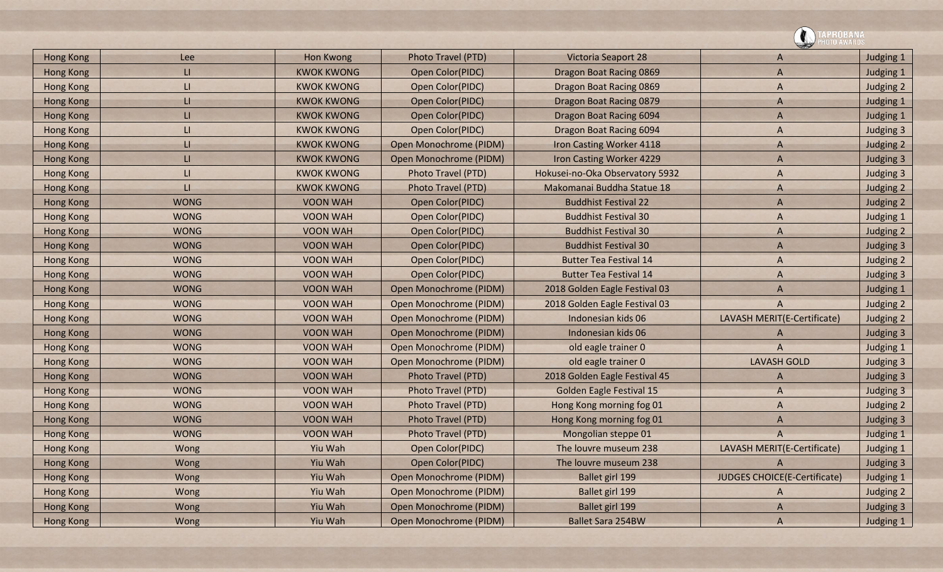|                  |             |                   |                           |                                 | <b>\PROBANA\</b><br> OTO AWARDS |           |
|------------------|-------------|-------------------|---------------------------|---------------------------------|---------------------------------|-----------|
| <b>Hong Kong</b> | Lee         | <b>Hon Kwong</b>  | Photo Travel (PTD)        | Victoria Seaport 28             | A                               | Judging 1 |
| <b>Hong Kong</b> | LI.         | <b>KWOK KWONG</b> | Open Color(PIDC)          | Dragon Boat Racing 0869         | A                               | Judging 1 |
| Hong Kong        | LI          | <b>KWOK KWONG</b> | Open Color(PIDC)          | Dragon Boat Racing 0869         | Α                               | Judging 2 |
| <b>Hong Kong</b> | П.          | <b>KWOK KWONG</b> | Open Color(PIDC)          | Dragon Boat Racing 0879         | A                               | Judging 1 |
| <b>Hong Kong</b> | LI.         | <b>KWOK KWONG</b> | Open Color(PIDC)          | Dragon Boat Racing 6094         | A                               | Judging 1 |
| <b>Hong Kong</b> | LI          | <b>KWOK KWONG</b> | Open Color(PIDC)          | Dragon Boat Racing 6094         | A                               | Judging 3 |
| <b>Hong Kong</b> | н           | <b>KWOK KWONG</b> | Open Monochrome (PIDM)    | Iron Casting Worker 4118        | A                               | Judging 2 |
| <b>Hong Kong</b> | LI.         | <b>KWOK KWONG</b> | Open Monochrome (PIDM)    | Iron Casting Worker 4229        | A                               | Judging 3 |
| Hong Kong        | LI          | <b>KWOK KWONG</b> | Photo Travel (PTD)        | Hokusei-no-Oka Observatory 5932 | A                               | Judging 3 |
| <b>Hong Kong</b> | П           | <b>KWOK KWONG</b> | <b>Photo Travel (PTD)</b> | Makomanai Buddha Statue 18      | A                               | Judging 2 |
| Hong Kong        | <b>WONG</b> | <b>VOON WAH</b>   | Open Color(PIDC)          | <b>Buddhist Festival 22</b>     | A                               | Judging 2 |
| <b>Hong Kong</b> | <b>WONG</b> | <b>VOON WAH</b>   | Open Color(PIDC)          | <b>Buddhist Festival 30</b>     | A                               | Judging 1 |
| <b>Hong Kong</b> | <b>WONG</b> | <b>VOON WAH</b>   | Open Color(PIDC)          | <b>Buddhist Festival 30</b>     | A                               | Judging 2 |
| Hong Kong        | <b>WONG</b> | <b>VOON WAH</b>   | Open Color(PIDC)          | <b>Buddhist Festival 30</b>     | A                               | Judging 3 |
| Hong Kong        | <b>WONG</b> | <b>VOON WAH</b>   | Open Color(PIDC)          | <b>Butter Tea Festival 14</b>   | A                               | Judging 2 |
| <b>Hong Kong</b> | <b>WONG</b> | <b>VOON WAH</b>   | Open Color(PIDC)          | <b>Butter Tea Festival 14</b>   | A                               | Judging 3 |
| <b>Hong Kong</b> | <b>WONG</b> | <b>VOON WAH</b>   | Open Monochrome (PIDM)    | 2018 Golden Eagle Festival 03   | A                               | Judging 1 |
| <b>Hong Kong</b> | <b>WONG</b> | <b>VOON WAH</b>   | Open Monochrome (PIDM)    | 2018 Golden Eagle Festival 03   | A                               | Judging 2 |
| <b>Hong Kong</b> | <b>WONG</b> | <b>VOON WAH</b>   | Open Monochrome (PIDM)    | Indonesian kids 06              | LAVASH MERIT(E-Certificate)     | Judging 2 |
| <b>Hong Kong</b> | <b>WONG</b> | <b>VOON WAH</b>   | Open Monochrome (PIDM)    | Indonesian kids 06              | A                               | Judging 3 |
| <b>Hong Kong</b> | <b>WONG</b> | <b>VOON WAH</b>   | Open Monochrome (PIDM)    | old eagle trainer 0             | A                               | Judging 1 |
| <b>Hong Kong</b> | <b>WONG</b> | <b>VOON WAH</b>   | Open Monochrome (PIDM)    | old eagle trainer 0             | <b>LAVASH GOLD</b>              | Judging 3 |
| Hong Kong        | <b>WONG</b> | <b>VOON WAH</b>   | Photo Travel (PTD)        | 2018 Golden Eagle Festival 45   | A                               | Judging 3 |
| <b>Hong Kong</b> | <b>WONG</b> | <b>VOON WAH</b>   | <b>Photo Travel (PTD)</b> | <b>Golden Eagle Festival 15</b> | A                               | Judging 3 |
| <b>Hong Kong</b> | <b>WONG</b> | <b>VOON WAH</b>   | Photo Travel (PTD)        | Hong Kong morning fog 01        | A                               | Judging 2 |
| <b>Hong Kong</b> | <b>WONG</b> | <b>VOON WAH</b>   | Photo Travel (PTD)        | Hong Kong morning fog 01        | A                               | Judging 3 |
| <b>Hong Kong</b> | <b>WONG</b> | <b>VOON WAH</b>   | Photo Travel (PTD)        | Mongolian steppe 01             | A                               | Judging 1 |
| <b>Hong Kong</b> | Wong        | Yiu Wah           | Open Color(PIDC)          | The louvre museum 238           | LAVASH MERIT(E-Certificate)     | Judging 1 |
| Hong Kong        | Wong        | Yiu Wah           | Open Color(PIDC)          | The louvre museum 238           |                                 | Judging 3 |
| Hong Kong        | Wong        | Yiu Wah           | Open Monochrome (PIDM)    | Ballet girl 199                 | JUDGES CHOICE(E-Certificate)    | Judging 1 |
| Hong Kong        | Wong        | Yiu Wah           | Open Monochrome (PIDM)    | Ballet girl 199                 | A                               | Judging 2 |
| Hong Kong        | Wong        | Yiu Wah           | Open Monochrome (PIDM)    | Ballet girl 199                 | A                               | Judging 3 |
| Hong Kong        | Wong        | Yiu Wah           | Open Monochrome (PIDM)    | <b>Ballet Sara 254BW</b>        | A                               | Judging 1 |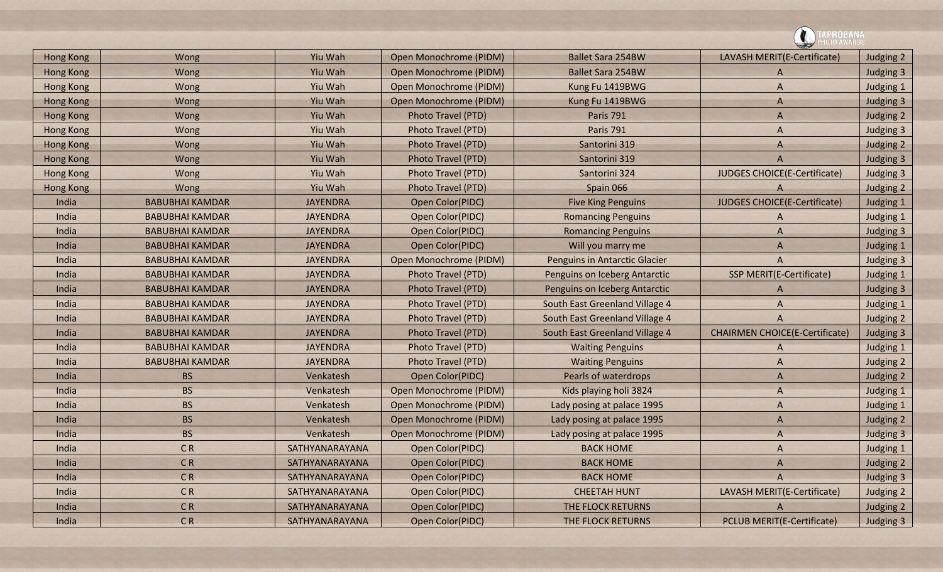![](_page_27_Picture_0.jpeg)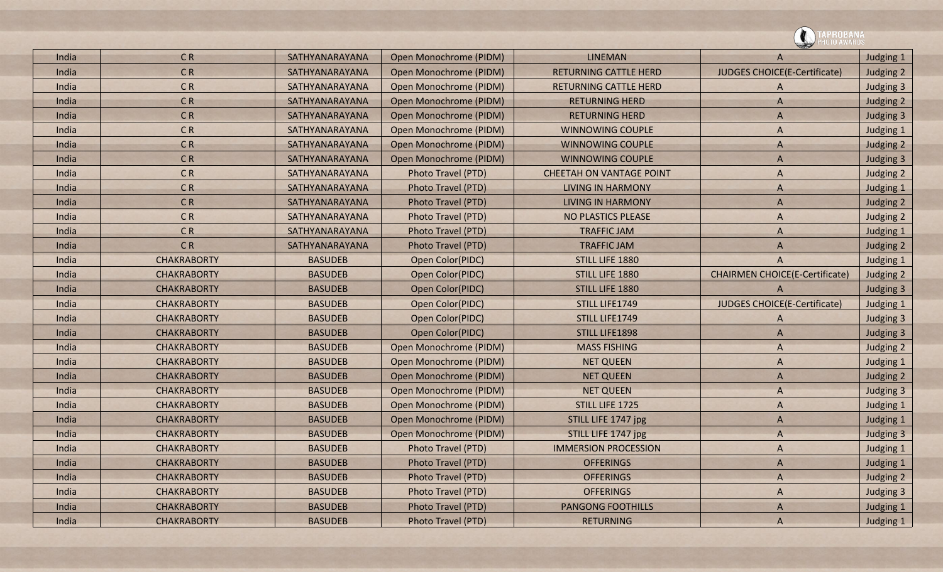![](_page_28_Picture_0.jpeg)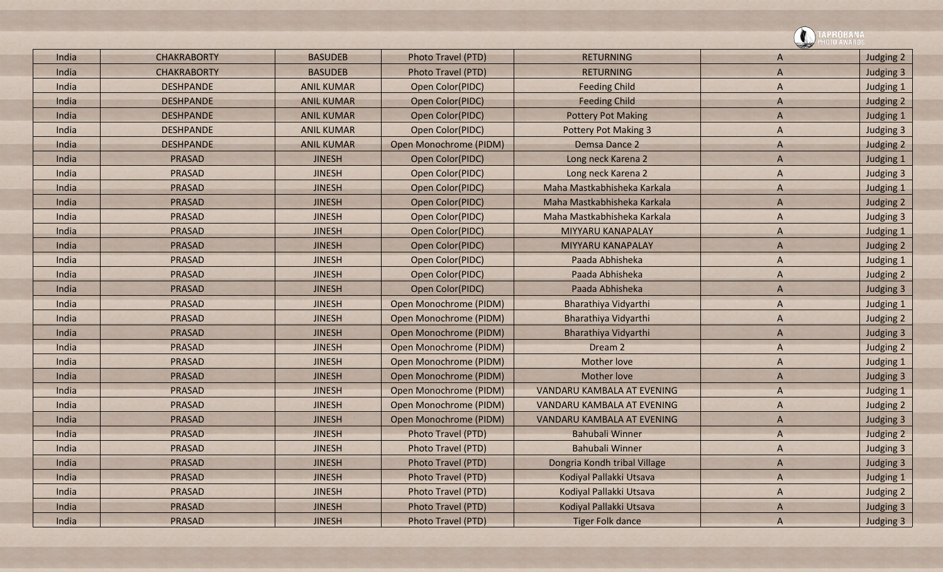|  |       |                    |                   |                        |                              | PROBANA        |           |  |
|--|-------|--------------------|-------------------|------------------------|------------------------------|----------------|-----------|--|
|  | India | <b>CHAKRABORTY</b> | <b>BASUDEB</b>    | Photo Travel (PTD)     | <b>RETURNING</b>             | A              | Judging 2 |  |
|  | India | <b>CHAKRABORTY</b> | <b>BASUDEB</b>    | Photo Travel (PTD)     | <b>RETURNING</b>             | $\overline{A}$ | Judging 3 |  |
|  | India | <b>DESHPANDE</b>   | <b>ANIL KUMAR</b> | Open Color(PIDC)       | <b>Feeding Child</b>         | A              | Judging 1 |  |
|  | India | <b>DESHPANDE</b>   | <b>ANIL KUMAR</b> | Open Color(PIDC)       | <b>Feeding Child</b>         | $\mathsf{A}$   | Judging 2 |  |
|  | India | <b>DESHPANDE</b>   | <b>ANIL KUMAR</b> | Open Color(PIDC)       | <b>Pottery Pot Making</b>    | A              | Judging 1 |  |
|  | India | <b>DESHPANDE</b>   | <b>ANIL KUMAR</b> | Open Color(PIDC)       | <b>Pottery Pot Making 3</b>  | A              | Judging 3 |  |
|  | India | <b>DESHPANDE</b>   | <b>ANIL KUMAR</b> | Open Monochrome (PIDM) | Demsa Dance 2                | $\mathsf{A}$   | Judging 2 |  |
|  | India | <b>PRASAD</b>      | <b>JINESH</b>     | Open Color(PIDC)       | Long neck Karena 2           | $\overline{A}$ | Judging 1 |  |
|  | India | <b>PRASAD</b>      | <b>JINESH</b>     | Open Color(PIDC)       | Long neck Karena 2           | A              | Judging 3 |  |
|  | India | <b>PRASAD</b>      | <b>JINESH</b>     | Open Color(PIDC)       | Maha Mastkabhisheka Karkala  | A              | Judging 1 |  |
|  | India | <b>PRASAD</b>      | <b>JINESH</b>     | Open Color(PIDC)       | Maha Mastkabhisheka Karkala  | $\overline{A}$ | Judging 2 |  |
|  | India | <b>PRASAD</b>      | <b>JINESH</b>     | Open Color(PIDC)       | Maha Mastkabhisheka Karkala  | A              | Judging 3 |  |
|  | India | <b>PRASAD</b>      | <b>JINESH</b>     | Open Color(PIDC)       | MIYYARU KANAPALAY            | A              | Judging 1 |  |
|  | India | <b>PRASAD</b>      | <b>JINESH</b>     | Open Color(PIDC)       | MIYYARU KANAPALAY            | $\overline{A}$ | Judging 2 |  |
|  | India | <b>PRASAD</b>      | <b>JINESH</b>     | Open Color(PIDC)       | Paada Abhisheka              | A              | Judging 1 |  |
|  | India | <b>PRASAD</b>      | <b>JINESH</b>     | Open Color(PIDC)       | Paada Abhisheka              | A              | Judging 2 |  |
|  | India | <b>PRASAD</b>      | <b>JINESH</b>     | Open Color(PIDC)       | Paada Abhisheka              | $\overline{A}$ | Judging 3 |  |
|  | India | <b>PRASAD</b>      | <b>JINESH</b>     | Open Monochrome (PIDM) | Bharathiya Vidyarthi         | A              | Judging 1 |  |
|  | India | <b>PRASAD</b>      | <b>JINESH</b>     | Open Monochrome (PIDM) | Bharathiya Vidyarthi         | A              | Judging 2 |  |
|  | India | <b>PRASAD</b>      | <b>JINESH</b>     | Open Monochrome (PIDM) | Bharathiya Vidyarthi         | $\overline{A}$ | Judging 3 |  |
|  | India | <b>PRASAD</b>      | <b>JINESH</b>     | Open Monochrome (PIDM) | Dream 2                      | A              | Judging 2 |  |
|  | India | <b>PRASAD</b>      | <b>JINESH</b>     | Open Monochrome (PIDM) | <b>Mother love</b>           | A              | Judging 1 |  |
|  | India | <b>PRASAD</b>      | <b>JINESH</b>     | Open Monochrome (PIDM) | <b>Mother love</b>           | $\overline{A}$ | Judging 3 |  |
|  | India | <b>PRASAD</b>      | <b>JINESH</b>     | Open Monochrome (PIDM) | VANDARU KAMBALA AT EVENING   | A              | Judging 1 |  |
|  | India | <b>PRASAD</b>      | <b>JINESH</b>     | Open Monochrome (PIDM) | VANDARU KAMBALA AT EVENING   | A              | Judging 2 |  |
|  | India | <b>PRASAD</b>      | <b>JINESH</b>     | Open Monochrome (PIDM) | VANDARU KAMBALA AT EVENING   | $\overline{A}$ | Judging 3 |  |
|  | India | <b>PRASAD</b>      | <b>JINESH</b>     | Photo Travel (PTD)     | <b>Bahubali Winner</b>       | $\overline{A}$ | Judging 2 |  |
|  | India | <b>PRASAD</b>      | <b>JINESH</b>     | Photo Travel (PTD)     | <b>Bahubali Winner</b>       | A              | Judging 3 |  |
|  | India | <b>PRASAD</b>      | <b>JINESH</b>     | Photo Travel (PTD)     | Dongria Kondh tribal Village | A              | Judging 3 |  |
|  | India | <b>PRASAD</b>      | <b>JINESH</b>     | Photo Travel (PTD)     | Kodiyal Pallakki Utsava      | A              | Judging 1 |  |
|  | India | <b>PRASAD</b>      | <b>JINESH</b>     | Photo Travel (PTD)     | Kodiyal Pallakki Utsava      | A              | Judging 2 |  |
|  | India | <b>PRASAD</b>      | <b>JINESH</b>     | Photo Travel (PTD)     | Kodiyal Pallakki Utsava      | A              | Judging 3 |  |
|  | India | <b>PRASAD</b>      | <b>JINESH</b>     | Photo Travel (PTD)     | <b>Tiger Folk dance</b>      | $\overline{A}$ | Judging 3 |  |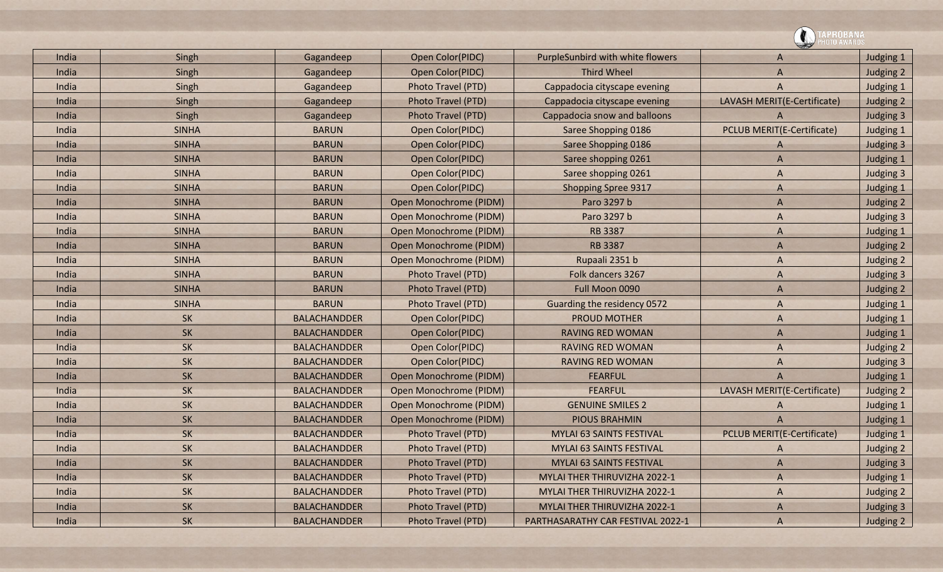|       |              |                     |                           |                                   | <b>PROBANA</b><br>0T0 AWARDS |           |
|-------|--------------|---------------------|---------------------------|-----------------------------------|------------------------------|-----------|
| India | Singh        | Gagandeep           | Open Color(PIDC)          | PurpleSunbird with white flowers  | $\overline{A}$               | Judging 1 |
| India | Singh        | Gagandeep           | Open Color(PIDC)          | <b>Third Wheel</b>                | $\overline{A}$               | Judging 2 |
| India | Singh        | Gagandeep           | <b>Photo Travel (PTD)</b> | Cappadocia cityscape evening      | $\overline{A}$               | Judging 1 |
| India | Singh        | Gagandeep           | Photo Travel (PTD)        | Cappadocia cityscape evening      | LAVASH MERIT(E-Certificate)  | Judging 2 |
| India | Singh        | Gagandeep           | Photo Travel (PTD)        | Cappadocia snow and balloons      |                              | Judging 3 |
| India | <b>SINHA</b> | <b>BARUN</b>        | Open Color(PIDC)          | Saree Shopping 0186               | PCLUB MERIT(E-Certificate)   | Judging 1 |
| India | <b>SINHA</b> | <b>BARUN</b>        | Open Color(PIDC)          | Saree Shopping 0186               | $\mathsf{A}$                 | Judging 3 |
| India | <b>SINHA</b> | <b>BARUN</b>        | Open Color(PIDC)          | Saree shopping 0261               | $\overline{A}$               | Judging 1 |
| India | <b>SINHA</b> | <b>BARUN</b>        | Open Color(PIDC)          | Saree shopping 0261               | $\overline{A}$               | Judging 3 |
| India | <b>SINHA</b> | <b>BARUN</b>        | Open Color(PIDC)          | <b>Shopping Spree 9317</b>        | $\overline{A}$               | Judging 1 |
| India | <b>SINHA</b> | <b>BARUN</b>        | Open Monochrome (PIDM)    | Paro 3297 b                       | $\overline{A}$               | Judging 2 |
| India | <b>SINHA</b> | <b>BARUN</b>        | Open Monochrome (PIDM)    | Paro 3297 b                       | $\overline{A}$               | Judging 3 |
| India | <b>SINHA</b> | <b>BARUN</b>        | Open Monochrome (PIDM)    | <b>RB 3387</b>                    | $\overline{A}$               | Judging 1 |
| India | <b>SINHA</b> | <b>BARUN</b>        | Open Monochrome (PIDM)    | <b>RB 3387</b>                    | $\overline{A}$               | Judging 2 |
| India | <b>SINHA</b> | <b>BARUN</b>        | Open Monochrome (PIDM)    | Rupaali 2351 b                    | A                            | Judging 2 |
| India | <b>SINHA</b> | <b>BARUN</b>        | Photo Travel (PTD)        | Folk dancers 3267                 | $\overline{A}$               | Judging 3 |
| India | <b>SINHA</b> | <b>BARUN</b>        | <b>Photo Travel (PTD)</b> | Full Moon 0090                    | $\overline{A}$               | Judging 2 |
| India | <b>SINHA</b> | <b>BARUN</b>        | Photo Travel (PTD)        | Guarding the residency 0572       | $\overline{A}$               | Judging 1 |
| India | <b>SK</b>    | <b>BALACHANDDER</b> | Open Color(PIDC)          | <b>PROUD MOTHER</b>               | $\overline{A}$               | Judging 1 |
| India | <b>SK</b>    | <b>BALACHANDDER</b> | Open Color(PIDC)          | <b>RAVING RED WOMAN</b>           | $\overline{A}$               | Judging 1 |
| India | <b>SK</b>    | <b>BALACHANDDER</b> | Open Color(PIDC)          | <b>RAVING RED WOMAN</b>           | $\overline{A}$               | Judging 2 |
| India | <b>SK</b>    | <b>BALACHANDDER</b> | Open Color(PIDC)          | <b>RAVING RED WOMAN</b>           | $\overline{A}$               | Judging 3 |
| India | <b>SK</b>    | <b>BALACHANDDER</b> | Open Monochrome (PIDM)    | <b>FEARFUL</b>                    | $\overline{A}$               | Judging 1 |
| India | <b>SK</b>    | <b>BALACHANDDER</b> | Open Monochrome (PIDM)    | <b>FEARFUL</b>                    | LAVASH MERIT(E-Certificate)  | Judging 2 |
| India | <b>SK</b>    | <b>BALACHANDDER</b> | Open Monochrome (PIDM)    | <b>GENUINE SMILES 2</b>           |                              | Judging 1 |
| India | <b>SK</b>    | <b>BALACHANDDER</b> | Open Monochrome (PIDM)    | <b>PIOUS BRAHMIN</b>              | A                            | Judging 1 |
| India | <b>SK</b>    | <b>BALACHANDDER</b> | <b>Photo Travel (PTD)</b> | <b>MYLAI 63 SAINTS FESTIVAL</b>   | PCLUB MERIT(E-Certificate)   | Judging 1 |
| India | <b>SK</b>    | <b>BALACHANDDER</b> | Photo Travel (PTD)        | MYLAI 63 SAINTS FESTIVAL          | A                            | Judging 2 |
| India | SK           | <b>BALACHANDDER</b> | Photo Travel (PTD)        | MYLAI 63 SAINTS FESTIVAL          | $\overline{A}$               | Judging 3 |
| India | SK           | <b>BALACHANDDER</b> | Photo Travel (PTD)        | MYLAI THER THIRUVIZHA 2022-1      | A                            | Judging 1 |
| India | <b>SK</b>    | <b>BALACHANDDER</b> | Photo Travel (PTD)        | MYLAI THER THIRUVIZHA 2022-1      | A                            | Judging 2 |
| India | SK           | <b>BALACHANDDER</b> | Photo Travel (PTD)        | MYLAI THER THIRUVIZHA 2022-1      | $\overline{A}$               | Judging 3 |
| India | SK           | <b>BALACHANDDER</b> | Photo Travel (PTD)        | PARTHASARATHY CAR FESTIVAL 2022-1 | $\overline{A}$               | Judging 2 |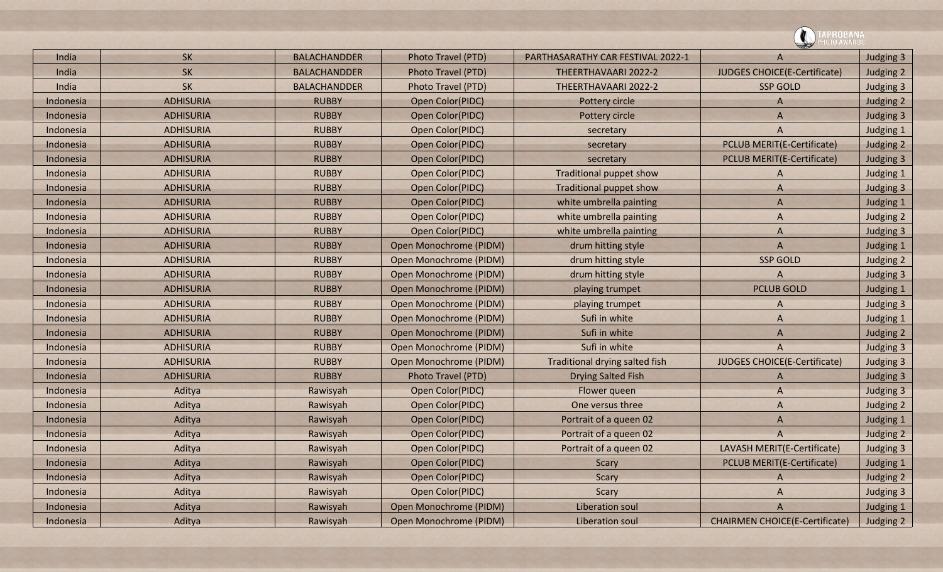|           |                  |                     |                           |                                       | 'KUBANA                               |           |
|-----------|------------------|---------------------|---------------------------|---------------------------------------|---------------------------------------|-----------|
| India     | <b>SK</b>        | <b>BALACHANDDER</b> | Photo Travel (PTD)        | PARTHASARATHY CAR FESTIVAL 2022-1     | A                                     | Judging 3 |
| India     | <b>SK</b>        | <b>BALACHANDDER</b> | <b>Photo Travel (PTD)</b> | THEERTHAVAARI 2022-2                  | JUDGES CHOICE(E-Certificate)          | Judging 2 |
| India     | <b>SK</b>        | <b>BALACHANDDER</b> | Photo Travel (PTD)        | THEERTHAVAARI 2022-2                  | <b>SSP GOLD</b>                       | Judging 3 |
| Indonesia | <b>ADHISURIA</b> | <b>RUBBY</b>        | Open Color(PIDC)          | Pottery circle                        | A                                     | Judging 2 |
| Indonesia | <b>ADHISURIA</b> | <b>RUBBY</b>        | Open Color(PIDC)          | Pottery circle                        | $\overline{A}$                        | Judging 3 |
| Indonesia | <b>ADHISURIA</b> | <b>RUBBY</b>        | Open Color(PIDC)          | secretary                             | A                                     | Judging 1 |
| Indonesia | <b>ADHISURIA</b> | <b>RUBBY</b>        | Open Color(PIDC)          | secretary                             | <b>PCLUB MERIT(E-Certificate)</b>     | Judging 2 |
| Indonesia | <b>ADHISURIA</b> | <b>RUBBY</b>        | Open Color(PIDC)          | secretary                             | <b>PCLUB MERIT(E-Certificate)</b>     | Judging 3 |
| Indonesia | <b>ADHISURIA</b> | <b>RUBBY</b>        | Open Color(PIDC)          | Traditional puppet show               | A                                     | Judging 1 |
| Indonesia | <b>ADHISURIA</b> | <b>RUBBY</b>        | Open Color(PIDC)          | <b>Traditional puppet show</b>        | A                                     | Judging 3 |
| Indonesia | <b>ADHISURIA</b> | <b>RUBBY</b>        | Open Color(PIDC)          | white umbrella painting               | $\overline{A}$                        | Judging 1 |
| Indonesia | <b>ADHISURIA</b> | <b>RUBBY</b>        | Open Color(PIDC)          | white umbrella painting               | A                                     | Judging 2 |
| Indonesia | <b>ADHISURIA</b> | <b>RUBBY</b>        | Open Color(PIDC)          | white umbrella painting               | A                                     | Judging 3 |
| Indonesia | <b>ADHISURIA</b> | <b>RUBBY</b>        | Open Monochrome (PIDM)    | drum hitting style                    | $\overline{A}$                        | Judging 1 |
| Indonesia | <b>ADHISURIA</b> | <b>RUBBY</b>        | Open Monochrome (PIDM)    | drum hitting style                    | <b>SSP GOLD</b>                       | Judging 2 |
| Indonesia | <b>ADHISURIA</b> | <b>RUBBY</b>        | Open Monochrome (PIDM)    | drum hitting style                    | A                                     | Judging 3 |
| Indonesia | <b>ADHISURIA</b> | <b>RUBBY</b>        | Open Monochrome (PIDM)    | playing trumpet                       | <b>PCLUB GOLD</b>                     | Judging 1 |
| Indonesia | <b>ADHISURIA</b> | <b>RUBBY</b>        | Open Monochrome (PIDM)    | playing trumpet                       | A                                     | Judging 3 |
| Indonesia | <b>ADHISURIA</b> | <b>RUBBY</b>        | Open Monochrome (PIDM)    | Sufi in white                         | A                                     | Judging 1 |
| Indonesia | <b>ADHISURIA</b> | <b>RUBBY</b>        | Open Monochrome (PIDM)    | Sufi in white                         | $\overline{A}$                        | Judging 2 |
| Indonesia | <b>ADHISURIA</b> | <b>RUBBY</b>        | Open Monochrome (PIDM)    | Sufi in white                         | $\overline{A}$                        | Judging 3 |
| Indonesia | <b>ADHISURIA</b> | <b>RUBBY</b>        | Open Monochrome (PIDM)    | <b>Traditional drying salted fish</b> | JUDGES CHOICE(E-Certificate)          | Judging 3 |
| Indonesia | <b>ADHISURIA</b> | <b>RUBBY</b>        | <b>Photo Travel (PTD)</b> | <b>Drying Salted Fish</b>             | A                                     | Judging 3 |
| Indonesia | Aditya           | Rawisyah            | Open Color(PIDC)          | Flower queen                          | $\overline{A}$                        | Judging 3 |
| Indonesia | Aditya           | Rawisyah            | Open Color(PIDC)          | One versus three                      | A                                     | Judging 2 |
| Indonesia | Aditya           | Rawisyah            | Open Color(PIDC)          | Portrait of a queen 02                | A                                     | Judging 1 |
| Indonesia | Aditya           | Rawisyah            | Open Color(PIDC)          | Portrait of a queen 02                | A                                     | Judging 2 |
| Indonesia | Aditya           | Rawisyah            | Open Color(PIDC)          | Portrait of a queen 02                | LAVASH MERIT(E-Certificate)           | Judging 3 |
| Indonesia | Aditya           | Rawisyah            | Open Color(PIDC)          | Scary                                 | <b>PCLUB MERIT(E-Certificate)</b>     | Judging 1 |
| Indonesia | Aditya           | Rawisyah            | Open Color(PIDC)          | Scary                                 | A                                     | Judging 2 |
| Indonesia | Aditya           | Rawisyah            | Open Color(PIDC)          | Scary                                 | A                                     | Judging 3 |
| Indonesia | Aditya           | Rawisyah            | Open Monochrome (PIDM)    | Liberation soul                       | $\overline{A}$                        | Judging 1 |
| Indonesia | Aditya           | Rawisyah            | Open Monochrome (PIDM)    | Liberation soul                       | <b>CHAIRMEN CHOICE(E-Certificate)</b> | Judging 2 |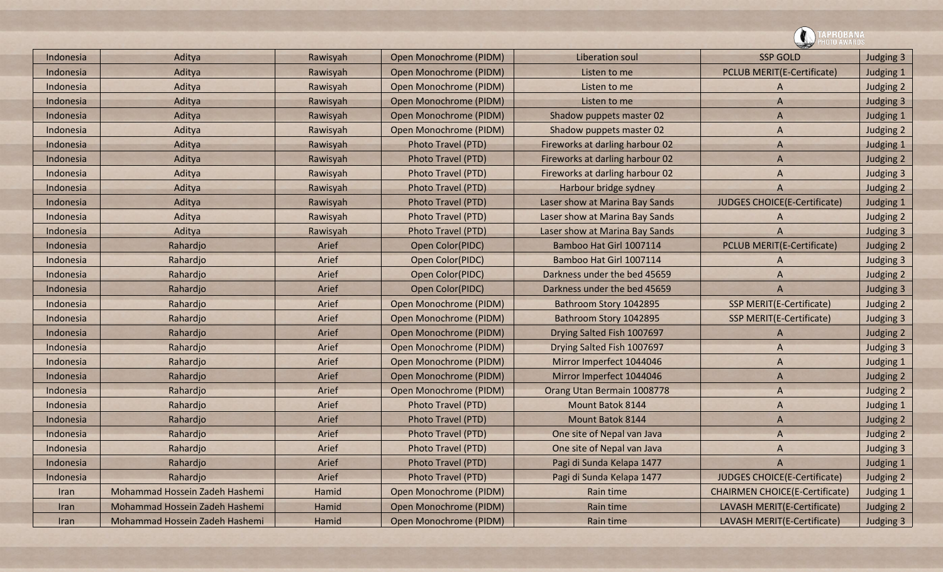|  |           |                                |          |                           |                                 | PROBANA<br>ITO AWARDS                 |           |
|--|-----------|--------------------------------|----------|---------------------------|---------------------------------|---------------------------------------|-----------|
|  | Indonesia | Aditya                         | Rawisyah | Open Monochrome (PIDM)    | <b>Liberation soul</b>          | <b>SSP GOLD</b>                       | Judging 3 |
|  | Indonesia | Aditya                         | Rawisyah | Open Monochrome (PIDM)    | Listen to me                    | <b>PCLUB MERIT(E-Certificate)</b>     | Judging 1 |
|  | Indonesia | Aditya                         | Rawisyah | Open Monochrome (PIDM)    | Listen to me                    | A                                     | Judging 2 |
|  | Indonesia | Aditya                         | Rawisyah | Open Monochrome (PIDM)    | Listen to me                    | A                                     | Judging 3 |
|  | Indonesia | Aditya                         | Rawisyah | Open Monochrome (PIDM)    | Shadow puppets master 02        | A                                     | Judging 1 |
|  | Indonesia | Aditya                         | Rawisyah | Open Monochrome (PIDM)    | Shadow puppets master 02        | A                                     | Judging 2 |
|  | Indonesia | Aditya                         | Rawisyah | Photo Travel (PTD)        | Fireworks at darling harbour 02 | A                                     | Judging 1 |
|  | Indonesia | Aditya                         | Rawisyah | <b>Photo Travel (PTD)</b> | Fireworks at darling harbour 02 | $\overline{A}$                        | Judging 2 |
|  | Indonesia | Aditya                         | Rawisyah | Photo Travel (PTD)        | Fireworks at darling harbour 02 | A                                     | Judging 3 |
|  | Indonesia | Aditya                         | Rawisyah | Photo Travel (PTD)        | Harbour bridge sydney           | $\overline{A}$                        | Judging 2 |
|  | Indonesia | Aditya                         | Rawisyah | Photo Travel (PTD)        | Laser show at Marina Bay Sands  | <b>JUDGES CHOICE(E-Certificate)</b>   | Judging 1 |
|  | Indonesia | Aditya                         | Rawisyah | Photo Travel (PTD)        | Laser show at Marina Bay Sands  | A                                     | Judging 2 |
|  | Indonesia | Aditya                         | Rawisyah | Photo Travel (PTD)        | Laser show at Marina Bay Sands  | A                                     | Judging 3 |
|  | Indonesia | Rahardjo                       | Arief    | Open Color(PIDC)          | Bamboo Hat Girl 1007114         | <b>PCLUB MERIT(E-Certificate)</b>     | Judging 2 |
|  | Indonesia | Rahardjo                       | Arief    | Open Color(PIDC)          | Bamboo Hat Girl 1007114         | A                                     | Judging 3 |
|  | Indonesia | Rahardjo                       | Arief    | Open Color(PIDC)          | Darkness under the bed 45659    | A                                     | Judging 2 |
|  | Indonesia | Rahardjo                       | Arief    | Open Color(PIDC)          | Darkness under the bed 45659    | $\overline{A}$                        | Judging 3 |
|  | Indonesia | Rahardjo                       | Arief    | Open Monochrome (PIDM)    | Bathroom Story 1042895          | <b>SSP MERIT(E-Certificate)</b>       | Judging 2 |
|  | Indonesia | Rahardjo                       | Arief    | Open Monochrome (PIDM)    | Bathroom Story 1042895          | <b>SSP MERIT(E-Certificate)</b>       | Judging 3 |
|  | Indonesia | Rahardjo                       | Arief    | Open Monochrome (PIDM)    | Drying Salted Fish 1007697      | $\mathsf{A}$                          | Judging 2 |
|  | Indonesia | Rahardjo                       | Arief    | Open Monochrome (PIDM)    | Drying Salted Fish 1007697      | A                                     | Judging 3 |
|  | Indonesia | Rahardjo                       | Arief    | Open Monochrome (PIDM)    | Mirror Imperfect 1044046        | A                                     | Judging 1 |
|  | Indonesia | Rahardjo                       | Arief    | Open Monochrome (PIDM)    | Mirror Imperfect 1044046        | $\overline{A}$                        | Judging 2 |
|  | Indonesia | Rahardjo                       | Arief    | Open Monochrome (PIDM)    | Orang Utan Bermain 1008778      | A                                     | Judging 2 |
|  | Indonesia | Rahardjo                       | Arief    | Photo Travel (PTD)        | Mount Batok 8144                | A                                     | Judging 1 |
|  | Indonesia | Rahardjo                       | Arief    | Photo Travel (PTD)        | <b>Mount Batok 8144</b>         | $\overline{A}$                        | Judging 2 |
|  | Indonesia | Rahardjo                       | Arief    | Photo Travel (PTD)        | One site of Nepal van Java      | A                                     | Judging 2 |
|  | Indonesia | Rahardjo                       | Arief    | Photo Travel (PTD)        | One site of Nepal van Java      | A                                     | Judging 3 |
|  | Indonesia | Rahardjo                       | Arief    | Photo Travel (PTD)        | Pagi di Sunda Kelapa 1477       | A                                     | Judging 1 |
|  | Indonesia | Rahardjo                       | Arief    | Photo Travel (PTD)        | Pagi di Sunda Kelapa 1477       | <b>JUDGES CHOICE(E-Certificate)</b>   | Judging 2 |
|  | Iran      | Mohammad Hossein Zadeh Hashemi | Hamid    | Open Monochrome (PIDM)    | Rain time                       | <b>CHAIRMEN CHOICE(E-Certificate)</b> | Judging 1 |
|  | Iran      | Mohammad Hossein Zadeh Hashemi | Hamid    | Open Monochrome (PIDM)    | Rain time                       | LAVASH MERIT(E-Certificate)           | Judging 2 |
|  | Iran      | Mohammad Hossein Zadeh Hashemi | Hamid    | Open Monochrome (PIDM)    | Rain time                       | LAVASH MERIT(E-Certificate)           | Judging 3 |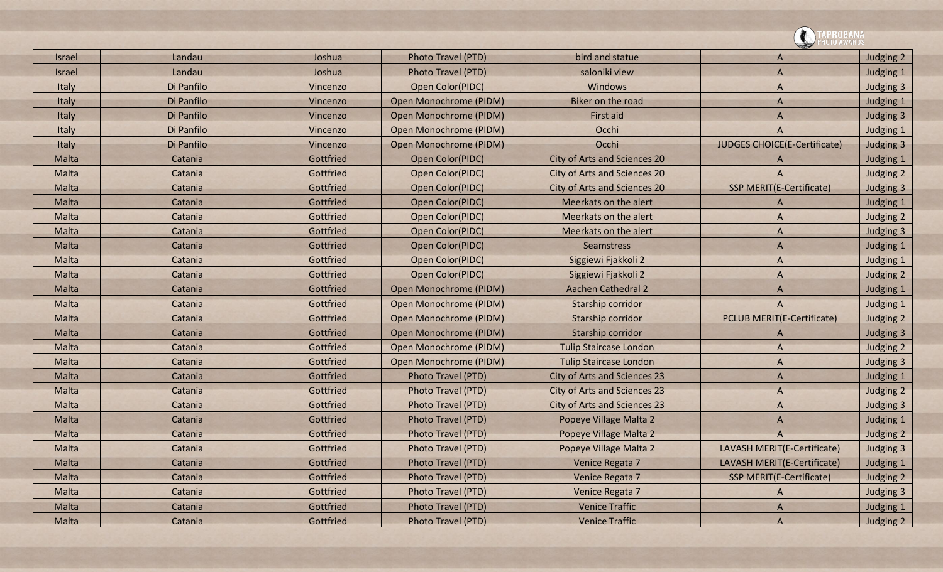|               |            |           |                           |                                     | <b>\PROBANA</b><br>DTO AWARD!       |           |
|---------------|------------|-----------|---------------------------|-------------------------------------|-------------------------------------|-----------|
| Israel        | Landau     | Joshua    | Photo Travel (PTD)        | bird and statue                     | A                                   | Judging 2 |
| <b>Israel</b> | Landau     | Joshua    | Photo Travel (PTD)        | saloniki view                       | A                                   | Judging 1 |
| Italy         | Di Panfilo | Vincenzo  | Open Color(PIDC)          | Windows                             | A                                   | Judging 3 |
| Italy         | Di Panfilo | Vincenzo  | Open Monochrome (PIDM)    | Biker on the road                   | A                                   | Judging 1 |
| Italy         | Di Panfilo | Vincenzo  | Open Monochrome (PIDM)    | First aid                           | A                                   | Judging 3 |
| Italy         | Di Panfilo | Vincenzo  | Open Monochrome (PIDM)    | Occhi                               | A                                   | Judging 1 |
| Italy         | Di Panfilo | Vincenzo  | Open Monochrome (PIDM)    | Occhi                               | <b>JUDGES CHOICE(E-Certificate)</b> | Judging 3 |
| Malta         | Catania    | Gottfried | Open Color(PIDC)          | City of Arts and Sciences 20        | A                                   | Judging 1 |
| Malta         | Catania    | Gottfried | Open Color(PIDC)          | City of Arts and Sciences 20        | A                                   | Judging 2 |
| Malta         | Catania    | Gottfried | Open Color(PIDC)          | City of Arts and Sciences 20        | SSP MERIT(E-Certificate)            | Judging 3 |
| Malta         | Catania    | Gottfried | Open Color(PIDC)          | Meerkats on the alert               | A                                   | Judging 1 |
| Malta         | Catania    | Gottfried | Open Color(PIDC)          | Meerkats on the alert               | A                                   | Judging 2 |
| Malta         | Catania    | Gottfried | Open Color(PIDC)          | Meerkats on the alert               | A                                   | Judging 3 |
| Malta         | Catania    | Gottfried | Open Color(PIDC)          | Seamstress                          | A                                   | Judging 1 |
| Malta         | Catania    | Gottfried | Open Color(PIDC)          | Siggiewi Fjakkoli 2                 | A                                   | Judging 1 |
| Malta         | Catania    | Gottfried | Open Color(PIDC)          | Siggiewi Fjakkoli 2                 | A                                   | Judging 2 |
| Malta         | Catania    | Gottfried | Open Monochrome (PIDM)    | <b>Aachen Cathedral 2</b>           | A                                   | Judging 1 |
| Malta         | Catania    | Gottfried | Open Monochrome (PIDM)    | Starship corridor                   | A                                   | Judging 1 |
| Malta         | Catania    | Gottfried | Open Monochrome (PIDM)    | Starship corridor                   | <b>PCLUB MERIT(E-Certificate)</b>   | Judging 2 |
| Malta         | Catania    | Gottfried | Open Monochrome (PIDM)    | Starship corridor                   | A                                   | Judging 3 |
| Malta         | Catania    | Gottfried | Open Monochrome (PIDM)    | <b>Tulip Staircase London</b>       | A                                   | Judging 2 |
| Malta         | Catania    | Gottfried | Open Monochrome (PIDM)    | <b>Tulip Staircase London</b>       | A                                   | Judging 3 |
| Malta         | Catania    | Gottfried | Photo Travel (PTD)        | <b>City of Arts and Sciences 23</b> | A                                   | Judging 1 |
| Malta         | Catania    | Gottfried | Photo Travel (PTD)        | City of Arts and Sciences 23        | A                                   | Judging 2 |
| Malta         | Catania    | Gottfried | Photo Travel (PTD)        | <b>City of Arts and Sciences 23</b> | A                                   | Judging 3 |
| Malta         | Catania    | Gottfried | <b>Photo Travel (PTD)</b> | Popeye Village Malta 2              | A                                   | Judging 1 |
| Malta         | Catania    | Gottfried | <b>Photo Travel (PTD)</b> | Popeye Village Malta 2              | A                                   | Judging 2 |
| Malta         | Catania    | Gottfried | Photo Travel (PTD)        | Popeye Village Malta 2              | LAVASH MERIT(E-Certificate)         | Judging 3 |
| Malta         | Catania    | Gottfried | Photo Travel (PTD)        | Venice Regata 7                     | LAVASH MERIT(E-Certificate)         | Judging 1 |
| Malta         | Catania    | Gottfried | Photo Travel (PTD)        | Venice Regata 7                     | SSP MERIT(E-Certificate)            | Judging 2 |
| Malta         | Catania    | Gottfried | Photo Travel (PTD)        | Venice Regata 7                     | A                                   | Judging 3 |
| Malta         | Catania    | Gottfried | Photo Travel (PTD)        | <b>Venice Traffic</b>               | A                                   | Judging 1 |
| Malta         | Catania    | Gottfried | Photo Travel (PTD)        | <b>Venice Traffic</b>               | A                                   | Judging 2 |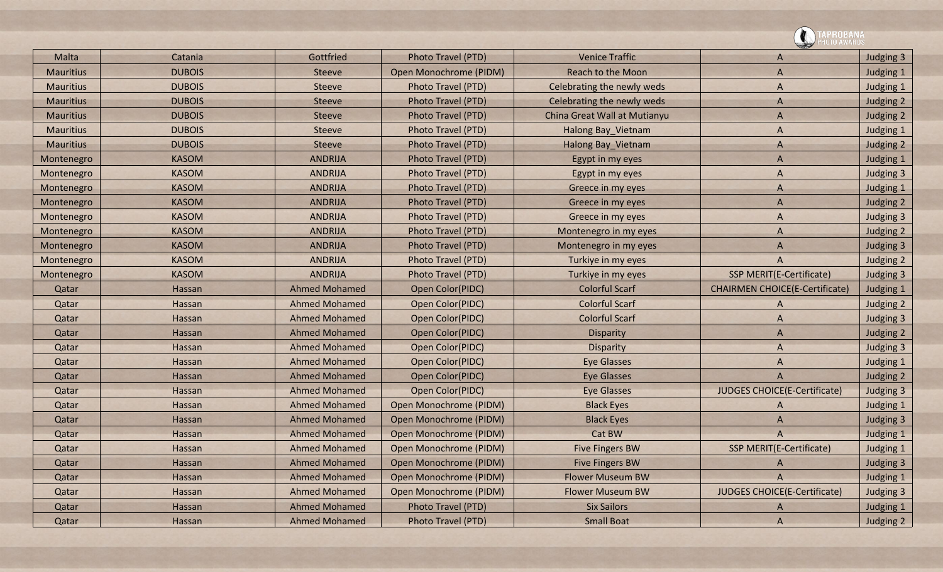|                  |               |                      |                           |                              | <b>\PROBANA</b>                       |           |
|------------------|---------------|----------------------|---------------------------|------------------------------|---------------------------------------|-----------|
| Malta            | Catania       | Gottfried            | Photo Travel (PTD)        | <b>Venice Traffic</b>        | A                                     | Judging 3 |
| <b>Mauritius</b> | <b>DUBOIS</b> | Steeve               | Open Monochrome (PIDM)    | <b>Reach to the Moon</b>     | A                                     | Judging 1 |
| <b>Mauritius</b> | <b>DUBOIS</b> | <b>Steeve</b>        | Photo Travel (PTD)        | Celebrating the newly weds   | A                                     | Judging 1 |
| <b>Mauritius</b> | <b>DUBOIS</b> | Steeve               | Photo Travel (PTD)        | Celebrating the newly weds   | A                                     | Judging 2 |
| <b>Mauritius</b> | <b>DUBOIS</b> | <b>Steeve</b>        | <b>Photo Travel (PTD)</b> | China Great Wall at Mutianyu | A                                     | Judging 2 |
| <b>Mauritius</b> | <b>DUBOIS</b> | <b>Steeve</b>        | Photo Travel (PTD)        | Halong Bay_Vietnam           | A                                     | Judging 1 |
| <b>Mauritius</b> | <b>DUBOIS</b> | Steeve               | Photo Travel (PTD)        | Halong Bay_Vietnam           | A                                     | Judging 2 |
| Montenegro       | <b>KASOM</b>  | <b>ANDRIJA</b>       | Photo Travel (PTD)        | Egypt in my eyes             | A                                     | Judging 1 |
| Montenegro       | <b>KASOM</b>  | <b>ANDRIJA</b>       | Photo Travel (PTD)        | Egypt in my eyes             | A                                     | Judging 3 |
| Montenegro       | <b>KASOM</b>  | <b>ANDRIJA</b>       | Photo Travel (PTD)        | Greece in my eyes            | A                                     | Judging 1 |
| Montenegro       | <b>KASOM</b>  | <b>ANDRIJA</b>       | Photo Travel (PTD)        | Greece in my eyes            | A                                     | Judging 2 |
| Montenegro       | <b>KASOM</b>  | <b>ANDRIJA</b>       | Photo Travel (PTD)        | Greece in my eyes            | A                                     | Judging 3 |
| Montenegro       | <b>KASOM</b>  | <b>ANDRIJA</b>       | Photo Travel (PTD)        | Montenegro in my eyes        | A                                     | Judging 2 |
| Montenegro       | <b>KASOM</b>  | <b>ANDRIJA</b>       | Photo Travel (PTD)        | Montenegro in my eyes        | A                                     | Judging 3 |
| Montenegro       | <b>KASOM</b>  | <b>ANDRIJA</b>       | Photo Travel (PTD)        | Turkiye in my eyes           | A                                     | Judging 2 |
| Montenegro       | <b>KASOM</b>  | <b>ANDRIJA</b>       | Photo Travel (PTD)        | Turkiye in my eyes           | <b>SSP MERIT(E-Certificate)</b>       | Judging 3 |
| Qatar            | Hassan        | <b>Ahmed Mohamed</b> | Open Color(PIDC)          | <b>Colorful Scarf</b>        | <b>CHAIRMEN CHOICE(E-Certificate)</b> | Judging 1 |
| Qatar            | Hassan        | <b>Ahmed Mohamed</b> | Open Color(PIDC)          | <b>Colorful Scarf</b>        | A                                     | Judging 2 |
| Qatar            | Hassan        | <b>Ahmed Mohamed</b> | Open Color(PIDC)          | <b>Colorful Scarf</b>        | A                                     | Judging 3 |
| Qatar            | Hassan        | <b>Ahmed Mohamed</b> | Open Color(PIDC)          | <b>Disparity</b>             | A                                     | Judging 2 |
| Qatar            | Hassan        | <b>Ahmed Mohamed</b> | Open Color(PIDC)          | <b>Disparity</b>             | A                                     | Judging 3 |
| Qatar            | Hassan        | <b>Ahmed Mohamed</b> | Open Color(PIDC)          | <b>Eye Glasses</b>           | A                                     | Judging 1 |
| Qatar            | Hassan        | <b>Ahmed Mohamed</b> | Open Color(PIDC)          | <b>Eye Glasses</b>           | A                                     | Judging 2 |
| Qatar            | Hassan        | <b>Ahmed Mohamed</b> | Open Color(PIDC)          | <b>Eye Glasses</b>           | JUDGES CHOICE(E-Certificate)          | Judging 3 |
| Qatar            | Hassan        | <b>Ahmed Mohamed</b> | Open Monochrome (PIDM)    | <b>Black Eyes</b>            | A                                     | Judging 1 |
| Qatar            | Hassan        | <b>Ahmed Mohamed</b> | Open Monochrome (PIDM)    | <b>Black Eyes</b>            | A                                     | Judging 3 |
| Qatar            | Hassan        | <b>Ahmed Mohamed</b> | Open Monochrome (PIDM)    | Cat BW                       | A                                     | Judging 1 |
| Qatar            | Hassan        | <b>Ahmed Mohamed</b> | Open Monochrome (PIDM)    | <b>Five Fingers BW</b>       | <b>SSP MERIT(E-Certificate)</b>       | Judging 1 |
| Qatar            | Hassan        | <b>Ahmed Mohamed</b> | Open Monochrome (PIDM)    | <b>Five Fingers BW</b>       | A                                     | Judging 3 |
| Qatar            | Hassan        | <b>Ahmed Mohamed</b> | Open Monochrome (PIDM)    | <b>Flower Museum BW</b>      | $\overline{A}$                        | Judging 1 |
| Qatar            | Hassan        | <b>Ahmed Mohamed</b> | Open Monochrome (PIDM)    | <b>Flower Museum BW</b>      | JUDGES CHOICE(E-Certificate)          | Judging 3 |
| Qatar            | Hassan        | <b>Ahmed Mohamed</b> | Photo Travel (PTD)        | <b>Six Sailors</b>           | A                                     | Judging 1 |
| Qatar            | Hassan        | <b>Ahmed Mohamed</b> | Photo Travel (PTD)        | <b>Small Boat</b>            | A                                     | Judging 2 |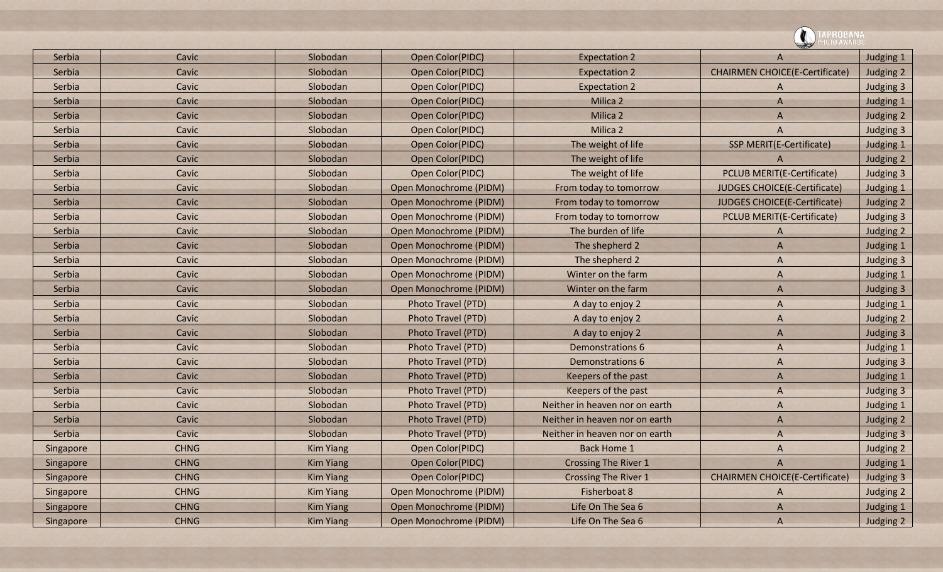|           |             |                  |                               |                                | OTO AWARDS                            |           |
|-----------|-------------|------------------|-------------------------------|--------------------------------|---------------------------------------|-----------|
| Serbia    | Cavic       | Slobodan         | Open Color(PIDC)              | <b>Expectation 2</b>           | A                                     | Judging 1 |
| Serbia    | Cavic       | Slobodan         | Open Color(PIDC)              | <b>Expectation 2</b>           | <b>CHAIRMEN CHOICE(E-Certificate)</b> | Judging 2 |
| Serbia    | Cavic       | Slobodan         | Open Color(PIDC)              | <b>Expectation 2</b>           | A                                     | Judging 3 |
| Serbia    | Cavic       | Slobodan         | Open Color(PIDC)              | Milica 2                       | A                                     | Judging 1 |
| Serbia    | Cavic       | Slobodan         | Open Color(PIDC)              | Milica 2                       | A                                     | Judging 2 |
| Serbia    | Cavic       | Slobodan         | Open Color(PIDC)              | Milica 2                       | A                                     | Judging 3 |
| Serbia    | Cavic       | Slobodan         | Open Color(PIDC)              | The weight of life             | <b>SSP MERIT(E-Certificate)</b>       | Judging 1 |
| Serbia    | Cavic       | Slobodan         | Open Color(PIDC)              | The weight of life             | A                                     | Judging 2 |
| Serbia    | Cavic       | Slobodan         | Open Color(PIDC)              | The weight of life             | <b>PCLUB MERIT(E-Certificate)</b>     | Judging 3 |
| Serbia    | Cavic       | Slobodan         | Open Monochrome (PIDM)        | From today to tomorrow         | JUDGES CHOICE(E-Certificate)          | Judging 1 |
| Serbia    | Cavic       | Slobodan         | Open Monochrome (PIDM)        | From today to tomorrow         | JUDGES CHOICE(E-Certificate)          | Judging 2 |
| Serbia    | Cavic       | Slobodan         | Open Monochrome (PIDM)        | From today to tomorrow         | PCLUB MERIT(E-Certificate)            | Judging 3 |
| Serbia    | Cavic       | Slobodan         | Open Monochrome (PIDM)        | The burden of life             | A                                     | Judging 2 |
| Serbia    | Cavic       | Slobodan         | Open Monochrome (PIDM)        | The shepherd 2                 | A                                     | Judging 1 |
| Serbia    | Cavic       | Slobodan         | Open Monochrome (PIDM)        | The shepherd 2                 | A                                     | Judging 3 |
| Serbia    | Cavic       | Slobodan         | Open Monochrome (PIDM)        | Winter on the farm             | A                                     | Judging 1 |
| Serbia    | Cavic       | Slobodan         | Open Monochrome (PIDM)        | Winter on the farm             | A                                     | Judging 3 |
| Serbia    | Cavic       | Slobodan         | Photo Travel (PTD)            | A day to enjoy 2               | A                                     | Judging 1 |
| Serbia    | Cavic       | Slobodan         | Photo Travel (PTD)            | A day to enjoy 2               | A                                     | Judging 2 |
| Serbia    | Cavic       | Slobodan         | Photo Travel (PTD)            | A day to enjoy 2               | A                                     | Judging 3 |
| Serbia    | Cavic       | Slobodan         | Photo Travel (PTD)            | <b>Demonstrations 6</b>        | A                                     | Judging 1 |
| Serbia    | Cavic       | Slobodan         | Photo Travel (PTD)            | <b>Demonstrations 6</b>        | A                                     | Judging 3 |
| Serbia    | Cavic       | Slobodan         | Photo Travel (PTD)            | Keepers of the past            | A                                     | Judging 1 |
| Serbia    | Cavic       | Slobodan         | Photo Travel (PTD)            | Keepers of the past            | A                                     | Judging 3 |
| Serbia    | Cavic       | Slobodan         | Photo Travel (PTD)            | Neither in heaven nor on earth | A                                     | Judging 1 |
| Serbia    | Cavic       | Slobodan         | Photo Travel (PTD)            | Neither in heaven nor on earth | A                                     | Judging 2 |
| Serbia    | Cavic       | Slobodan         | Photo Travel (PTD)            | Neither in heaven nor on earth | A                                     | Judging 3 |
| Singapore | <b>CHNG</b> | <b>Kim Yiang</b> | Open Color(PIDC)              | <b>Back Home 1</b>             | A                                     | Judging 2 |
| Singapore | <b>CHNG</b> | <b>Kim Yiang</b> | Open Color(PIDC)              | <b>Crossing The River 1</b>    | A                                     | Judging 1 |
| Singapore | <b>CHNG</b> | <b>Kim Yiang</b> | Open Color(PIDC)              | <b>Crossing The River 1</b>    | <b>CHAIRMEN CHOICE(E-Certificate)</b> | Judging 3 |
| Singapore | <b>CHNG</b> | <b>Kim Yiang</b> | Open Monochrome (PIDM)        | Fisherboat 8                   | A                                     | Judging 2 |
| Singapore | <b>CHNG</b> | <b>Kim Yiang</b> | <b>Open Monochrome (PIDM)</b> | Life On The Sea 6              | A                                     | Judging 1 |
| Singapore | <b>CHNG</b> | <b>Kim Yiang</b> | Open Monochrome (PIDM)        | Life On The Sea 6              | A                                     | Judging 2 |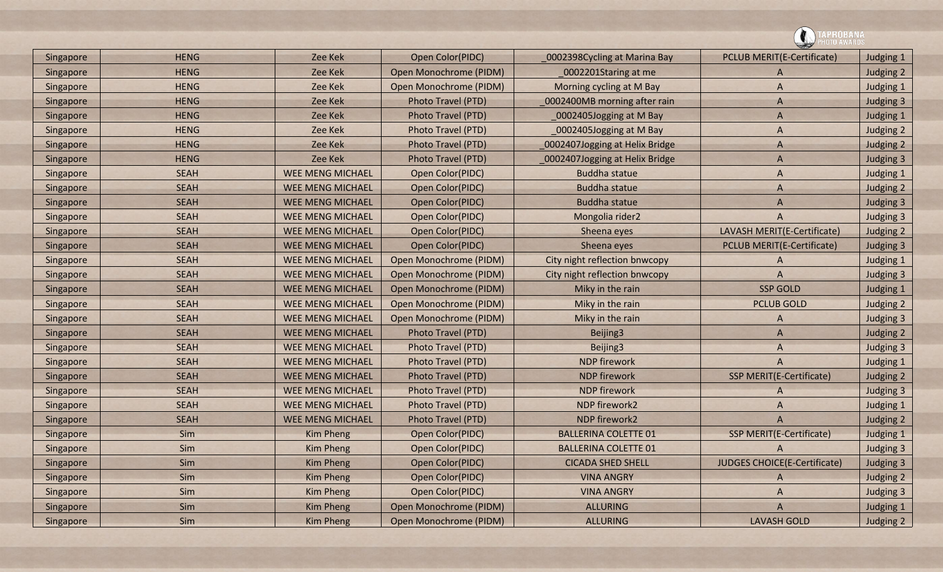| Singapore | <b>HENG</b> | Zee Kek                 | Open Color(PIDC)       | 0002398Cycling at Marina Bay   | <b>PCLUB MERIT(E-Certificate)</b> | Judging 1 |
|-----------|-------------|-------------------------|------------------------|--------------------------------|-----------------------------------|-----------|
| Singapore | <b>HENG</b> | Zee Kek                 | Open Monochrome (PIDM) | 0002201Staring at me           | A                                 | Judging 2 |
| Singapore | <b>HENG</b> | Zee Kek                 | Open Monochrome (PIDM) | Morning cycling at M Bay       | A                                 | Judging 1 |
| Singapore | <b>HENG</b> | Zee Kek                 | Photo Travel (PTD)     | 0002400MB morning after rain   | $\overline{A}$                    | Judging 3 |
| Singapore | <b>HENG</b> | Zee Kek                 | Photo Travel (PTD)     | 0002405Jogging at M Bay        | A                                 | Judging 1 |
| Singapore | <b>HENG</b> | Zee Kek                 | Photo Travel (PTD)     | 0002405Jogging at M Bay        | A                                 | Judging 2 |
| Singapore | <b>HENG</b> | Zee Kek                 | Photo Travel (PTD)     | 0002407Jogging at Helix Bridge | A                                 | Judging 2 |
| Singapore | <b>HENG</b> | Zee Kek                 | Photo Travel (PTD)     | 0002407Jogging at Helix Bridge | A                                 | Judging 3 |
| Singapore | <b>SEAH</b> | <b>WEE MENG MICHAEL</b> | Open Color(PIDC)       | <b>Buddha statue</b>           | A                                 | Judging 1 |
| Singapore | <b>SEAH</b> | <b>WEE MENG MICHAEL</b> | Open Color(PIDC)       | <b>Buddha statue</b>           | A                                 | Judging 2 |
| Singapore | <b>SEAH</b> | <b>WEE MENG MICHAEL</b> | Open Color(PIDC)       | <b>Buddha statue</b>           | $\overline{A}$                    | Judging 3 |
| Singapore | <b>SEAH</b> | <b>WEE MENG MICHAEL</b> | Open Color(PIDC)       | Mongolia rider2                | A                                 | Judging 3 |
| Singapore | <b>SEAH</b> | <b>WEE MENG MICHAEL</b> | Open Color(PIDC)       | Sheena eyes                    | LAVASH MERIT(E-Certificate)       | Judging 2 |
| Singapore | <b>SEAH</b> | <b>WEE MENG MICHAEL</b> | Open Color(PIDC)       | Sheena eyes                    | <b>PCLUB MERIT(E-Certificate)</b> | Judging 3 |
| Singapore | <b>SEAH</b> | <b>WEE MENG MICHAEL</b> | Open Monochrome (PIDM) | City night reflection bnwcopy  | A                                 | Judging 1 |
| Singapore | <b>SEAH</b> | <b>WEE MENG MICHAEL</b> | Open Monochrome (PIDM) | City night reflection bnwcopy  | A                                 | Judging 3 |
| Singapore | <b>SEAH</b> | WEE MENG MICHAEL        | Open Monochrome (PIDM) | Miky in the rain               | <b>SSP GOLD</b>                   | Judging 1 |
| Singapore | <b>SEAH</b> | <b>WEE MENG MICHAEL</b> | Open Monochrome (PIDM) | Miky in the rain               | <b>PCLUB GOLD</b>                 | Judging 2 |
| Singapore | <b>SEAH</b> | <b>WEE MENG MICHAEL</b> | Open Monochrome (PIDM) | Miky in the rain               | A                                 | Judging 3 |
| Singapore | <b>SEAH</b> | <b>WEE MENG MICHAEL</b> | Photo Travel (PTD)     | Beijing3                       | A                                 | Judging 2 |
| Singapore | <b>SEAH</b> | <b>WEE MENG MICHAEL</b> | Photo Travel (PTD)     | Beijing3                       | A                                 | Judging 3 |
| Singapore | <b>SEAH</b> | <b>WEE MENG MICHAEL</b> | Photo Travel (PTD)     | <b>NDP</b> firework            | $\overline{A}$                    | Judging 1 |
| Singapore | <b>SEAH</b> | <b>WEE MENG MICHAEL</b> | Photo Travel (PTD)     | <b>NDP</b> firework            | <b>SSP MERIT(E-Certificate)</b>   | Judging 2 |
| Singapore | <b>SEAH</b> | <b>WEE MENG MICHAEL</b> | Photo Travel (PTD)     | <b>NDP</b> firework            | A                                 | Judging 3 |
| Singapore | <b>SEAH</b> | <b>WEE MENG MICHAEL</b> | Photo Travel (PTD)     | NDP firework2                  | A                                 | Judging 1 |
| Singapore | <b>SEAH</b> | WEE MENG MICHAEL        | Photo Travel (PTD)     | NDP firework2                  | A                                 | Judging 2 |
| Singapore | Sim         | <b>Kim Pheng</b>        | Open Color(PIDC)       | <b>BALLERINA COLETTE 01</b>    | <b>SSP MERIT(E-Certificate)</b>   | Judging 1 |
| Singapore | Sim         | Kim Pheng               | Open Color(PIDC)       | <b>BALLERINA COLETTE 01</b>    | $\overline{A}$                    | Judging 3 |
| Singapore | Sim         | Kim Pheng               | Open Color(PIDC)       | <b>CICADA SHED SHELL</b>       | JUDGES CHOICE(E-Certificate)      | Judging 3 |
| Singapore | Sim         | Kim Pheng               | Open Color(PIDC)       | <b>VINA ANGRY</b>              | A                                 | Judging 2 |
| Singapore | Sim         | Kim Pheng               | Open Color(PIDC)       | <b>VINA ANGRY</b>              | A                                 | Judging 3 |
| Singapore | Sim         | Kim Pheng               | Open Monochrome (PIDM) | ALLURING                       | $\bigwedge$                       | Judging 1 |
| Singapore | Sim         | Kim Pheng               | Open Monochrome (PIDM) | <b>ALLURING</b>                | <b>LAVASH GOLD</b>                | Judging 2 |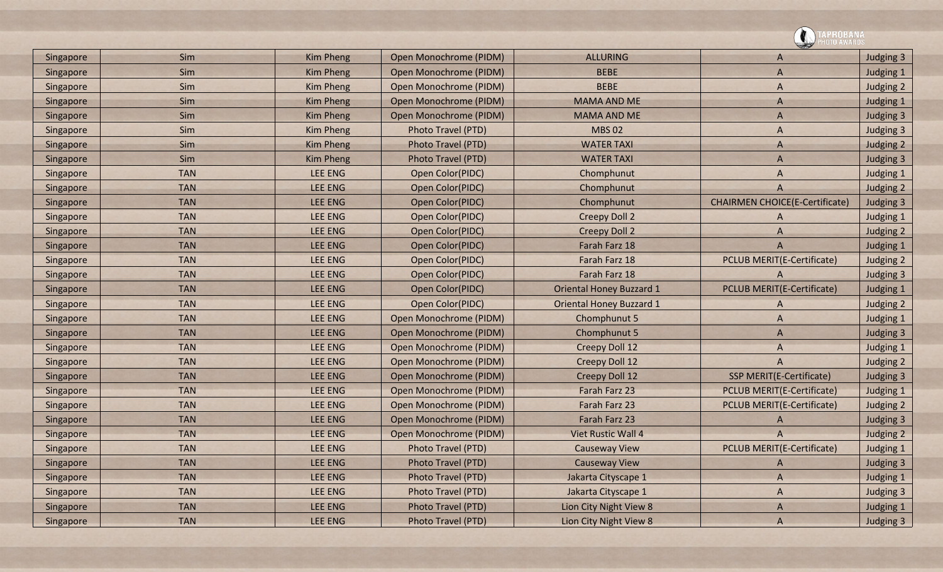|           |            |                  |                        |                                 | <b>\PROBANA</b><br> OTO AWARDS        |           |
|-----------|------------|------------------|------------------------|---------------------------------|---------------------------------------|-----------|
| Singapore | Sim        | <b>Kim Pheng</b> | Open Monochrome (PIDM) | <b>ALLURING</b>                 | A                                     | Judging 3 |
| Singapore | Sim        | <b>Kim Pheng</b> | Open Monochrome (PIDM) | <b>BEBE</b>                     | $\overline{A}$                        | Judging 1 |
| Singapore | Sim        | <b>Kim Pheng</b> | Open Monochrome (PIDM) | <b>BEBE</b>                     | A                                     | Judging 2 |
| Singapore | Sim        | <b>Kim Pheng</b> | Open Monochrome (PIDM) | <b>MAMA AND ME</b>              | A                                     | Judging 1 |
| Singapore | Sim        | <b>Kim Pheng</b> | Open Monochrome (PIDM) | <b>MAMA AND ME</b>              | A                                     | Judging 3 |
| Singapore | Sim        | <b>Kim Pheng</b> | Photo Travel (PTD)     | <b>MBS 02</b>                   | A                                     | Judging 3 |
| Singapore | Sim        | <b>Kim Pheng</b> | Photo Travel (PTD)     | <b>WATER TAXI</b>               | A                                     | Judging 2 |
| Singapore | Sim        | <b>Kim Pheng</b> | Photo Travel (PTD)     | <b>WATER TAXI</b>               | $\overline{A}$                        | Judging 3 |
| Singapore | <b>TAN</b> | <b>LEE ENG</b>   | Open Color(PIDC)       | Chomphunut                      | A                                     | Judging 1 |
| Singapore | <b>TAN</b> | <b>LEE ENG</b>   | Open Color(PIDC)       | Chomphunut                      | A                                     | Judging 2 |
| Singapore | <b>TAN</b> | <b>LEE ENG</b>   | Open Color(PIDC)       | Chomphunut                      | <b>CHAIRMEN CHOICE(E-Certificate)</b> | Judging 3 |
| Singapore | <b>TAN</b> | LEE ENG          | Open Color(PIDC)       | <b>Creepy Doll 2</b>            | A                                     | Judging 1 |
| Singapore | <b>TAN</b> | <b>LEE ENG</b>   | Open Color(PIDC)       | <b>Creepy Doll 2</b>            | A                                     | Judging 2 |
| Singapore | <b>TAN</b> | LEE ENG          | Open Color(PIDC)       | Farah Farz 18                   | $\overline{A}$                        | Judging 1 |
| Singapore | <b>TAN</b> | <b>LEE ENG</b>   | Open Color(PIDC)       | Farah Farz 18                   | <b>PCLUB MERIT(E-Certificate)</b>     | Judging 2 |
| Singapore | <b>TAN</b> | <b>LEE ENG</b>   | Open Color(PIDC)       | Farah Farz 18                   | A                                     | Judging 3 |
| Singapore | <b>TAN</b> | <b>LEE ENG</b>   | Open Color(PIDC)       | <b>Oriental Honey Buzzard 1</b> | <b>PCLUB MERIT(E-Certificate)</b>     | Judging 1 |
| Singapore | <b>TAN</b> | <b>LEE ENG</b>   | Open Color(PIDC)       | <b>Oriental Honey Buzzard 1</b> | A                                     | Judging 2 |
| Singapore | <b>TAN</b> | <b>LEE ENG</b>   | Open Monochrome (PIDM) | Chomphunut 5                    | A                                     | Judging 1 |
| Singapore | <b>TAN</b> | <b>LEE ENG</b>   | Open Monochrome (PIDM) | Chomphunut 5                    | $\overline{A}$                        | Judging 3 |
| Singapore | <b>TAN</b> | <b>LEE ENG</b>   | Open Monochrome (PIDM) | <b>Creepy Doll 12</b>           | A                                     | Judging 1 |
| Singapore | <b>TAN</b> | <b>LEE ENG</b>   | Open Monochrome (PIDM) | Creepy Doll 12                  | A                                     | Judging 2 |
| Singapore | <b>TAN</b> | <b>LEE ENG</b>   | Open Monochrome (PIDM) | <b>Creepy Doll 12</b>           | <b>SSP MERIT(E-Certificate)</b>       | Judging 3 |
| Singapore | <b>TAN</b> | <b>LEE ENG</b>   | Open Monochrome (PIDM) | Farah Farz 23                   | <b>PCLUB MERIT(E-Certificate)</b>     | Judging 1 |
| Singapore | <b>TAN</b> | <b>LEE ENG</b>   | Open Monochrome (PIDM) | Farah Farz 23                   | <b>PCLUB MERIT(E-Certificate)</b>     | Judging 2 |
| Singapore | <b>TAN</b> | LEE ENG          | Open Monochrome (PIDM) | Farah Farz 23                   | A                                     | Judging 3 |
| Singapore | <b>TAN</b> | <b>LEE ENG</b>   | Open Monochrome (PIDM) | Viet Rustic Wall 4              | A                                     | Judging 2 |
| Singapore | <b>TAN</b> | LEE ENG          | Photo Travel (PTD)     | <b>Causeway View</b>            | PCLUB MERIT(E-Certificate)            | Judging 1 |
| Singapore | <b>TAN</b> | <b>LEE ENG</b>   | Photo Travel (PTD)     | <b>Causeway View</b>            | A                                     | Judging 3 |
| Singapore | <b>TAN</b> | LEE ENG          | Photo Travel (PTD)     | Jakarta Cityscape 1             | $\mathsf{A}$                          | Judging 1 |
| Singapore | <b>TAN</b> | LEE ENG          | Photo Travel (PTD)     | Jakarta Cityscape 1             | $\mathsf{A}$                          | Judging 3 |
| Singapore | <b>TAN</b> | LEE ENG          | Photo Travel (PTD)     | Lion City Night View 8          | A                                     | Judging 1 |
| Singapore | <b>TAN</b> | LEE ENG          | Photo Travel (PTD)     | Lion City Night View 8          | A                                     | Judging 3 |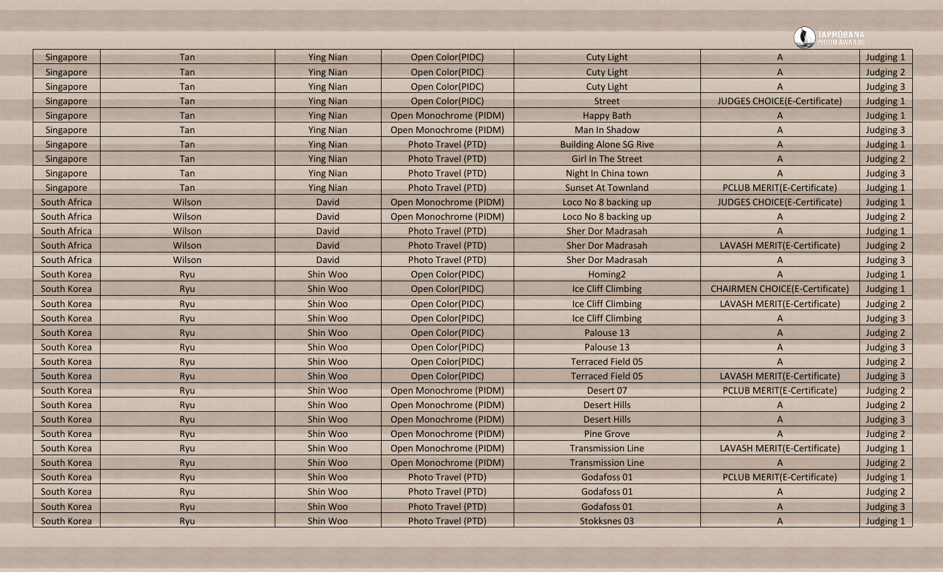|              |        |                  |                           |                               | <b>PROBANA</b><br>0TO AWARDS          |           |
|--------------|--------|------------------|---------------------------|-------------------------------|---------------------------------------|-----------|
| Singapore    | Tan    | <b>Ying Nian</b> | Open Color(PIDC)          | <b>Cuty Light</b>             | A                                     | Judging 1 |
| Singapore    | Tan    | <b>Ying Nian</b> | Open Color(PIDC)          | <b>Cuty Light</b>             | A                                     | Judging 2 |
| Singapore    | Tan    | <b>Ying Nian</b> | Open Color(PIDC)          | <b>Cuty Light</b>             | $\overline{A}$                        | Judging 3 |
| Singapore    | Tan    | <b>Ying Nian</b> | Open Color(PIDC)          | <b>Street</b>                 | JUDGES CHOICE(E-Certificate)          | Judging 1 |
| Singapore    | Tan    | <b>Ying Nian</b> | Open Monochrome (PIDM)    | <b>Happy Bath</b>             | A                                     | Judging 1 |
| Singapore    | Tan    | <b>Ying Nian</b> | Open Monochrome (PIDM)    | Man In Shadow                 | A                                     | Judging 3 |
| Singapore    | Tan    | <b>Ying Nian</b> | Photo Travel (PTD)        | <b>Building Alone SG Rive</b> | A                                     | Judging 1 |
| Singapore    | Tan    | <b>Ying Nian</b> | <b>Photo Travel (PTD)</b> | <b>Girl In The Street</b>     | $\overline{A}$                        | Judging 2 |
| Singapore    | Tan    | <b>Ying Nian</b> | Photo Travel (PTD)        | Night In China town           | A                                     | Judging 3 |
| Singapore    | Tan    | <b>Ying Nian</b> | Photo Travel (PTD)        | <b>Sunset At Townland</b>     | <b>PCLUB MERIT(E-Certificate)</b>     | Judging 1 |
| South Africa | Wilson | <b>David</b>     | Open Monochrome (PIDM)    | Loco No 8 backing up          | JUDGES CHOICE(E-Certificate)          | Judging 1 |
| South Africa | Wilson | David            | Open Monochrome (PIDM)    | Loco No 8 backing up          | A                                     | Judging 2 |
| South Africa | Wilson | <b>David</b>     | Photo Travel (PTD)        | <b>Sher Dor Madrasah</b>      | A                                     | Judging 1 |
| South Africa | Wilson | <b>David</b>     | Photo Travel (PTD)        | <b>Sher Dor Madrasah</b>      | LAVASH MERIT(E-Certificate)           | Judging 2 |
| South Africa | Wilson | David            | <b>Photo Travel (PTD)</b> | <b>Sher Dor Madrasah</b>      | A                                     | Judging 3 |
| South Korea  | Ryu    | Shin Woo         | Open Color(PIDC)          | Homing <sub>2</sub>           | A                                     | Judging 1 |
| South Korea  | Ryu    | Shin Woo         | Open Color(PIDC)          | Ice Cliff Climbing            | <b>CHAIRMEN CHOICE(E-Certificate)</b> | Judging 1 |
| South Korea  | Ryu    | Shin Woo         | Open Color(PIDC)          | Ice Cliff Climbing            | LAVASH MERIT(E-Certificate)           | Judging 2 |
| South Korea  | Ryu    | Shin Woo         | Open Color(PIDC)          | Ice Cliff Climbing            | A                                     | Judging 3 |
| South Korea  | Ryu    | Shin Woo         | Open Color(PIDC)          | Palouse 13                    | $\overline{A}$                        | Judging 2 |
| South Korea  | Ryu    | Shin Woo         | Open Color(PIDC)          | Palouse 13                    | A                                     | Judging 3 |
| South Korea  | Ryu    | Shin Woo         | Open Color(PIDC)          | <b>Terraced Field 05</b>      | $\overline{A}$                        | Judging 2 |
| South Korea  | Ryu    | Shin Woo         | Open Color(PIDC)          | <b>Terraced Field 05</b>      | LAVASH MERIT(E-Certificate)           | Judging 3 |
| South Korea  | Ryu    | Shin Woo         | Open Monochrome (PIDM)    | Desert 07                     | <b>PCLUB MERIT(E-Certificate)</b>     | Judging 2 |
| South Korea  | Ryu    | Shin Woo         | Open Monochrome (PIDM)    | <b>Desert Hills</b>           | A                                     | Judging 2 |
| South Korea  | Ryu    | Shin Woo         | Open Monochrome (PIDM)    | <b>Desert Hills</b>           | A                                     | Judging 3 |
| South Korea  | Ryu    | Shin Woo         | Open Monochrome (PIDM)    | <b>Pine Grove</b>             | A                                     | Judging 2 |
| South Korea  | Ryu    | Shin Woo         | Open Monochrome (PIDM)    | <b>Transmission Line</b>      | LAVASH MERIT(E-Certificate)           | Judging 1 |
| South Korea  | Ryu    | Shin Woo         | Open Monochrome (PIDM)    | <b>Transmission Line</b>      |                                       | Judging 2 |
| South Korea  | Ryu    | Shin Woo         | Photo Travel (PTD)        | Godafoss 01                   | <b>PCLUB MERIT(E-Certificate)</b>     | Judging 1 |
| South Korea  | Ryu    | Shin Woo         | Photo Travel (PTD)        | Godafoss 01                   | A                                     | Judging 2 |
| South Korea  | Ryu    | Shin Woo         | Photo Travel (PTD)        | Godafoss 01                   | A                                     | Judging 3 |
| South Korea  | Ryu    | Shin Woo         | Photo Travel (PTD)        | Stokksnes 03                  | A                                     | Judging 1 |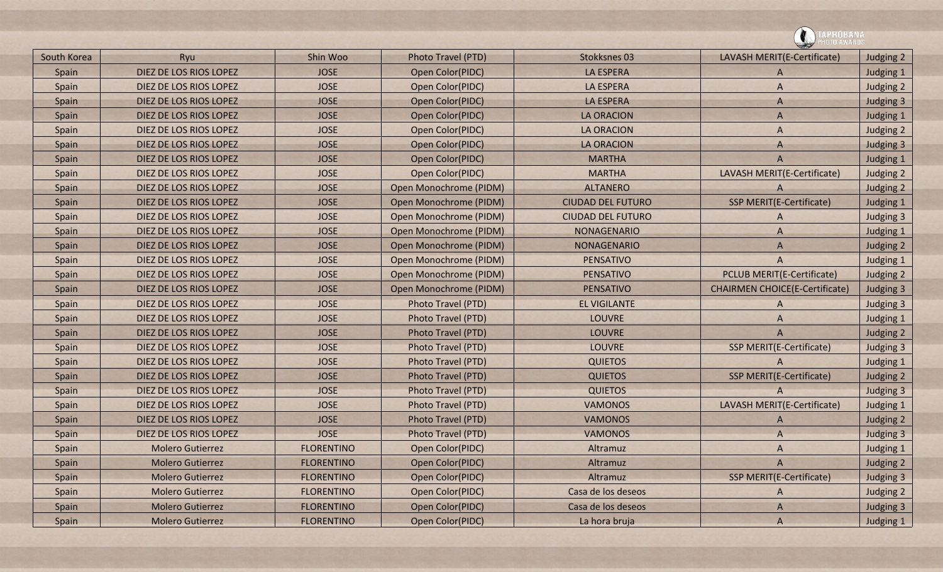| South Korea | Ryu                     | Shin Woo          | Photo Travel (PTD)     | Stokksnes 03             | LAVASH MERIT(E-Certificate)           | Judging 2        |  |
|-------------|-------------------------|-------------------|------------------------|--------------------------|---------------------------------------|------------------|--|
| Spain       | DIEZ DE LOS RIOS LOPEZ  | <b>JOSE</b>       | Open Color(PIDC)       | <b>LA ESPERA</b>         | A                                     | Judging 1        |  |
| Spain       | DIEZ DE LOS RIOS LOPEZ  | <b>JOSE</b>       | Open Color(PIDC)       | LA ESPERA                | A                                     | Judging 2        |  |
| Spain       | DIEZ DE LOS RIOS LOPEZ  | <b>JOSE</b>       | Open Color(PIDC)       | <b>LA ESPERA</b>         | A                                     | Judging 3        |  |
| Spain       | DIEZ DE LOS RIOS LOPEZ  | <b>JOSE</b>       | Open Color(PIDC)       | <b>LA ORACION</b>        | A                                     | Judging 1        |  |
| Spain       | DIEZ DE LOS RIOS LOPEZ  | <b>JOSE</b>       | Open Color(PIDC)       | <b>LA ORACION</b>        | A                                     | Judging 2        |  |
| Spain       | DIEZ DE LOS RIOS LOPEZ  | <b>JOSE</b>       | Open Color(PIDC)       | <b>LA ORACION</b>        | A                                     | <b>Judging 3</b> |  |
| Spain       | DIEZ DE LOS RIOS LOPEZ  | <b>JOSE</b>       | Open Color(PIDC)       | <b>MARTHA</b>            | A                                     | Judging 1        |  |
| Spain       | DIEZ DE LOS RIOS LOPEZ  | <b>JOSE</b>       | Open Color(PIDC)       | <b>MARTHA</b>            | LAVASH MERIT(E-Certificate)           | Judging 2        |  |
| Spain       | DIEZ DE LOS RIOS LOPEZ  | <b>JOSE</b>       | Open Monochrome (PIDM) | <b>ALTANERO</b>          | A                                     | Judging 2        |  |
| Spain       | DIEZ DE LOS RIOS LOPEZ  | <b>JOSE</b>       | Open Monochrome (PIDM) | <b>CIUDAD DEL FUTURO</b> | SSP MERIT(E-Certificate)              | Judging 1        |  |
| Spain       | DIEZ DE LOS RIOS LOPEZ  | <b>JOSE</b>       | Open Monochrome (PIDM) | <b>CIUDAD DEL FUTURO</b> | A                                     | Judging 3        |  |
| Spain       | DIEZ DE LOS RIOS LOPEZ  | <b>JOSE</b>       | Open Monochrome (PIDM) | NONAGENARIO              | A                                     | Judging 1        |  |
| Spain       | DIEZ DE LOS RIOS LOPEZ  | <b>JOSE</b>       | Open Monochrome (PIDM) | <b>NONAGENARIO</b>       | A                                     | Judging 2        |  |
| Spain       | DIEZ DE LOS RIOS LOPEZ  | <b>JOSE</b>       | Open Monochrome (PIDM) | PENSATIVO                | A                                     | Judging 1        |  |
| Spain       | DIEZ DE LOS RIOS LOPEZ  | <b>JOSE</b>       | Open Monochrome (PIDM) | <b>PENSATIVO</b>         | <b>PCLUB MERIT(E-Certificate)</b>     | Judging 2        |  |
| Spain       | DIEZ DE LOS RIOS LOPEZ  | <b>JOSE</b>       | Open Monochrome (PIDM) | <b>PENSATIVO</b>         | <b>CHAIRMEN CHOICE(E-Certificate)</b> | Judging 3        |  |
| Spain       | DIEZ DE LOS RIOS LOPEZ  | <b>JOSE</b>       | Photo Travel (PTD)     | <b>EL VIGILANTE</b>      | A                                     | Judging 3        |  |
| Spain       | DIEZ DE LOS RIOS LOPEZ  | <b>JOSE</b>       | Photo Travel (PTD)     | <b>LOUVRE</b>            | A                                     | Judging 1        |  |
| Spain       | DIEZ DE LOS RIOS LOPEZ  | <b>JOSE</b>       | Photo Travel (PTD)     | <b>LOUVRE</b>            | A                                     | Judging 2        |  |
| Spain       | DIEZ DE LOS RIOS LOPEZ  | <b>JOSE</b>       | Photo Travel (PTD)     | <b>LOUVRE</b>            | SSP MERIT(E-Certificate)              | Judging 3        |  |
| Spain       | DIEZ DE LOS RIOS LOPEZ  | <b>JOSE</b>       | Photo Travel (PTD)     | <b>QUIETOS</b>           | A                                     | Judging 1        |  |
| Spain       | DIEZ DE LOS RIOS LOPEZ  | <b>JOSE</b>       | Photo Travel (PTD)     | <b>QUIETOS</b>           | SSP MERIT(E-Certificate)              | Judging 2        |  |
| Spain       | DIEZ DE LOS RIOS LOPEZ  | <b>JOSE</b>       | Photo Travel (PTD)     | <b>QUIETOS</b>           |                                       | Judging 3        |  |
| Spain       | DIEZ DE LOS RIOS LOPEZ  | <b>JOSE</b>       | Photo Travel (PTD)     | <b>VAMONOS</b>           | LAVASH MERIT(E-Certificate)           | Judging 1        |  |
| Spain       | DIEZ DE LOS RIOS LOPEZ  | <b>JOSE</b>       | Photo Travel (PTD)     | <b>VAMONOS</b>           | A                                     | Judging 2        |  |
| Spain       | DIEZ DE LOS RIOS LOPEZ  | <b>JOSE</b>       | Photo Travel (PTD)     | <b>VAMONOS</b>           | A                                     | Judging 3        |  |
| Spain       | <b>Molero Gutierrez</b> | <b>FLORENTINO</b> | Open Color(PIDC)       | Altramuz                 | A                                     | Judging 1        |  |
| Spain       | <b>Molero Gutierrez</b> | <b>FLORENTINO</b> | Open Color(PIDC)       | Altramuz                 | A                                     | Judging 2        |  |
| Spain       | <b>Molero Gutierrez</b> | <b>FLORENTINO</b> | Open Color(PIDC)       | Altramuz                 | SSP MERIT(E-Certificate)              | Judging 3        |  |
| Spain       | <b>Molero Gutierrez</b> | <b>FLORENTINO</b> | Open Color(PIDC)       | Casa de los deseos       | A                                     | Judging 2        |  |
| Spain       | <b>Molero Gutierrez</b> | <b>FLORENTINO</b> | Open Color(PIDC)       | Casa de los deseos       | A                                     | Judging 3        |  |
| Spain       | <b>Molero Gutierrez</b> | <b>FLORENTINO</b> | Open Color(PIDC)       | La hora bruja            | A                                     | Judging 1        |  |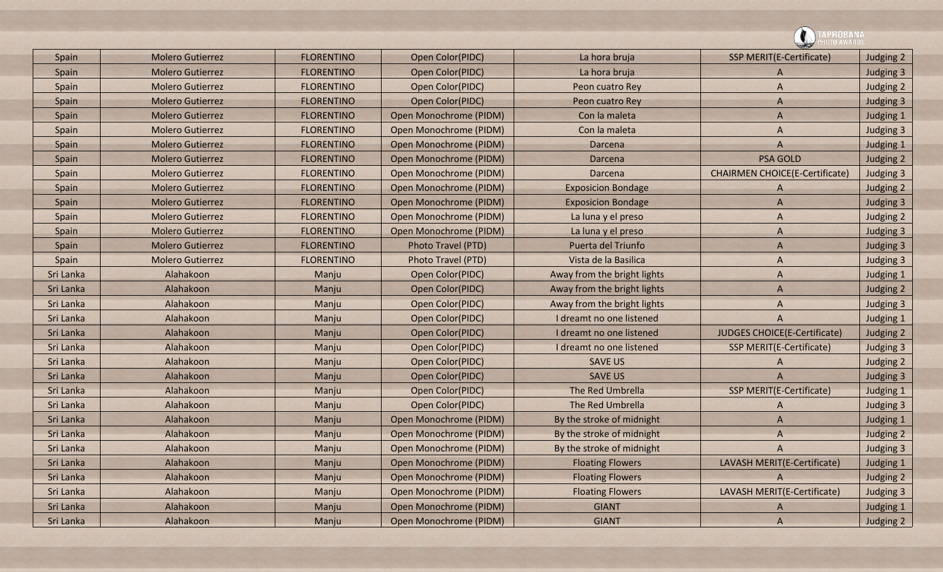| Spain     | <b>Molero Gutierrez</b> | <b>FLORENTINO</b> | Open Color(PIDC)              | La hora bruja               | <b>SSP MERIT(E-Certificate)</b>       | Judging 2 |
|-----------|-------------------------|-------------------|-------------------------------|-----------------------------|---------------------------------------|-----------|
| Spain     | <b>Molero Gutierrez</b> | <b>FLORENTINO</b> | Open Color(PIDC)              | La hora bruja               | A                                     | Judging 3 |
| Spain     | <b>Molero Gutierrez</b> | <b>FLORENTINO</b> | Open Color(PIDC)              | Peon cuatro Rey             | A                                     | Judging 2 |
| Spain     | <b>Molero Gutierrez</b> | <b>FLORENTINO</b> | Open Color(PIDC)              | Peon cuatro Rey             | $\mathsf{A}$                          | Judging 3 |
| Spain     | <b>Molero Gutierrez</b> | <b>FLORENTINO</b> | Open Monochrome (PIDM)        | Con la maleta               | A                                     | Judging 1 |
| Spain     | <b>Molero Gutierrez</b> | <b>FLORENTINO</b> | Open Monochrome (PIDM)        | Con la maleta               | A                                     | Judging 3 |
| Spain     | <b>Molero Gutierrez</b> | <b>FLORENTINO</b> | Open Monochrome (PIDM)        | Darcena                     | A                                     | Judging 1 |
| Spain     | <b>Molero Gutierrez</b> | <b>FLORENTINO</b> | Open Monochrome (PIDM)        | Darcena                     | <b>PSA GOLD</b>                       | Judging 2 |
| Spain     | <b>Molero Gutierrez</b> | <b>FLORENTINO</b> | Open Monochrome (PIDM)        | Darcena                     | <b>CHAIRMEN CHOICE(E-Certificate)</b> | Judging 3 |
| Spain     | <b>Molero Gutierrez</b> | <b>FLORENTINO</b> | Open Monochrome (PIDM)        | <b>Exposicion Bondage</b>   | A                                     | Judging 2 |
| Spain     | <b>Molero Gutierrez</b> | <b>FLORENTINO</b> | <b>Open Monochrome (PIDM)</b> | <b>Exposicion Bondage</b>   | $\overline{A}$                        | Judging 3 |
| Spain     | <b>Molero Gutierrez</b> | <b>FLORENTINO</b> | Open Monochrome (PIDM)        | La luna y el preso          | A                                     | Judging 2 |
| Spain     | <b>Molero Gutierrez</b> | <b>FLORENTINO</b> | Open Monochrome (PIDM)        | La luna y el preso          | A                                     | Judging 3 |
| Spain     | <b>Molero Gutierrez</b> | <b>FLORENTINO</b> | Photo Travel (PTD)            | Puerta del Triunfo          | $\overline{A}$                        | Judging 3 |
| Spain     | <b>Molero Gutierrez</b> | <b>FLORENTINO</b> | Photo Travel (PTD)            | Vista de la Basilica        | A                                     | Judging 3 |
| Sri Lanka | Alahakoon               | Manju             | Open Color(PIDC)              | Away from the bright lights | A                                     | Judging 1 |
| Sri Lanka | Alahakoon               | Manju             | Open Color(PIDC)              | Away from the bright lights | $\overline{A}$                        | Judging 2 |
| Sri Lanka | Alahakoon               | Manju             | Open Color(PIDC)              | Away from the bright lights | A                                     | Judging 3 |
| Sri Lanka | Alahakoon               | Manju             | Open Color(PIDC)              | I dreamt no one listened    | A                                     | Judging 1 |
| Sri Lanka | Alahakoon               | Manju             | Open Color(PIDC)              | I dreamt no one listened    | JUDGES CHOICE(E-Certificate)          | Judging 2 |
| Sri Lanka | Alahakoon               | Manju             | Open Color(PIDC)              | I dreamt no one listened    | <b>SSP MERIT(E-Certificate)</b>       | Judging 3 |
| Sri Lanka | Alahakoon               | Manju             | Open Color(PIDC)              | <b>SAVE US</b>              | A                                     | Judging 2 |
| Sri Lanka | Alahakoon               | Manju             | Open Color(PIDC)              | <b>SAVE US</b>              | $\overline{A}$                        | Judging 3 |
| Sri Lanka | Alahakoon               | Manju             | Open Color(PIDC)              | The Red Umbrella            | SSP MERIT(E-Certificate)              | Judging 1 |
| Sri Lanka | Alahakoon               | Manju             | Open Color(PIDC)              | The Red Umbrella            | A                                     | Judging 3 |
| Sri Lanka | Alahakoon               | Manju             | Open Monochrome (PIDM)        | By the stroke of midnight   | A                                     | Judging 1 |
| Sri Lanka | Alahakoon               | Manju             | Open Monochrome (PIDM)        | By the stroke of midnight   | A                                     | Judging 2 |
| Sri Lanka | Alahakoon               | Manju             | Open Monochrome (PIDM)        | By the stroke of midnight   | $\overline{A}$                        | Judging 3 |
| Sri Lanka | Alahakoon               | Manju             | Open Monochrome (PIDM)        | <b>Floating Flowers</b>     | LAVASH MERIT(E-Certificate)           | Judging 1 |
| Sri Lanka | Alahakoon               | Manju             | Open Monochrome (PIDM)        | <b>Floating Flowers</b>     | A                                     | Judging 2 |
| Sri Lanka | Alahakoon               | Manju             | Open Monochrome (PIDM)        | <b>Floating Flowers</b>     | LAVASH MERIT(E-Certificate)           | Judging 3 |
| Sri Lanka | Alahakoon               | Manju             | Open Monochrome (PIDM)        | <b>GIANT</b>                | A                                     | Judging 1 |
| Sri Lanka | Alahakoon               | Manju             | Open Monochrome (PIDM)        | <b>GIANT</b>                | $\overline{A}$                        | Judging 2 |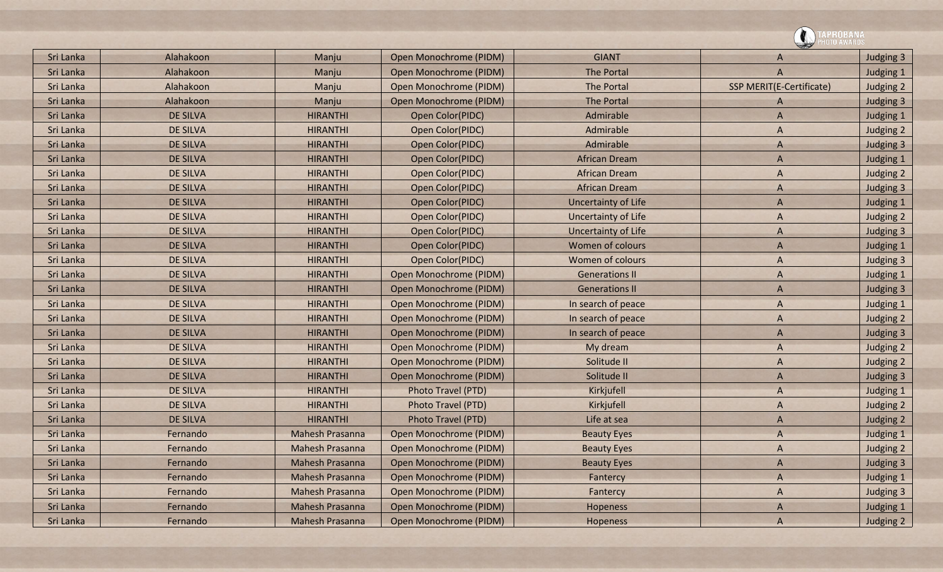|           |                 |                        |                        |                       | APROBANA<br>ITO AWARD:   |           |
|-----------|-----------------|------------------------|------------------------|-----------------------|--------------------------|-----------|
| Sri Lanka | Alahakoon       | Manju                  | Open Monochrome (PIDM) | <b>GIANT</b>          | A                        | Judging 3 |
| Sri Lanka | Alahakoon       | Manju                  | Open Monochrome (PIDM) | <b>The Portal</b>     | A                        | Judging 1 |
| Sri Lanka | Alahakoon       | Manju                  | Open Monochrome (PIDM) | <b>The Portal</b>     | SSP MERIT(E-Certificate) | Judging 2 |
| Sri Lanka | Alahakoon       | Manju                  | Open Monochrome (PIDM) | <b>The Portal</b>     | A                        | Judging 3 |
| Sri Lanka | <b>DE SILVA</b> | <b>HIRANTHI</b>        | Open Color(PIDC)       | Admirable             | A                        | Judging 1 |
| Sri Lanka | <b>DE SILVA</b> | <b>HIRANTHI</b>        | Open Color(PIDC)       | Admirable             | A                        | Judging 2 |
| Sri Lanka | <b>DE SILVA</b> | <b>HIRANTHI</b>        | Open Color(PIDC)       | Admirable             | A                        | Judging 3 |
| Sri Lanka | <b>DE SILVA</b> | <b>HIRANTHI</b>        | Open Color(PIDC)       | <b>African Dream</b>  | A                        | Judging 1 |
| Sri Lanka | <b>DE SILVA</b> | <b>HIRANTHI</b>        | Open Color(PIDC)       | <b>African Dream</b>  | A                        | Judging 2 |
| Sri Lanka | <b>DE SILVA</b> | <b>HIRANTHI</b>        | Open Color(PIDC)       | <b>African Dream</b>  | A                        | Judging 3 |
| Sri Lanka | <b>DE SILVA</b> | <b>HIRANTHI</b>        | Open Color(PIDC)       | Uncertainty of Life   | A                        | Judging 1 |
| Sri Lanka | <b>DE SILVA</b> | <b>HIRANTHI</b>        | Open Color(PIDC)       | Uncertainty of Life   | A                        | Judging 2 |
| Sri Lanka | <b>DE SILVA</b> | <b>HIRANTHI</b>        | Open Color(PIDC)       | Uncertainty of Life   | A                        | Judging 3 |
| Sri Lanka | <b>DE SILVA</b> | <b>HIRANTHI</b>        | Open Color(PIDC)       | Women of colours      | A                        | Judging 1 |
| Sri Lanka | <b>DE SILVA</b> | <b>HIRANTHI</b>        | Open Color(PIDC)       | Women of colours      | A                        | Judging 3 |
| Sri Lanka | <b>DE SILVA</b> | <b>HIRANTHI</b>        | Open Monochrome (PIDM) | <b>Generations II</b> | A                        | Judging 1 |
| Sri Lanka | <b>DE SILVA</b> | <b>HIRANTHI</b>        | Open Monochrome (PIDM) | <b>Generations II</b> | A                        | Judging 3 |
| Sri Lanka | <b>DE SILVA</b> | <b>HIRANTHI</b>        | Open Monochrome (PIDM) | In search of peace    | A                        | Judging 1 |
| Sri Lanka | <b>DE SILVA</b> | <b>HIRANTHI</b>        | Open Monochrome (PIDM) | In search of peace    | A                        | Judging 2 |
| Sri Lanka | <b>DE SILVA</b> | <b>HIRANTHI</b>        | Open Monochrome (PIDM) | In search of peace    | A                        | Judging 3 |
| Sri Lanka | <b>DE SILVA</b> | <b>HIRANTHI</b>        | Open Monochrome (PIDM) | My dream              | A                        | Judging 2 |
| Sri Lanka | <b>DE SILVA</b> | <b>HIRANTHI</b>        | Open Monochrome (PIDM) | Solitude II           | A                        | Judging 2 |
| Sri Lanka | <b>DE SILVA</b> | <b>HIRANTHI</b>        | Open Monochrome (PIDM) | Solitude II           | A                        | Judging 3 |
| Sri Lanka | <b>DE SILVA</b> | <b>HIRANTHI</b>        | Photo Travel (PTD)     | Kirkjufell            | A                        | Judging 1 |
| Sri Lanka | <b>DE SILVA</b> | <b>HIRANTHI</b>        | Photo Travel (PTD)     | Kirkjufell            | A                        | Judging 2 |
| Sri Lanka | <b>DE SILVA</b> | <b>HIRANTHI</b>        | Photo Travel (PTD)     | Life at sea           | A                        | Judging 2 |
| Sri Lanka | Fernando        | <b>Mahesh Prasanna</b> | Open Monochrome (PIDM) | <b>Beauty Eyes</b>    | A                        | Judging 1 |
| Sri Lanka | Fernando        | Mahesh Prasanna        | Open Monochrome (PIDM) | <b>Beauty Eyes</b>    | $\mathsf{A}$             | Judging 2 |
| Sri Lanka | Fernando        | Mahesh Prasanna        | Open Monochrome (PIDM) | <b>Beauty Eyes</b>    | $\mathsf{A}$             | Judging 3 |
| Sri Lanka | Fernando        | Mahesh Prasanna        | Open Monochrome (PIDM) | Fantercy              | A                        | Judging 1 |
| Sri Lanka | Fernando        | Mahesh Prasanna        | Open Monochrome (PIDM) | Fantercy              | $\mathsf{A}$             | Judging 3 |
| Sri Lanka | Fernando        | Mahesh Prasanna        | Open Monochrome (PIDM) | Hopeness              | $\overline{A}$           | Judging 1 |
| Sri Lanka | Fernando        | Mahesh Prasanna        | Open Monochrome (PIDM) | Hopeness              | $\overline{A}$           | Judging 2 |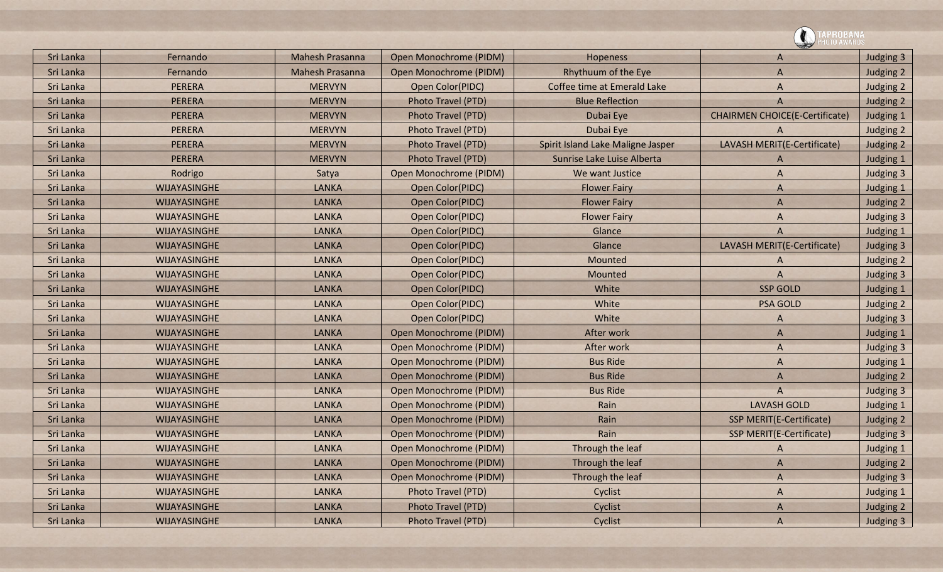![](_page_42_Picture_0.jpeg)

| Sri Lanka | Fernando            | <b>Mahesh Prasanna</b> | Open Monochrome (PIDM) | Hopeness                          | $\mathsf{A}$                          | Judging 3 |
|-----------|---------------------|------------------------|------------------------|-----------------------------------|---------------------------------------|-----------|
| Sri Lanka | Fernando            | <b>Mahesh Prasanna</b> | Open Monochrome (PIDM) | Rhythuum of the Eye               | $\overline{A}$                        | Judging 2 |
| Sri Lanka | PERERA              | <b>MERVYN</b>          | Open Color(PIDC)       | Coffee time at Emerald Lake       | A                                     | Judging 2 |
| Sri Lanka | <b>PERERA</b>       | <b>MERVYN</b>          | Photo Travel (PTD)     | <b>Blue Reflection</b>            | A                                     | Judging 2 |
| Sri Lanka | PERERA              | <b>MERVYN</b>          | Photo Travel (PTD)     | Dubai Eye                         | <b>CHAIRMEN CHOICE(E-Certificate)</b> | Judging 1 |
| Sri Lanka | <b>PERERA</b>       | <b>MERVYN</b>          | Photo Travel (PTD)     | Dubai Eye                         | A                                     | Judging 2 |
| Sri Lanka | <b>PERERA</b>       | <b>MERVYN</b>          | Photo Travel (PTD)     | Spirit Island Lake Maligne Jasper | LAVASH MERIT(E-Certificate)           | Judging 2 |
| Sri Lanka | <b>PERERA</b>       | <b>MERVYN</b>          | Photo Travel (PTD)     | Sunrise Lake Luise Alberta        | A                                     | Judging 1 |
| Sri Lanka | Rodrigo             | Satya                  | Open Monochrome (PIDM) | We want Justice                   | A                                     | Judging 3 |
| Sri Lanka | <b>WIJAYASINGHE</b> | <b>LANKA</b>           | Open Color(PIDC)       | <b>Flower Fairy</b>               | $\mathsf{A}$                          | Judging 1 |
| Sri Lanka | WIJAYASINGHE        | <b>LANKA</b>           | Open Color(PIDC)       | <b>Flower Fairy</b>               | A                                     | Judging 2 |
| Sri Lanka | <b>WIJAYASINGHE</b> | <b>LANKA</b>           | Open Color(PIDC)       | <b>Flower Fairy</b>               | A                                     | Judging 3 |
| Sri Lanka | WIJAYASINGHE        | LANKA                  | Open Color(PIDC)       | Glance                            | $\overline{A}$                        | Judging 1 |
| Sri Lanka | <b>WIJAYASINGHE</b> | <b>LANKA</b>           | Open Color(PIDC)       | Glance                            | LAVASH MERIT(E-Certificate)           | Judging 3 |
| Sri Lanka | <b>WIJAYASINGHE</b> | <b>LANKA</b>           | Open Color(PIDC)       | Mounted                           | A                                     | Judging 2 |
| Sri Lanka | <b>WIJAYASINGHE</b> | <b>LANKA</b>           | Open Color(PIDC)       | Mounted                           | A                                     | Judging 3 |
| Sri Lanka | WIJAYASINGHE        | <b>LANKA</b>           | Open Color(PIDC)       | White                             | <b>SSP GOLD</b>                       | Judging 1 |
| Sri Lanka | WIJAYASINGHE        | <b>LANKA</b>           | Open Color(PIDC)       | White                             | <b>PSA GOLD</b>                       | Judging 2 |
| Sri Lanka | <b>WIJAYASINGHE</b> | <b>LANKA</b>           | Open Color(PIDC)       | White                             | A                                     | Judging 3 |
| Sri Lanka | WIJAYASINGHE        | <b>LANKA</b>           | Open Monochrome (PIDM) | After work                        | $\mathsf{A}$                          | Judging 1 |
| Sri Lanka | <b>WIJAYASINGHE</b> | <b>LANKA</b>           | Open Monochrome (PIDM) | After work                        | A                                     | Judging 3 |
| Sri Lanka | WIJAYASINGHE        | <b>LANKA</b>           | Open Monochrome (PIDM) | <b>Bus Ride</b>                   | A                                     | Judging 1 |
| Sri Lanka | <b>WIJAYASINGHE</b> | <b>LANKA</b>           | Open Monochrome (PIDM) | <b>Bus Ride</b>                   | $\mathsf{A}$                          | Judging 2 |
| Sri Lanka | WIJAYASINGHE        | <b>LANKA</b>           | Open Monochrome (PIDM) | <b>Bus Ride</b>                   | $\overline{A}$                        | Judging 3 |
| Sri Lanka | WIJAYASINGHE        | <b>LANKA</b>           | Open Monochrome (PIDM) | Rain                              | <b>LAVASH GOLD</b>                    | Judging 1 |
| Sri Lanka | WIJAYASINGHE        | LANKA                  | Open Monochrome (PIDM) | Rain                              | <b>SSP MERIT(E-Certificate)</b>       | Judging 2 |
| Sri Lanka | <b>WIJAYASINGHE</b> | <b>LANKA</b>           | Open Monochrome (PIDM) | Rain                              | <b>SSP MERIT(E-Certificate)</b>       | Judging 3 |
| Sri Lanka | WIJAYASINGHE        | <b>LANKA</b>           | Open Monochrome (PIDM) | Through the leaf                  | A                                     | Judging 1 |
| Sri Lanka | WIJAYASINGHE        | <b>LANKA</b>           | Open Monochrome (PIDM) | Through the leaf                  | A                                     | Judging 2 |
| Sri Lanka | WIJAYASINGHE        | <b>LANKA</b>           | Open Monochrome (PIDM) | Through the leaf                  | A                                     | Judging 3 |
| Sri Lanka | WIJAYASINGHE        | <b>LANKA</b>           | Photo Travel (PTD)     | Cyclist                           | $\mathsf{A}$                          | Judging 1 |
| Sri Lanka | <b>WIJAYASINGHE</b> | <b>LANKA</b>           | Photo Travel (PTD)     | Cyclist                           | A                                     | Judging 2 |
| Sri Lanka | WIJAYASINGHE        | <b>LANKA</b>           | Photo Travel (PTD)     | Cyclist                           | $\overline{A}$                        | Judging 3 |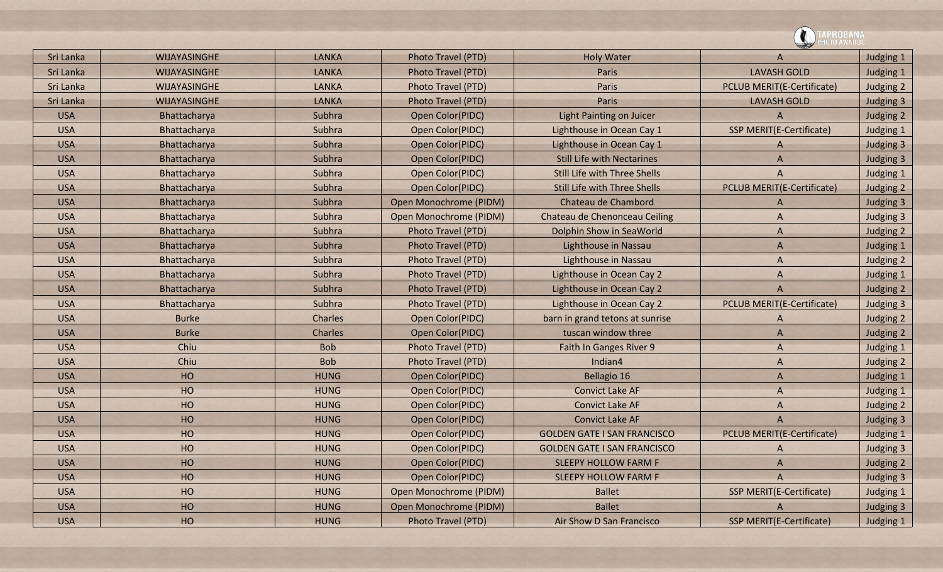| Sri Lanka  | WIJAYASINGHE        | <b>LANKA</b> | Photo Travel (PTD)     | <b>Holy Water</b>                   | A                                 | Judging 1 |
|------------|---------------------|--------------|------------------------|-------------------------------------|-----------------------------------|-----------|
| Sri Lanka  | <b>WIJAYASINGHE</b> | <b>LANKA</b> | Photo Travel (PTD)     | Paris                               | <b>LAVASH GOLD</b>                | Judging 1 |
| Sri Lanka  | WIJAYASINGHE        | <b>LANKA</b> | Photo Travel (PTD)     | Paris                               | <b>PCLUB MERIT(E-Certificate)</b> | Judging 2 |
| Sri Lanka  | WIJAYASINGHE        | <b>LANKA</b> | Photo Travel (PTD)     | Paris                               | <b>LAVASH GOLD</b>                | Judging 3 |
| <b>USA</b> | Bhattacharya        | Subhra       | Open Color(PIDC)       | <b>Light Painting on Juicer</b>     | A                                 | Judging 2 |
| <b>USA</b> | Bhattacharya        | Subhra       | Open Color(PIDC)       | Lighthouse in Ocean Cay 1           | SSP MERIT(E-Certificate)          | Judging 1 |
| <b>USA</b> | Bhattacharya        | Subhra       | Open Color(PIDC)       | Lighthouse in Ocean Cay 1           | A                                 | Judging 3 |
| <b>USA</b> | Bhattacharya        | Subhra       | Open Color(PIDC)       | <b>Still Life with Nectarines</b>   | $\overline{A}$                    | Judging 3 |
| <b>USA</b> | Bhattacharya        | Subhra       | Open Color(PIDC)       | <b>Still Life with Three Shells</b> | $\overline{A}$                    | Judging 1 |
| <b>USA</b> | Bhattacharya        | Subhra       | Open Color(PIDC)       | <b>Still Life with Three Shells</b> | PCLUB MERIT(E-Certificate)        | Judging 2 |
| <b>USA</b> | Bhattacharya        | Subhra       | Open Monochrome (PIDM) | Chateau de Chambord                 | A                                 | Judging 3 |
| <b>USA</b> | Bhattacharya        | Subhra       | Open Monochrome (PIDM) | Chateau de Chenonceau Ceiling       | $\overline{A}$                    | Judging 3 |
| <b>USA</b> | Bhattacharya        | Subhra       | Photo Travel (PTD)     | Dolphin Show in SeaWorld            | A                                 | Judging 2 |
| <b>USA</b> | Bhattacharya        | Subhra       | Photo Travel (PTD)     | Lighthouse in Nassau                | $\Lambda$                         | Judging 1 |
| <b>USA</b> | Bhattacharya        | Subhra       | Photo Travel (PTD)     | Lighthouse in Nassau                | $\overline{A}$                    | Judging 2 |
| <b>USA</b> | Bhattacharya        | Subhra       | Photo Travel (PTD)     | Lighthouse in Ocean Cay 2           | A                                 | Judging 1 |
| <b>USA</b> | Bhattacharya        | Subhra       | Photo Travel (PTD)     | Lighthouse in Ocean Cay 2           | $\overline{A}$                    | Judging 2 |
| <b>USA</b> | Bhattacharya        | Subhra       | Photo Travel (PTD)     | Lighthouse in Ocean Cay 2           | <b>PCLUB MERIT(E-Certificate)</b> | Judging 3 |
| <b>USA</b> | <b>Burke</b>        | Charles      | Open Color(PIDC)       | barn in grand tetons at sunrise     | A                                 | Judging 2 |
| <b>USA</b> | <b>Burke</b>        | Charles      | Open Color(PIDC)       | tuscan window three                 | A                                 | Judging 2 |
| <b>USA</b> | Chiu                | <b>Bob</b>   | Photo Travel (PTD)     | Faith In Ganges River 9             | A                                 | Judging 1 |
| <b>USA</b> | Chiu                | <b>Bob</b>   | Photo Travel (PTD)     | Indian4                             | $\overline{A}$                    | Judging 2 |
| <b>USA</b> | HO                  | <b>HUNG</b>  | Open Color(PIDC)       | Bellagio 16                         | A                                 | Judging 1 |
| <b>USA</b> | HO                  | <b>HUNG</b>  | Open Color(PIDC)       | <b>Convict Lake AF</b>              | A                                 | Judging 1 |
| <b>USA</b> | HO                  | <b>HUNG</b>  | Open Color(PIDC)       | <b>Convict Lake AF</b>              | A                                 | Judging 2 |
| <b>USA</b> | HO                  | <b>HUNG</b>  | Open Color(PIDC)       | <b>Convict Lake AF</b>              | A                                 | Judging 3 |
| <b>USA</b> | HO                  | <b>HUNG</b>  | Open Color(PIDC)       | <b>GOLDEN GATE I SAN FRANCISCO</b>  | <b>PCLUB MERIT(E-Certificate)</b> | Judging 1 |
| <b>USA</b> | HO                  | <b>HUNG</b>  | Open Color(PIDC)       | <b>GOLDEN GATE I SAN FRANCISCO</b>  |                                   | Judging 3 |
| <b>USA</b> | HO                  | <b>HUNG</b>  | Open Color(PIDC)       | <b>SLEEPY HOLLOW FARM F</b>         | A                                 | Judging 2 |
| <b>USA</b> | HO                  | <b>HUNG</b>  | Open Color(PIDC)       | <b>SLEEPY HOLLOW FARM F</b>         | A                                 | Judging 3 |
| <b>USA</b> | HO                  | <b>HUNG</b>  | Open Monochrome (PIDM) | <b>Ballet</b>                       | SSP MERIT(E-Certificate)          | Judging 1 |
| <b>USA</b> | HO                  | <b>HUNG</b>  | Open Monochrome (PIDM) | <b>Ballet</b>                       | A                                 | Judging 3 |
| <b>USA</b> | HO                  | <b>HUNG</b>  | Photo Travel (PTD)     | Air Show D San Francisco            | SSP MERIT(E-Certificate)          | Judging 1 |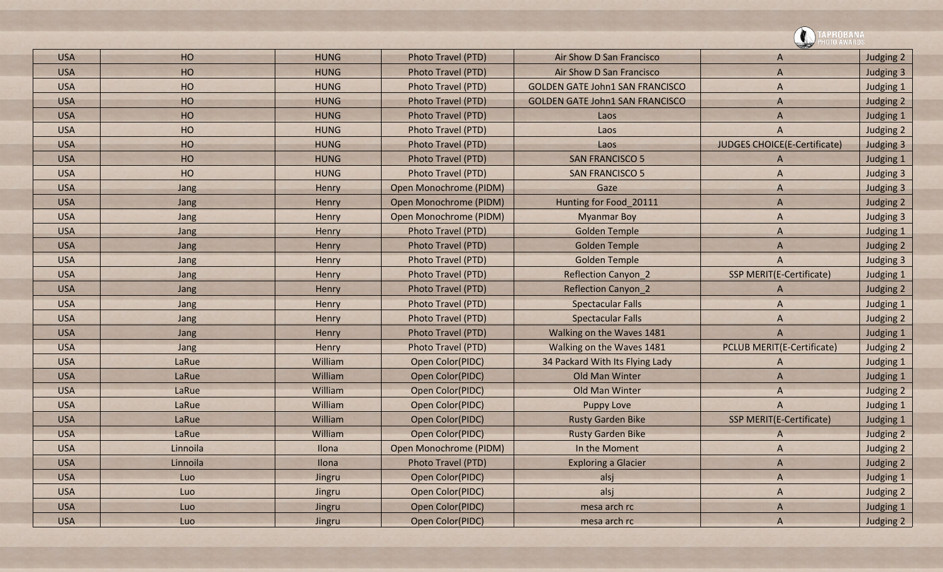![](_page_44_Picture_0.jpeg)